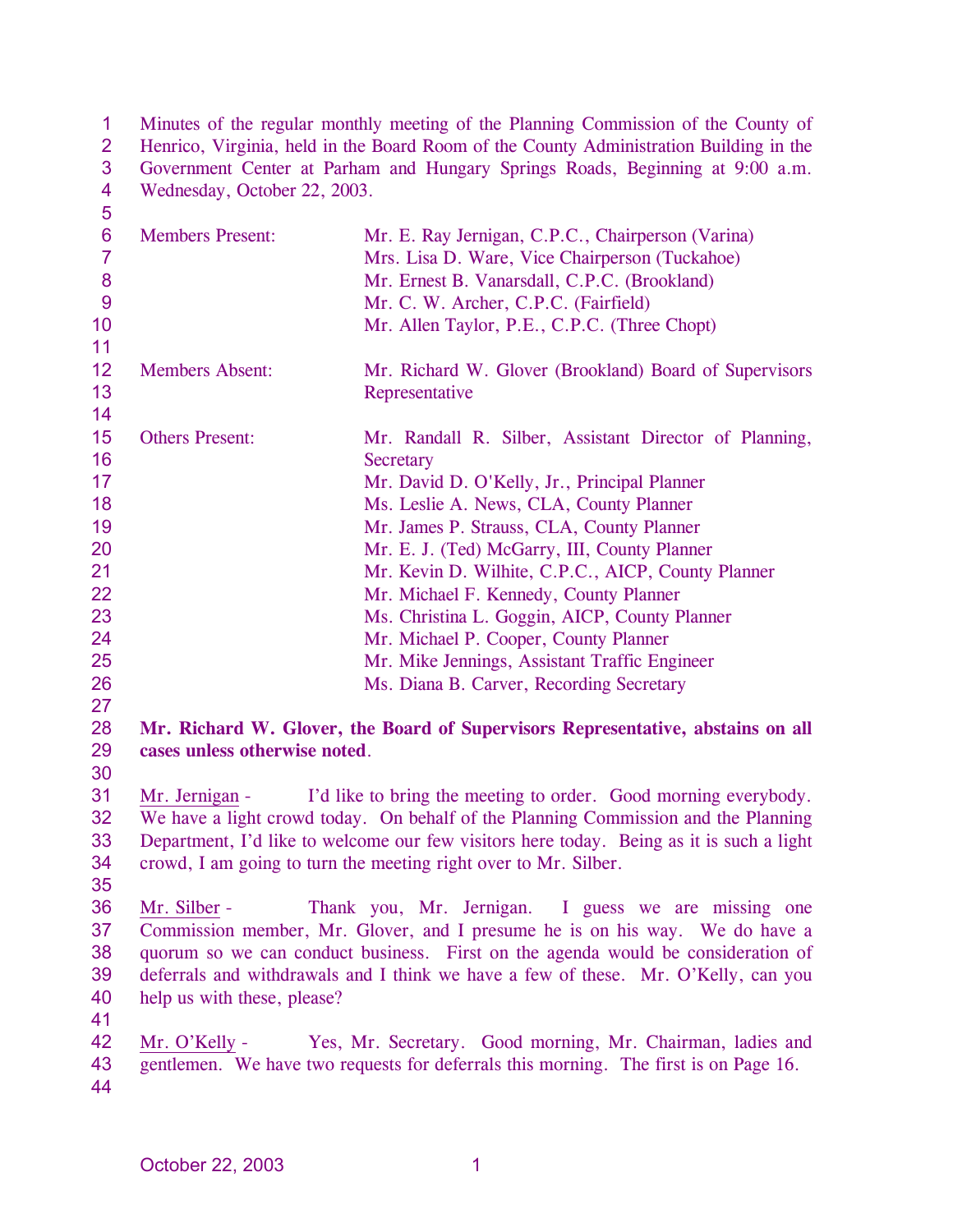1 2 3 4 Minutes of the regular monthly meeting of the Planning Commission of the County of Henrico, Virginia, held in the Board Room of the County Administration Building in the Government Center at Parham and Hungary Springs Roads, Beginning at 9:00 a.m. Wednesday, October 22, 2003.

| $\overline{5}$  |                               |                                                                                          |
|-----------------|-------------------------------|------------------------------------------------------------------------------------------|
| $6\phantom{1}6$ | <b>Members Present:</b>       | Mr. E. Ray Jernigan, C.P.C., Chairperson (Varina)                                        |
| $\overline{7}$  |                               | Mrs. Lisa D. Ware, Vice Chairperson (Tuckahoe)                                           |
| 8               |                               | Mr. Ernest B. Vanarsdall, C.P.C. (Brookland)                                             |
| 9               |                               | Mr. C. W. Archer, C.P.C. (Fairfield)                                                     |
| 10              |                               | Mr. Allen Taylor, P.E., C.P.C. (Three Chopt)                                             |
| 11              |                               |                                                                                          |
| 12              | <b>Members Absent:</b>        | Mr. Richard W. Glover (Brookland) Board of Supervisors                                   |
| 13              |                               | Representative                                                                           |
| 14              |                               |                                                                                          |
| 15              | <b>Others Present:</b>        | Mr. Randall R. Silber, Assistant Director of Planning,                                   |
| 16              |                               | <b>Secretary</b>                                                                         |
| 17              |                               | Mr. David D. O'Kelly, Jr., Principal Planner                                             |
| 18              |                               | Ms. Leslie A. News, CLA, County Planner                                                  |
| 19              |                               | Mr. James P. Strauss, CLA, County Planner                                                |
| 20              |                               | Mr. E. J. (Ted) McGarry, III, County Planner                                             |
| 21              |                               | Mr. Kevin D. Wilhite, C.P.C., AICP, County Planner                                       |
| 22              |                               | Mr. Michael F. Kennedy, County Planner                                                   |
| 23              |                               | Ms. Christina L. Goggin, AICP, County Planner                                            |
| 24              |                               | Mr. Michael P. Cooper, County Planner                                                    |
| 25              |                               | Mr. Mike Jennings, Assistant Traffic Engineer                                            |
| 26              |                               | Ms. Diana B. Carver, Recording Secretary                                                 |
| 27              |                               |                                                                                          |
| 28              |                               | Mr. Richard W. Glover, the Board of Supervisors Representative, abstains on all          |
| 29              | cases unless otherwise noted. |                                                                                          |
| 30              |                               |                                                                                          |
| 31              | Mr. Jernigan -                | I'd like to bring the meeting to order. Good morning everybody.                          |
| 32              |                               | We have a light crowd today. On behalf of the Planning Commission and the Planning       |
| 33              |                               | Department, I'd like to welcome our few visitors here today. Being as it is such a light |
| 34              |                               | crowd, I am going to turn the meeting right over to Mr. Silber.                          |
| 35              |                               |                                                                                          |
| 36              | Mr. Silber -                  | Thank you, Mr. Jernigan. I guess we are missing one                                      |
| 37              |                               | Commission member, Mr. Glover, and I presume he is on his way. We do have a              |
| 38              |                               | quorum so we can conduct business. First on the agenda would be consideration of         |
| 39              |                               | deferrals and withdrawals and I think we have a few of these. Mr. O'Kelly, can you       |
| 40              | help us with these, please?   |                                                                                          |
| 41              |                               |                                                                                          |
| 42              | Mr. O'Kelly -                 | Yes, Mr. Secretary. Good morning, Mr. Chairman, ladies and                               |
| 43              |                               | gentlemen. We have two requests for deferrals this morning. The first is on Page 16.     |
| 44              |                               |                                                                                          |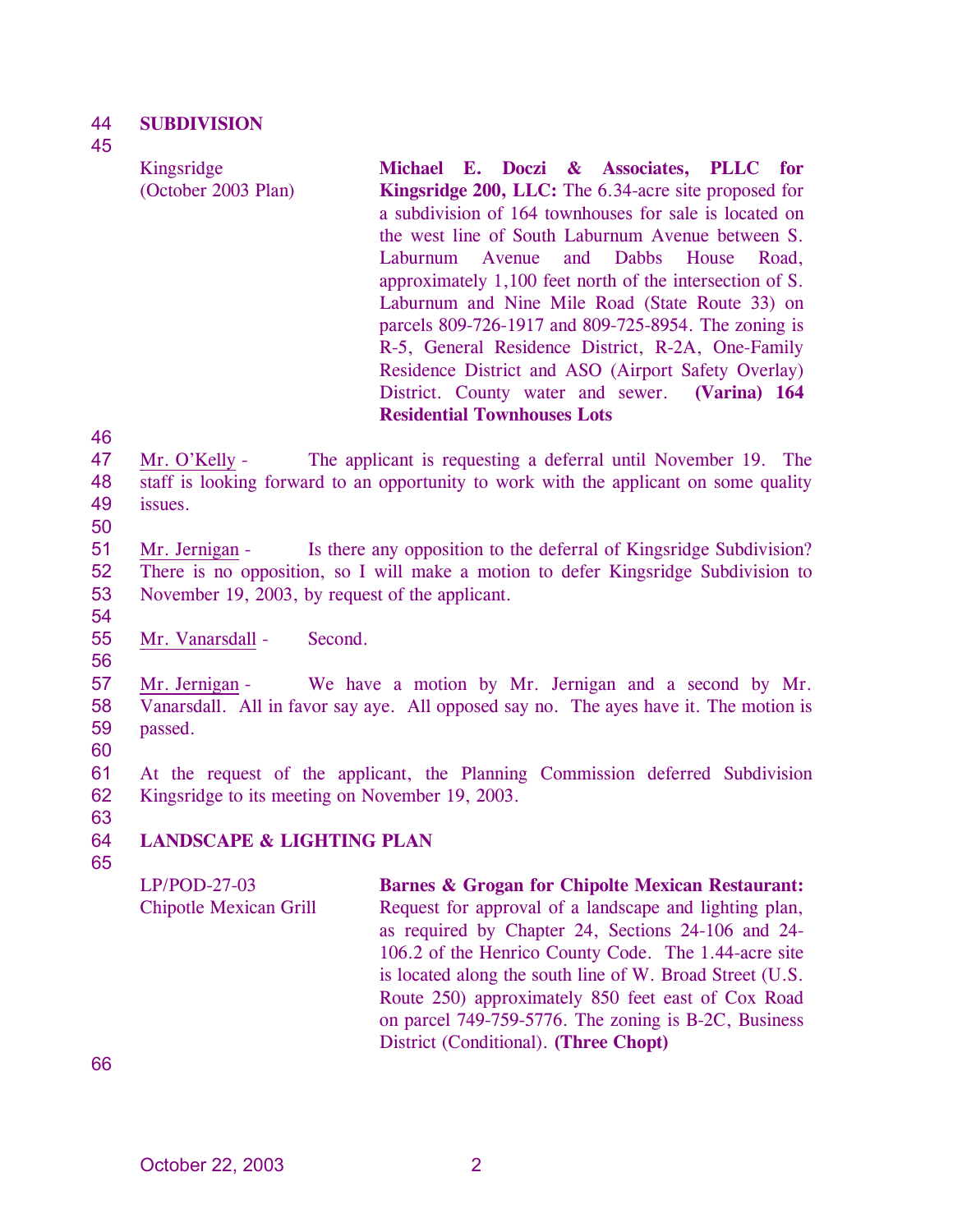#### 44 **SUBDIVISION**

Kingsridge

45

(October 2003 Plan) **Michael E. Doczi & Associates, PLLC for Kingsridge 200, LLC:** The 6.34-acre site proposed for a subdivision of 164 townhouses for sale is located on the west line of South Laburnum Avenue between S. Laburnum Avenue and Dabbs House Road, approximately 1,100 feet north of the intersection of S. Laburnum and Nine Mile Road (State Route 33) on parcels 809-726-1917 and 809-725-8954. The zoning is R-5, General Residence District, R-2A, One-Family Residence District and ASO (Airport Safety Overlay) District. County water and sewer. **(Varina) 164 Residential Townhouses Lots** 

46

47 48 49 Mr. O'Kelly - The applicant is requesting a deferral until November 19. The staff is looking forward to an opportunity to work with the applicant on some quality issues.

50

51 52 53 Mr. Jernigan - Is there any opposition to the deferral of Kingsridge Subdivision? There is no opposition, so I will make a motion to defer Kingsridge Subdivision to November 19, 2003, by request of the applicant.

54 55

56

Mr. Vanarsdall - Second.

57 58 59 Mr. Jernigan - We have a motion by Mr. Jernigan and a second by Mr. Vanarsdall. All in favor say aye. All opposed say no. The ayes have it. The motion is passed.

60

61 62 At the request of the applicant, the Planning Commission deferred Subdivision Kingsridge to its meeting on November 19, 2003.

## 64 **LANDSCAPE & LIGHTING PLAN**

65

63

LP/POD-27-03 Chipotle Mexican Grill **Barnes & Grogan for Chipolte Mexican Restaurant:**  Request for approval of a landscape and lighting plan, as required by Chapter 24, Sections 24-106 and 24- 106.2 of the Henrico County Code. The 1.44-acre site is located along the south line of W. Broad Street (U.S. Route 250) approximately 850 feet east of Cox Road on parcel 749-759-5776. The zoning is B-2C, Business District (Conditional). **(Three Chopt)**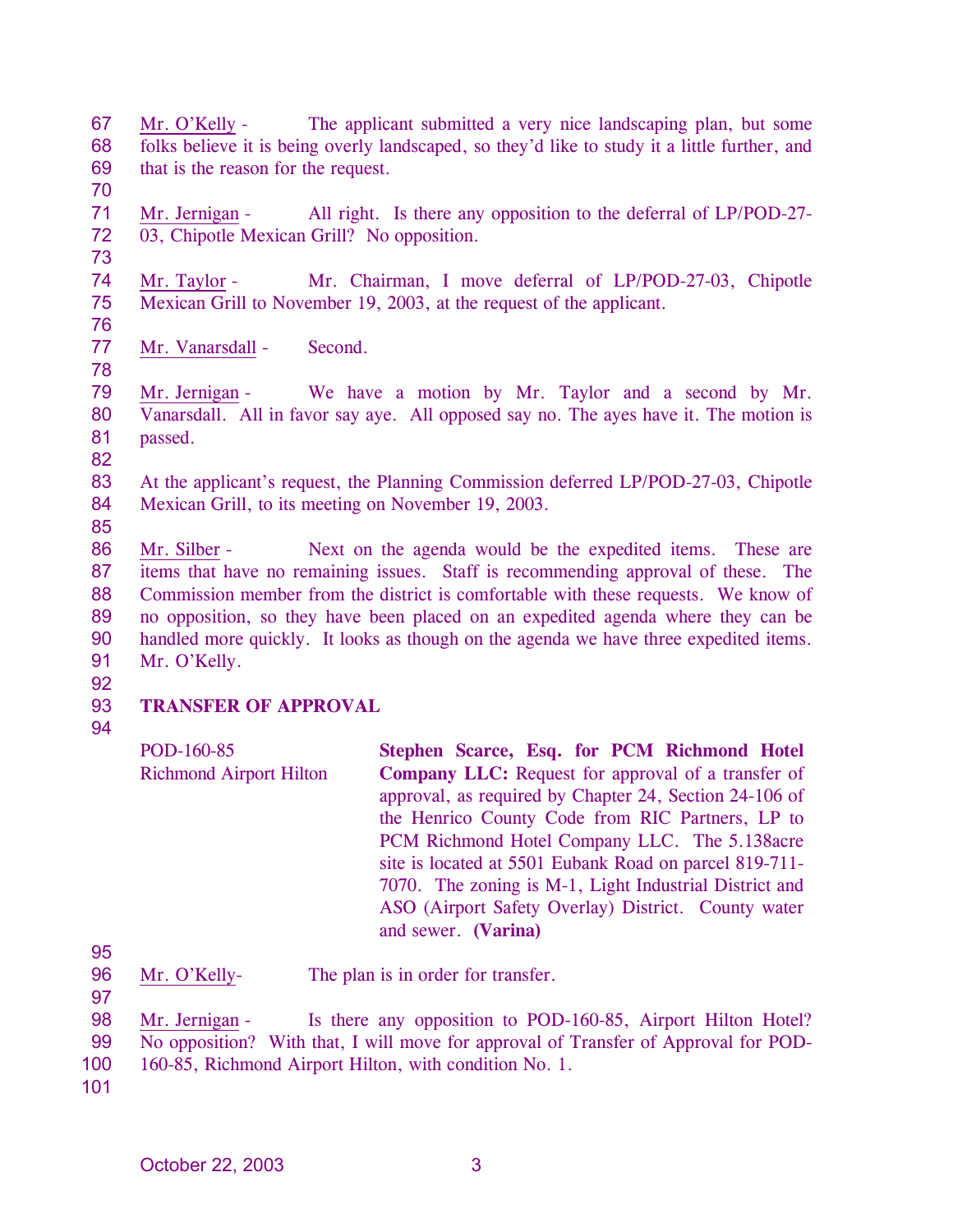67 68 69 Mr. O'Kelly - The applicant submitted a very nice landscaping plan, but some folks believe it is being overly landscaped, so they'd like to study it a little further, and that is the reason for the request.

- 71 72 Mr. Jernigan - All right. Is there any opposition to the deferral of LP/POD-27-03, Chipotle Mexican Grill? No opposition.
- 73

70

74 75 76 Mr. Taylor - Mr. Chairman, I move deferral of LP/POD-27-03, Chipotle Mexican Grill to November 19, 2003, at the request of the applicant.

- 77 Mr. Vanarsdall - Second.
- 78

79 80 81 Mr. Jernigan - We have a motion by Mr. Taylor and a second by Mr. Vanarsdall. All in favor say aye. All opposed say no. The ayes have it. The motion is passed.

82

83 84 At the applicant's request, the Planning Commission deferred LP/POD-27-03, Chipotle Mexican Grill, to its meeting on November 19, 2003.

85

86 87 88 89 90 91 Mr. Silber - Next on the agenda would be the expedited items. These are items that have no remaining issues. Staff is recommending approval of these. The Commission member from the district is comfortable with these requests. We know of no opposition, so they have been placed on an expedited agenda where they can be handled more quickly. It looks as though on the agenda we have three expedited items. Mr. O'Kelly.

92

## 93 **TRANSFER OF APPROVAL**

94

POD-160-85 Richmond Airport Hilton **Stephen Scarce, Esq. for PCM Richmond Hotel Company LLC:** Request for approval of a transfer of approval, as required by Chapter 24, Section 24-106 of the Henrico County Code from RIC Partners, LP to PCM Richmond Hotel Company LLC. The 5.138acre site is located at 5501 Eubank Road on parcel 819-711- 7070. The zoning is M-1, Light Industrial District and ASO (Airport Safety Overlay) District. County water and sewer. **(Varina)** 

95

96 Mr. O'Kelly- The plan is in order for transfer.

97

98 99 Mr. Jernigan - Is there any opposition to POD-160-85, Airport Hilton Hotel? No opposition? With that, I will move for approval of Transfer of Approval for POD-

- 100 160-85, Richmond Airport Hilton, with condition No. 1.
- 101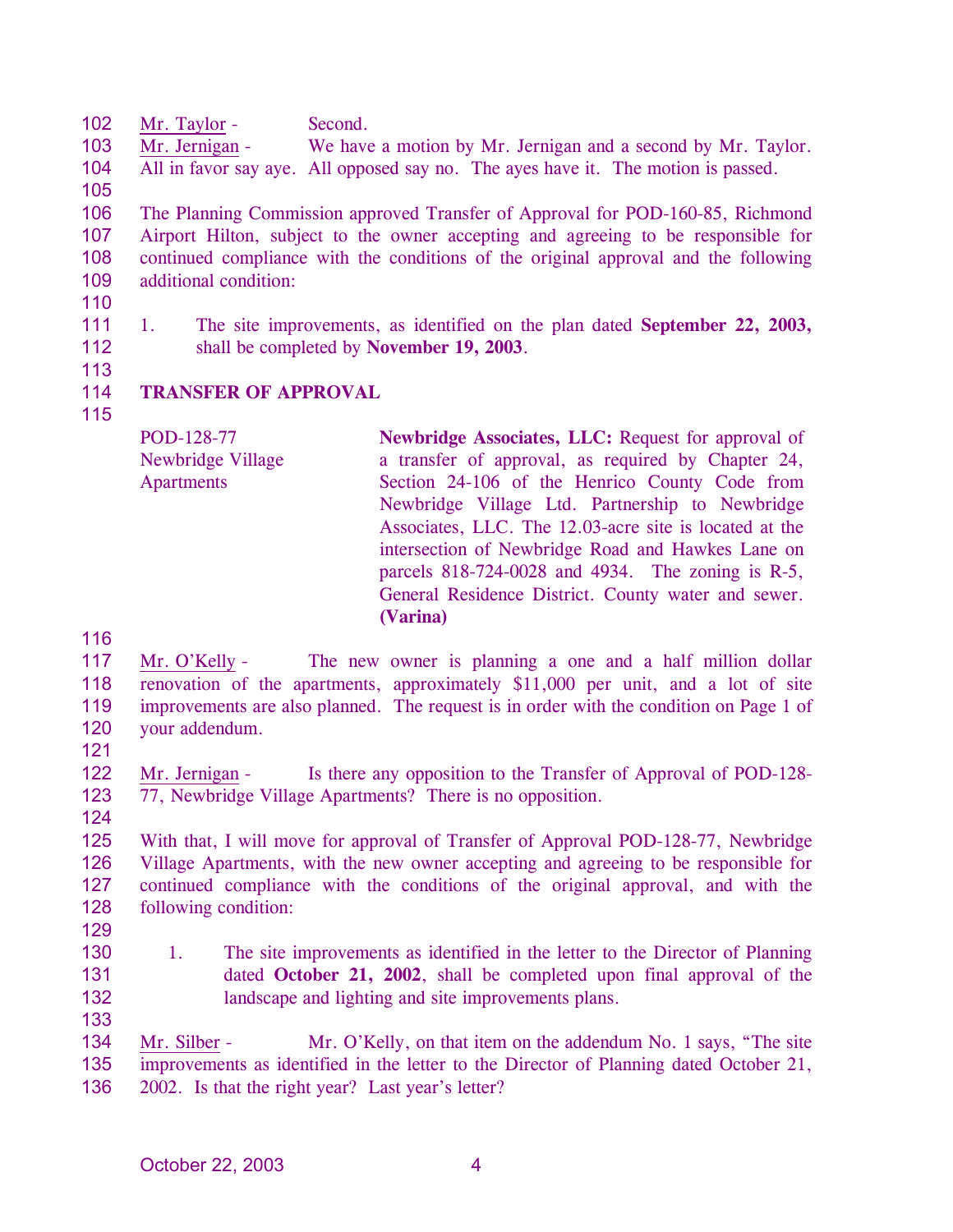102 Mr. Taylor - Second.

103 104 Mr. Jernigan - We have a motion by Mr. Jernigan and a second by Mr. Taylor. All in favor say aye. All opposed say no. The ayes have it. The motion is passed.

105

106 107 108 109 The Planning Commission approved Transfer of Approval for POD-160-85, Richmond Airport Hilton, subject to the owner accepting and agreeing to be responsible for continued compliance with the conditions of the original approval and the following additional condition:

- 110
- 111 112 1. The site improvements, as identified on the plan dated **September 22, 2003,** shall be completed by **November 19, 2003**.
- 113

## 114 **TRANSFER OF APPROVAL**

115

POD-128-77 Newbridge Village Apartments **Newbridge Associates, LLC:** Request for approval of a transfer of approval, as required by Chapter 24, Section 24-106 of the Henrico County Code from Newbridge Village Ltd. Partnership to Newbridge Associates, LLC. The 12.03-acre site is located at the intersection of Newbridge Road and Hawkes Lane on parcels 818-724-0028 and 4934. The zoning is R-5, General Residence District. County water and sewer. **(Varina)** 

116

117 118 119 120 Mr. O'Kelly - The new owner is planning a one and a half million dollar renovation of the apartments, approximately \$11,000 per unit, and a lot of site improvements are also planned. The request is in order with the condition on Page 1 of your addendum.

121

124

122 123 Mr. Jernigan - Is there any opposition to the Transfer of Approval of POD-128-77, Newbridge Village Apartments? There is no opposition.

125 126 127 128 With that, I will move for approval of Transfer of Approval POD-128-77, Newbridge Village Apartments, with the new owner accepting and agreeing to be responsible for continued compliance with the conditions of the original approval, and with the following condition:

- 129
- 130 131 132 133 1. The site improvements as identified in the letter to the Director of Planning dated **October 21, 2002**, shall be completed upon final approval of the landscape and lighting and site improvements plans.
- Mr. Silber Mr. O'Kelly, on that item on the addendum No. 1 says, "The site improvements as identified in the letter to the Director of Planning dated October 21, 2002. Is that the right year? Last year's letter? 134 135 136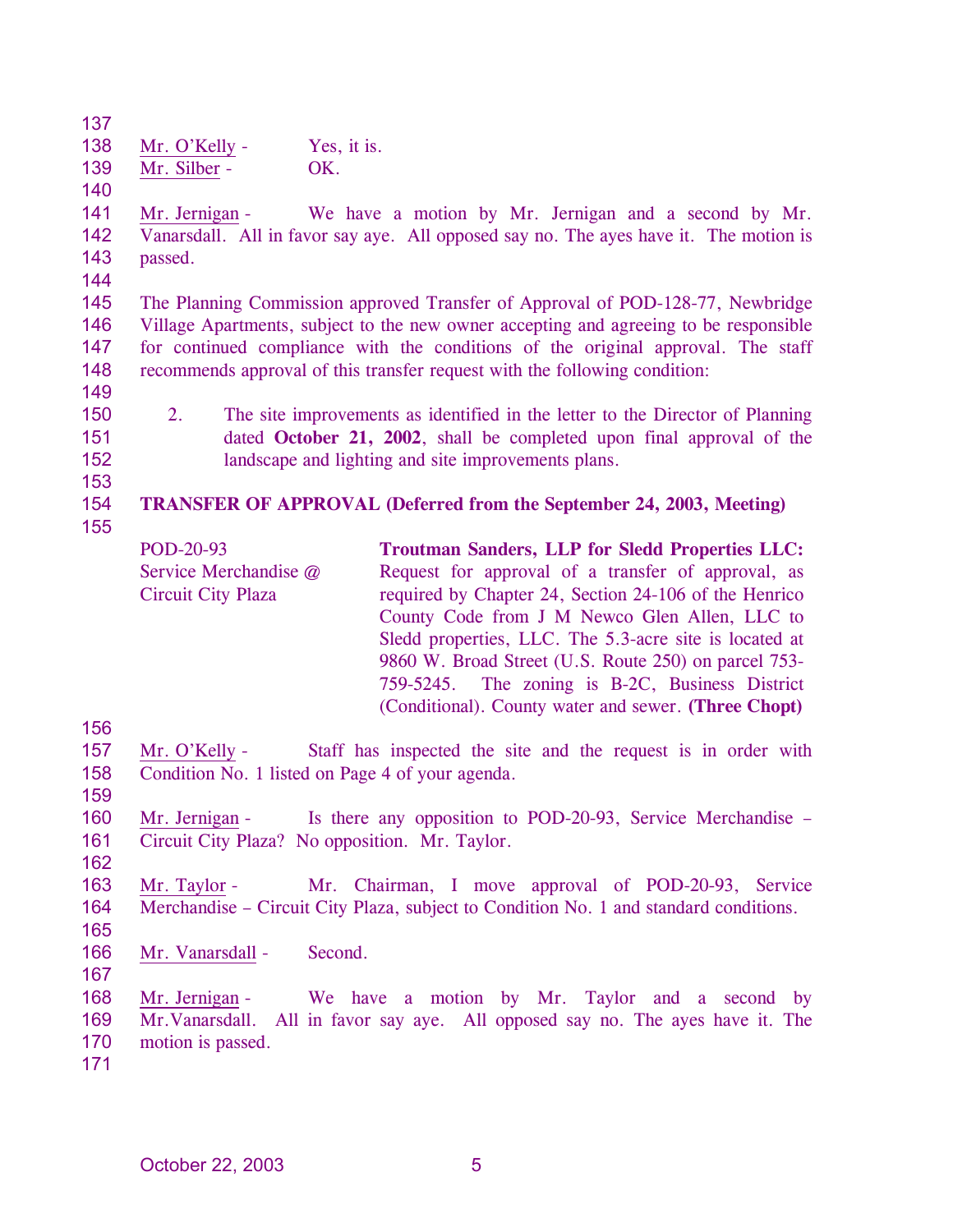137 138 Mr. O'Kelly - Yes, it is.

139 Mr. Silber - OK.

140

141 142 143 Mr. Jernigan - We have a motion by Mr. Jernigan and a second by Mr. Vanarsdall. All in favor say aye. All opposed say no. The ayes have it. The motion is passed.

144

145 146 147 148 The Planning Commission approved Transfer of Approval of POD-128-77, Newbridge Village Apartments, subject to the new owner accepting and agreeing to be responsible for continued compliance with the conditions of the original approval. The staff recommends approval of this transfer request with the following condition:

- 149
- 150 151

152 153

155

2. The site improvements as identified in the letter to the Director of Planning dated **October 21, 2002**, shall be completed upon final approval of the landscape and lighting and site improvements plans.

## 154 **TRANSFER OF APPROVAL (Deferred from the September 24, 2003, Meeting)**

POD-20-93 Service Merchandise @ Circuit City Plaza **Troutman Sanders, LLP for Sledd Properties LLC:**  Request for approval of a transfer of approval, as required by Chapter 24, Section 24-106 of the Henrico County Code from J M Newco Glen Allen, LLC to Sledd properties, LLC. The 5.3-acre site is located at 9860 W. Broad Street (U.S. Route 250) on parcel 753- 759-5245. The zoning is B-2C, Business District (Conditional). County water and sewer. **(Three Chopt)** 

156

- 157 158 Mr. O'Kelly - Staff has inspected the site and the request is in order with Condition No. 1 listed on Page 4 of your agenda.
- 159

160 161 162 Mr. Jernigan - Is there any opposition to POD-20-93, Service Merchandise – Circuit City Plaza? No opposition. Mr. Taylor.

- 163 164 Mr. Taylor - Mr. Chairman, I move approval of POD-20-93, Service Merchandise – Circuit City Plaza, subject to Condition No. 1 and standard conditions.
- 165 166
- Mr. Vanarsdall Second.
- 167

168 169 170 Mr. Jernigan - We have a motion by Mr. Taylor and a second by Mr.Vanarsdall. All in favor say aye. All opposed say no. The ayes have it. The motion is passed.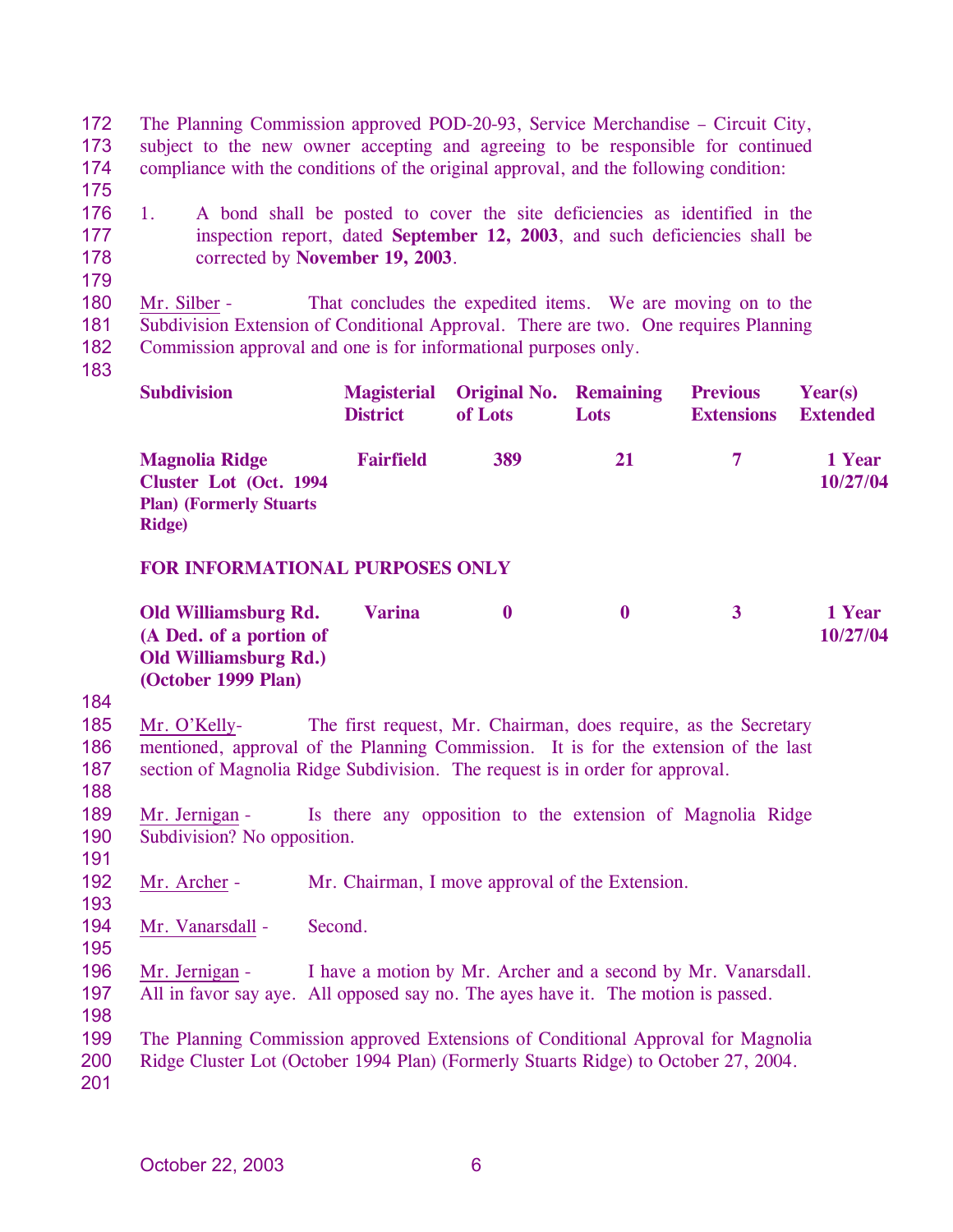172 173 174 The Planning Commission approved POD-20-93, Service Merchandise – Circuit City, subject to the new owner accepting and agreeing to be responsible for continued compliance with the conditions of the original approval, and the following condition:

175

176 177 178 1. A bond shall be posted to cover the site deficiencies as identified in the inspection report, dated **September 12, 2003**, and such deficiencies shall be corrected by **November 19, 2003**.

179

180 181 182 Mr. Silber - That concludes the expedited items. We are moving on to the Subdivision Extension of Conditional Approval. There are two. One requires Planning Commission approval and one is for informational purposes only.

183

| <b>Subdivision</b>                                                                                    | <b>Magisterial</b><br><b>District</b> | <b>Original No. Remaining</b><br>of Lots | <b>Lots</b> | <b>Previous</b><br><b>Extensions</b> | Year(s)<br><b>Extended</b> |
|-------------------------------------------------------------------------------------------------------|---------------------------------------|------------------------------------------|-------------|--------------------------------------|----------------------------|
| <b>Magnolia Ridge</b><br>Cluster Lot (Oct. 1994)<br><b>Plan)</b> (Formerly Stuarts)<br><b>Ridge</b> ) | <b>Fairfield</b>                      | 389                                      | 21          | $\tau$                               | 1 Year<br>10/27/04         |

# **FOR INFORMATIONAL PURPOSES ONLY**

| Old Williamsburg Rd.         | <b>Varina</b> |  | 1 Year   |
|------------------------------|---------------|--|----------|
| (A Ded. of a portion of      |               |  | 10/27/04 |
| <b>Old Williamsburg Rd.)</b> |               |  |          |
| (October 1999 Plan)          |               |  |          |

184

185 186 187 188 Mr. O'Kelly- The first request, Mr. Chairman, does require, as the Secretary mentioned, approval of the Planning Commission. It is for the extension of the last section of Magnolia Ridge Subdivision. The request is in order for approval.

189 190 Mr. Jernigan - Is there any opposition to the extension of Magnolia Ridge Subdivision? No opposition.

- 192 Mr. Archer - Mr. Chairman, I move approval of the Extension.
- 194 Mr. Vanarsdall - Second.
- 195

191

193

196 197 Mr. Jernigan - I have a motion by Mr. Archer and a second by Mr. Vanarsdall. All in favor say aye. All opposed say no. The ayes have it. The motion is passed.

198 199

200 The Planning Commission approved Extensions of Conditional Approval for Magnolia Ridge Cluster Lot (October 1994 Plan) (Formerly Stuarts Ridge) to October 27, 2004.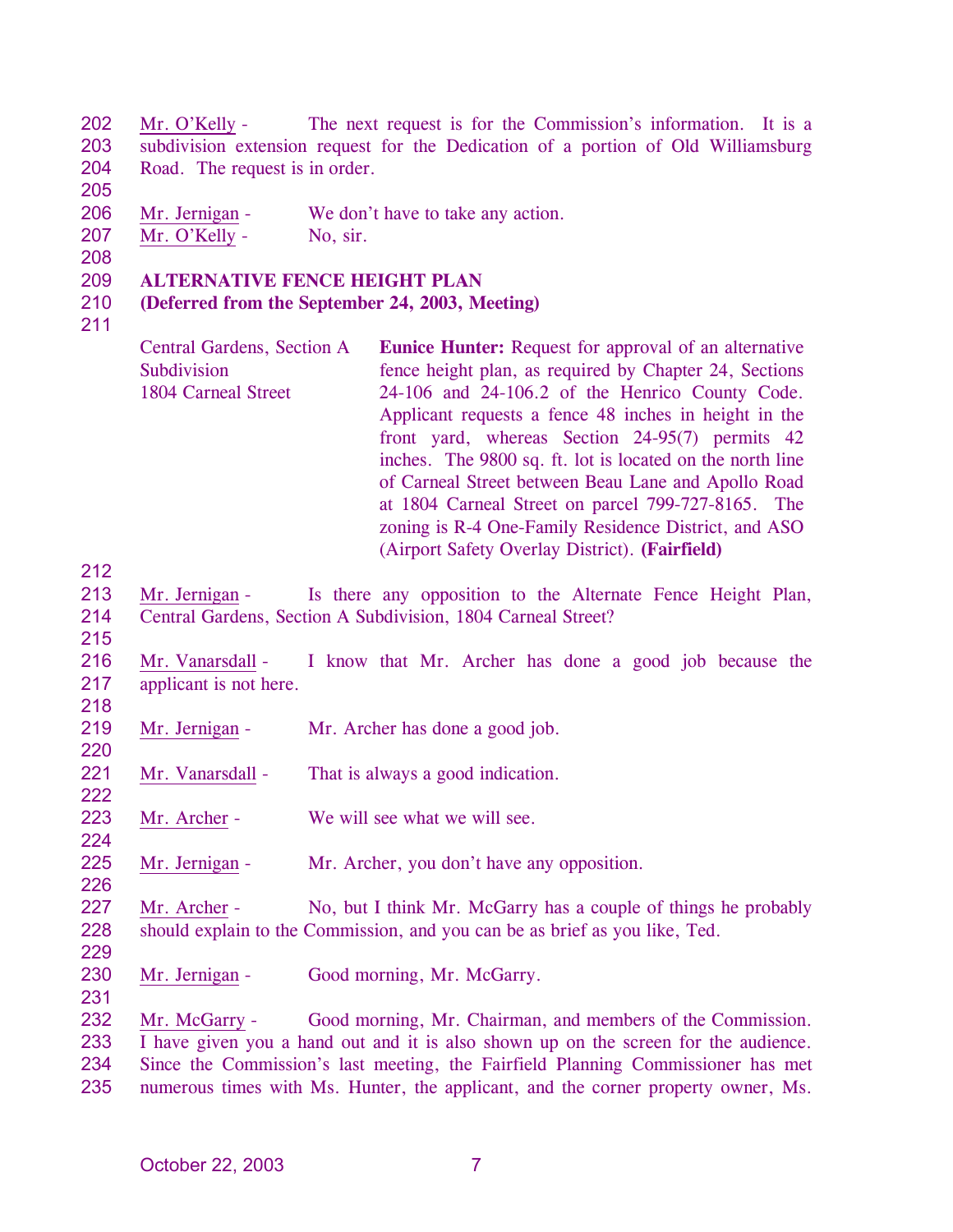202 203 204 Mr. O'Kelly - The next request is for the Commission's information. It is a subdivision extension request for the Dedication of a portion of Old Williamsburg Road. The request is in order.

206 Mr. Jernigan - We don't have to take any action.

207 Mr. O'Kelly - No, sir.

208

205

### 209 **ALTERNATIVE FENCE HEIGHT PLAN**

#### 210 **(Deferred from the September 24, 2003, Meeting)**

211

Central Gardens, Section A **Subdivision** 1804 Carneal Street **Eunice Hunter:** Request for approval of an alternative fence height plan, as required by Chapter 24, Sections 24-106 and 24-106.2 of the Henrico County Code. Applicant requests a fence 48 inches in height in the front yard, whereas Section 24-95(7) permits 42 inches. The 9800 sq. ft. lot is located on the north line of Carneal Street between Beau Lane and Apollo Road at 1804 Carneal Street on parcel 799-727-8165. The zoning is R-4 One-Family Residence District, and ASO (Airport Safety Overlay District). **(Fairfield)** 

212

215

213 214 Mr. Jernigan - Is there any opposition to the Alternate Fence Height Plan, Central Gardens, Section A Subdivision, 1804 Carneal Street?

216 217 Mr. Vanarsdall - I know that Mr. Archer has done a good job because the applicant is not here.

218

220

222

224

226

- 219 Mr. Jernigan - Mr. Archer has done a good job.
- 221 Mr. Vanarsdall - That is always a good indication.
- 223 Mr. Archer - We will see what we will see.
- 225 Mr. Jernigan - Mr. Archer, you don't have any opposition.
- 227 228 Mr. Archer - No, but I think Mr. McGarry has a couple of things he probably should explain to the Commission, and you can be as brief as you like, Ted.
- 229
- 230 231 Mr. Jernigan - Good morning, Mr. McGarry.

Mr. McGarry - Good morning, Mr. Chairman, and members of the Commission. I have given you a hand out and it is also shown up on the screen for the audience. Since the Commission's last meeting, the Fairfield Planning Commissioner has met numerous times with Ms. Hunter, the applicant, and the corner property owner, Ms. 232 233 234 235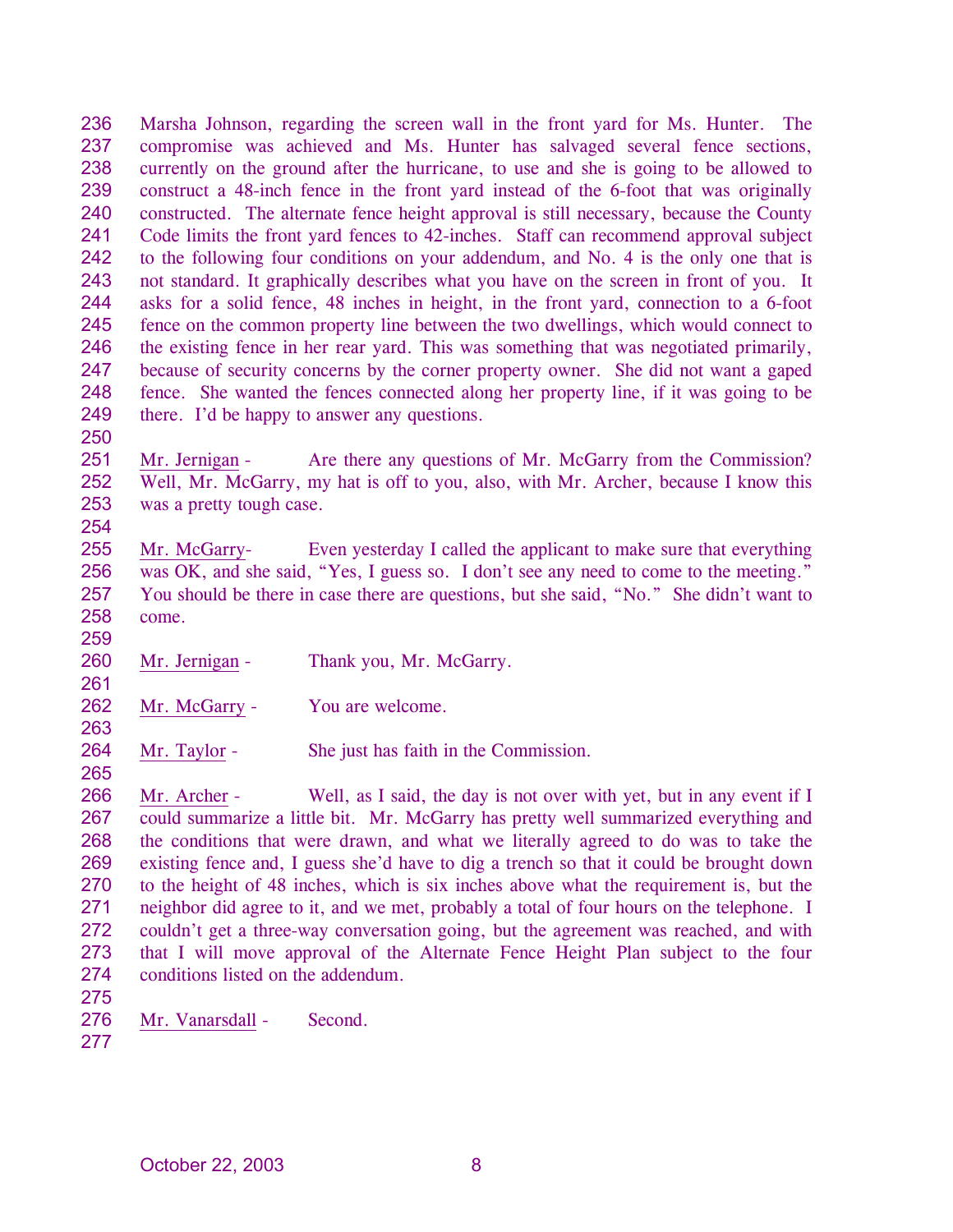236 237 238 239 240 241 242 243 244 245 246 247 248 249 Marsha Johnson, regarding the screen wall in the front yard for Ms. Hunter. The compromise was achieved and Ms. Hunter has salvaged several fence sections, currently on the ground after the hurricane, to use and she is going to be allowed to construct a 48-inch fence in the front yard instead of the 6-foot that was originally constructed. The alternate fence height approval is still necessary, because the County Code limits the front yard fences to 42-inches. Staff can recommend approval subject to the following four conditions on your addendum, and No. 4 is the only one that is not standard. It graphically describes what you have on the screen in front of you. It asks for a solid fence, 48 inches in height, in the front yard, connection to a 6-foot fence on the common property line between the two dwellings, which would connect to the existing fence in her rear yard. This was something that was negotiated primarily, because of security concerns by the corner property owner. She did not want a gaped fence. She wanted the fences connected along her property line, if it was going to be there. I'd be happy to answer any questions.

250

261

263

265

251 252 253 254 Mr. Jernigan - Are there any questions of Mr. McGarry from the Commission? Well, Mr. McGarry, my hat is off to you, also, with Mr. Archer, because I know this was a pretty tough case.

255 256 257 258 259 Mr. McGarry- Even yesterday I called the applicant to make sure that everything was OK, and she said, "Yes, I guess so. I don't see any need to come to the meeting." You should be there in case there are questions, but she said, "No." She didn't want to come.

- 260 Mr. Jernigan - Thank you, Mr. McGarry.
- 262 Mr. McGarry - You are welcome.
- 264 Mr. Taylor - She just has faith in the Commission.

266 267 268 269 270 271 272 273 274 Mr. Archer - Well, as I said, the day is not over with yet, but in any event if I could summarize a little bit. Mr. McGarry has pretty well summarized everything and the conditions that were drawn, and what we literally agreed to do was to take the existing fence and, I guess she'd have to dig a trench so that it could be brought down to the height of 48 inches, which is six inches above what the requirement is, but the neighbor did agree to it, and we met, probably a total of four hours on the telephone. I couldn't get a three-way conversation going, but the agreement was reached, and with that I will move approval of the Alternate Fence Height Plan subject to the four conditions listed on the addendum.

- 275
- 276 Mr. Vanarsdall - Second.
- 277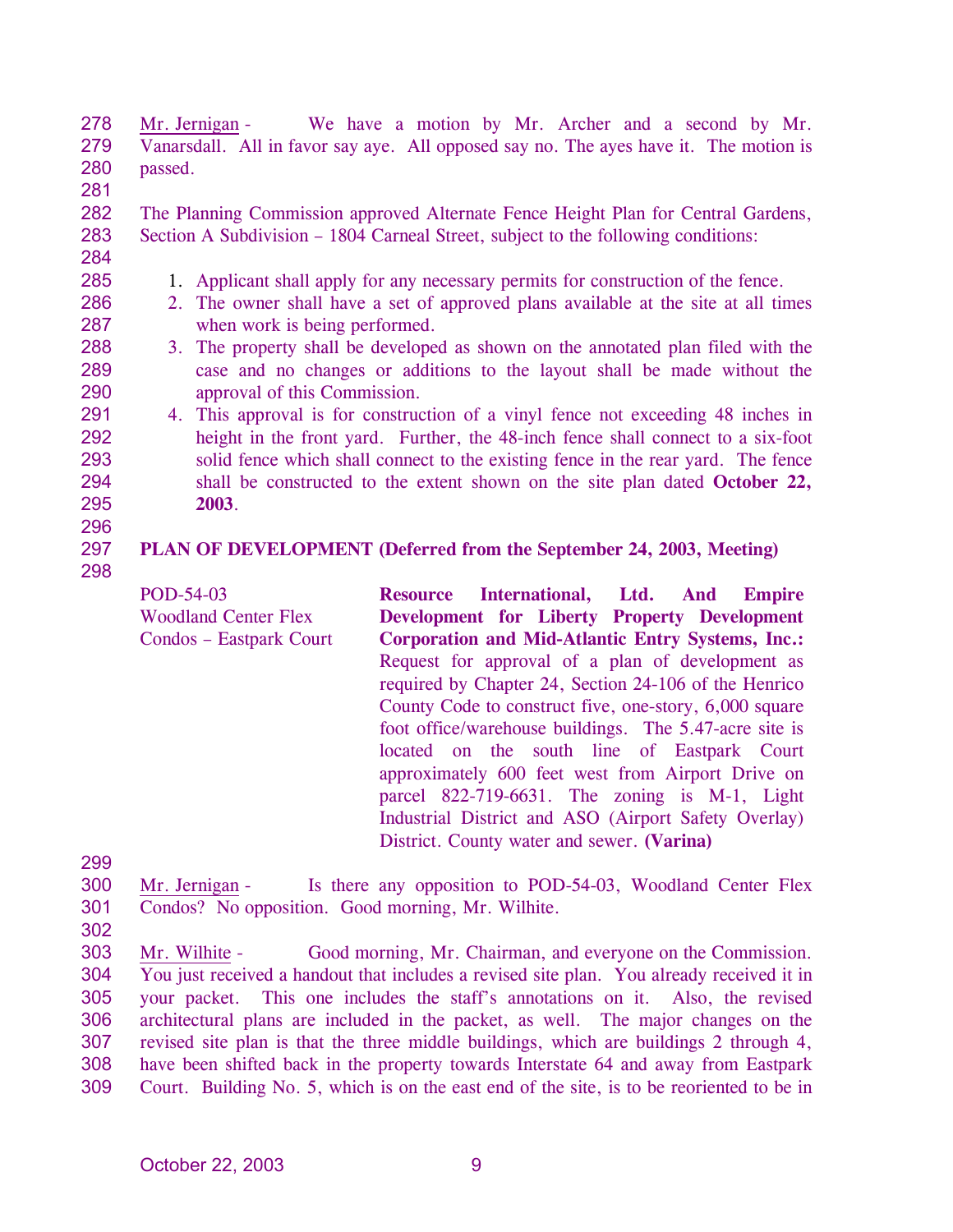278 279 280 Mr. Jernigan - We have a motion by Mr. Archer and a second by Mr. Vanarsdall. All in favor say aye. All opposed say no. The ayes have it. The motion is passed.

281

282 283 The Planning Commission approved Alternate Fence Height Plan for Central Gardens, Section A Subdivision – 1804 Carneal Street, subject to the following conditions:

284 285

- 1. Applicant shall apply for any necessary permits for construction of the fence.
	- 2. The owner shall have a set of approved plans available at the site at all times when work is being performed.
- 3. The property shall be developed as shown on the annotated plan filed with the case and no changes or additions to the layout shall be made without the approval of this Commission.
- 4. This approval is for construction of a vinyl fence not exceeding 48 inches in height in the front yard. Further, the 48-inch fence shall connect to a six-foot solid fence which shall connect to the existing fence in the rear yard. The fence shall be constructed to the extent shown on the site plan dated **October 22, 2003**.

### 297 **PLAN OF DEVELOPMENT (Deferred from the September 24, 2003, Meeting)**

298

POD-54-03 Woodland Center Flex Condos – Eastpark Court **Resource International, Ltd. And Empire Development for Liberty Property Development Corporation and Mid-Atlantic Entry Systems, Inc.:**  Request for approval of a plan of development as required by Chapter 24, Section 24-106 of the Henrico County Code to construct five, one-story, 6,000 square foot office/warehouse buildings. The 5.47-acre site is located on the south line of Eastpark Court approximately 600 feet west from Airport Drive on parcel 822-719-6631. The zoning is M-1, Light Industrial District and ASO (Airport Safety Overlay) District. County water and sewer. **(Varina)** 

299

- 300 301 Mr. Jernigan - Is there any opposition to POD-54-03, Woodland Center Flex Condos? No opposition. Good morning, Mr. Wilhite.
- 302

Mr. Wilhite - Good morning, Mr. Chairman, and everyone on the Commission. You just received a handout that includes a revised site plan. You already received it in your packet. This one includes the staff's annotations on it. Also, the revised architectural plans are included in the packet, as well. The major changes on the revised site plan is that the three middle buildings, which are buildings 2 through 4, have been shifted back in the property towards Interstate 64 and away from Eastpark Court. Building No. 5, which is on the east end of the site, is to be reoriented to be in 303 304 305 306 307 308 309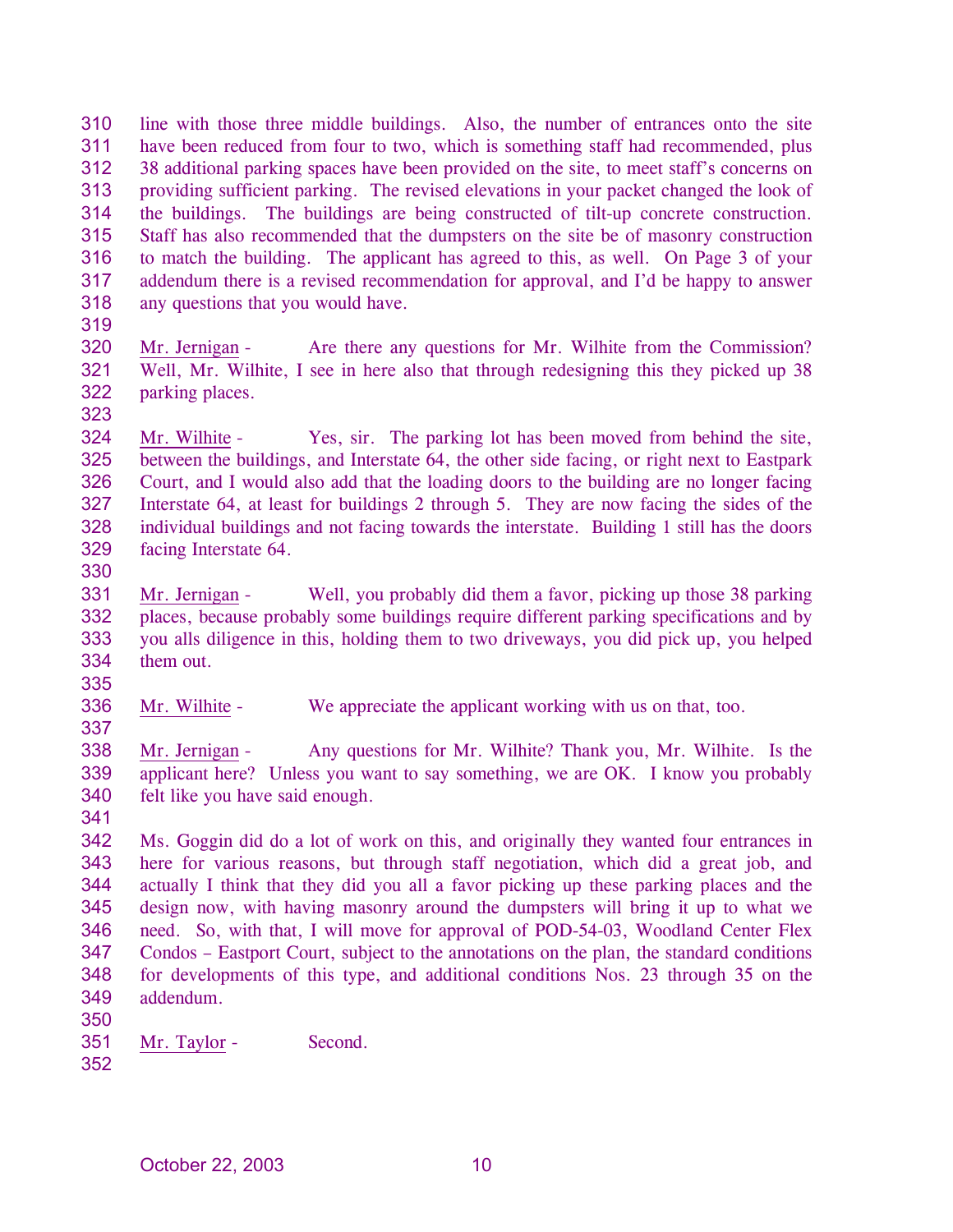310 311 312 313 314 315 316 317 318 line with those three middle buildings. Also, the number of entrances onto the site have been reduced from four to two, which is something staff had recommended, plus 38 additional parking spaces have been provided on the site, to meet staff's concerns on providing sufficient parking. The revised elevations in your packet changed the look of the buildings. The buildings are being constructed of tilt-up concrete construction. Staff has also recommended that the dumpsters on the site be of masonry construction to match the building. The applicant has agreed to this, as well. On Page 3 of your addendum there is a revised recommendation for approval, and I'd be happy to answer any questions that you would have.

- 319
- 320 321 322 Mr. Jernigan - Are there any questions for Mr. Wilhite from the Commission? Well, Mr. Wilhite, I see in here also that through redesigning this they picked up 38 parking places.
- 323

324 325 326 327 328 329 Mr. Wilhite - Yes, sir. The parking lot has been moved from behind the site, between the buildings, and Interstate 64, the other side facing, or right next to Eastpark Court, and I would also add that the loading doors to the building are no longer facing Interstate 64, at least for buildings 2 through 5. They are now facing the sides of the individual buildings and not facing towards the interstate. Building 1 still has the doors facing Interstate 64.

330

331 332 333 334 335 Mr. Jernigan - Well, you probably did them a favor, picking up those 38 parking places, because probably some buildings require different parking specifications and by you alls diligence in this, holding them to two driveways, you did pick up, you helped them out.

336 Mr. Wilhite - We appreciate the applicant working with us on that, too.

338 339 340 Mr. Jernigan - Any questions for Mr. Wilhite? Thank you, Mr. Wilhite. Is the applicant here? Unless you want to say something, we are OK. I know you probably felt like you have said enough.

341

337

342 343 344 345 346 347 348 349 Ms. Goggin did do a lot of work on this, and originally they wanted four entrances in here for various reasons, but through staff negotiation, which did a great job, and actually I think that they did you all a favor picking up these parking places and the design now, with having masonry around the dumpsters will bring it up to what we need. So, with that, I will move for approval of POD-54-03, Woodland Center Flex Condos – Eastport Court, subject to the annotations on the plan, the standard conditions for developments of this type, and additional conditions Nos. 23 through 35 on the addendum.

- 350
- 351 Mr. Taylor - Second.
- 352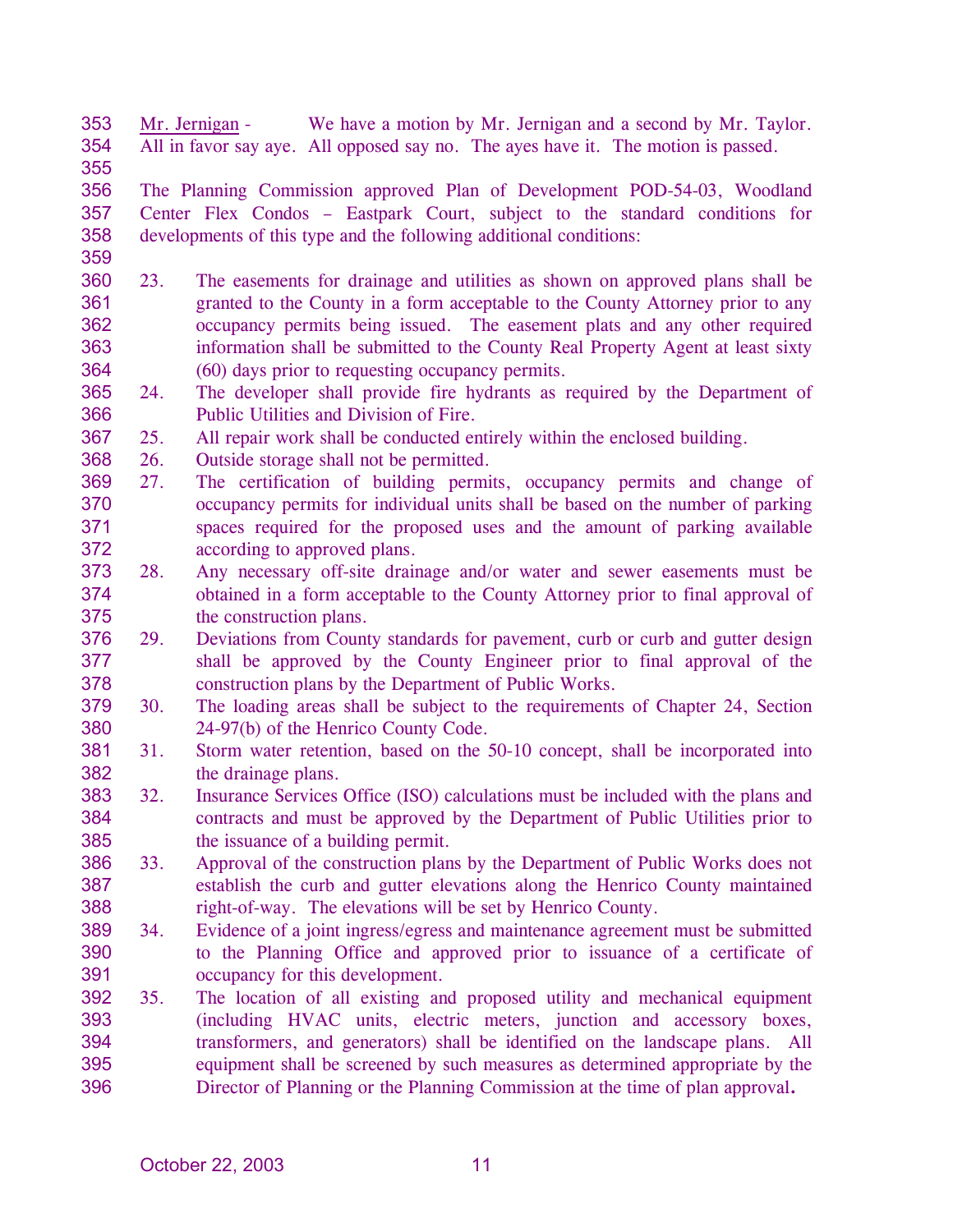353 354 Mr. Jernigan - We have a motion by Mr. Jernigan and a second by Mr. Taylor. All in favor say aye. All opposed say no. The ayes have it. The motion is passed.

356 357 358 The Planning Commission approved Plan of Development POD-54-03, Woodland Center Flex Condos – Eastpark Court, subject to the standard conditions for developments of this type and the following additional conditions:

359

- 360 361 362 363 364 23. The easements for drainage and utilities as shown on approved plans shall be granted to the County in a form acceptable to the County Attorney prior to any occupancy permits being issued. The easement plats and any other required information shall be submitted to the County Real Property Agent at least sixty (60) days prior to requesting occupancy permits.
- 365 366 24. The developer shall provide fire hydrants as required by the Department of Public Utilities and Division of Fire.
- 367 25. All repair work shall be conducted entirely within the enclosed building.
- 368 26. Outside storage shall not be permitted.
- 369 370 371 372 27. The certification of building permits, occupancy permits and change of occupancy permits for individual units shall be based on the number of parking spaces required for the proposed uses and the amount of parking available according to approved plans.
- 373 374 375 28. Any necessary off-site drainage and/or water and sewer easements must be obtained in a form acceptable to the County Attorney prior to final approval of the construction plans.
- 376 377 378 29. Deviations from County standards for pavement, curb or curb and gutter design shall be approved by the County Engineer prior to final approval of the construction plans by the Department of Public Works.
- 379 380 30. The loading areas shall be subject to the requirements of Chapter 24, Section 24-97(b) of the Henrico County Code.
- 381 382 31. Storm water retention, based on the 50-10 concept, shall be incorporated into the drainage plans.
- 383 384 385 32. Insurance Services Office (ISO) calculations must be included with the plans and contracts and must be approved by the Department of Public Utilities prior to the issuance of a building permit.
- 386 387 388 33. Approval of the construction plans by the Department of Public Works does not establish the curb and gutter elevations along the Henrico County maintained right-of-way. The elevations will be set by Henrico County.
- 389 390 391 34. Evidence of a joint ingress/egress and maintenance agreement must be submitted to the Planning Office and approved prior to issuance of a certificate of occupancy for this development.
- 392 393 394 395 396 35. The location of all existing and proposed utility and mechanical equipment (including HVAC units, electric meters, junction and accessory boxes, transformers, and generators) shall be identified on the landscape plans. All equipment shall be screened by such measures as determined appropriate by the Director of Planning or the Planning Commission at the time of plan approval**.**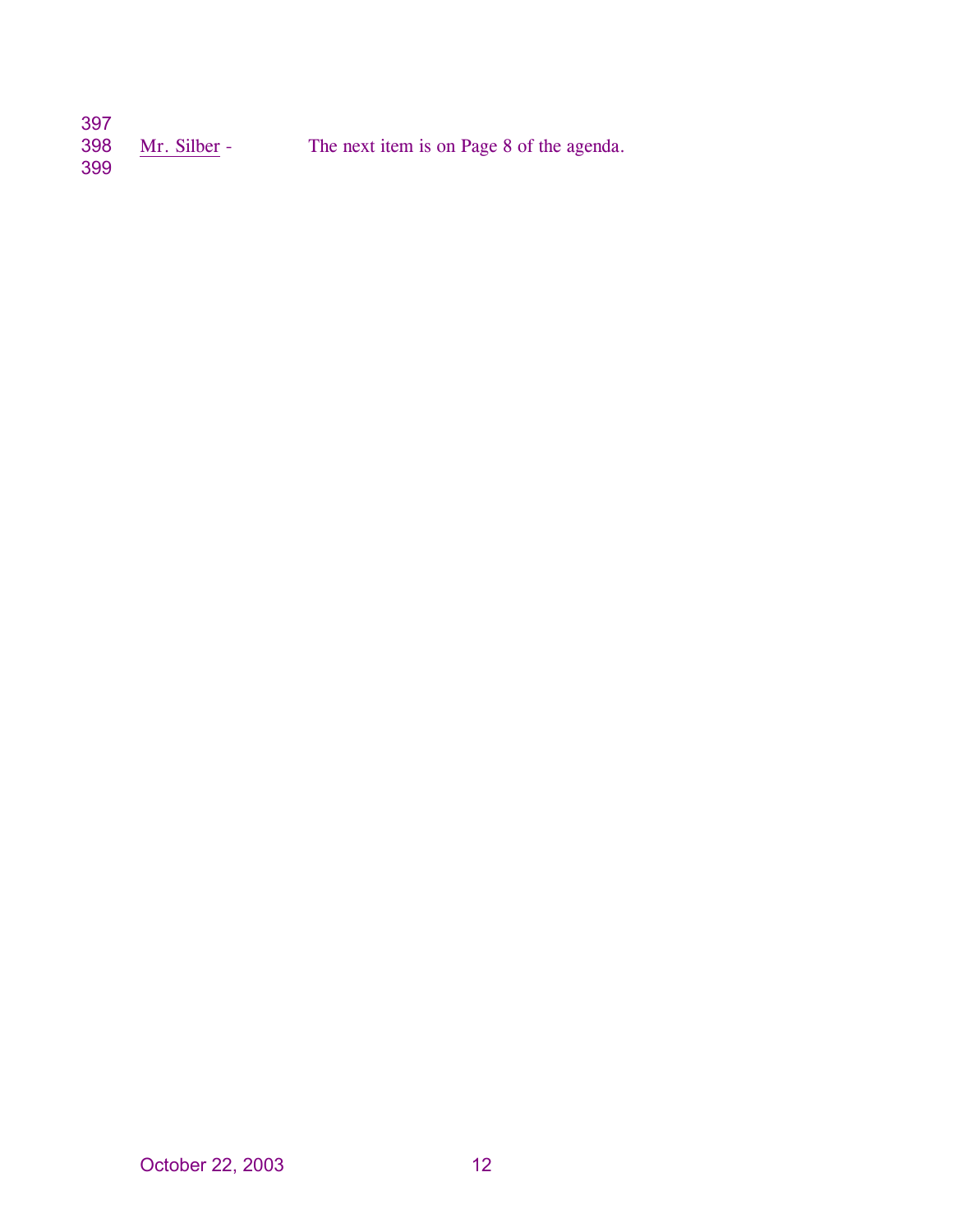| 397        |              |                                           |
|------------|--------------|-------------------------------------------|
| 398<br>399 | Mr. Silber - | The next item is on Page 8 of the agenda. |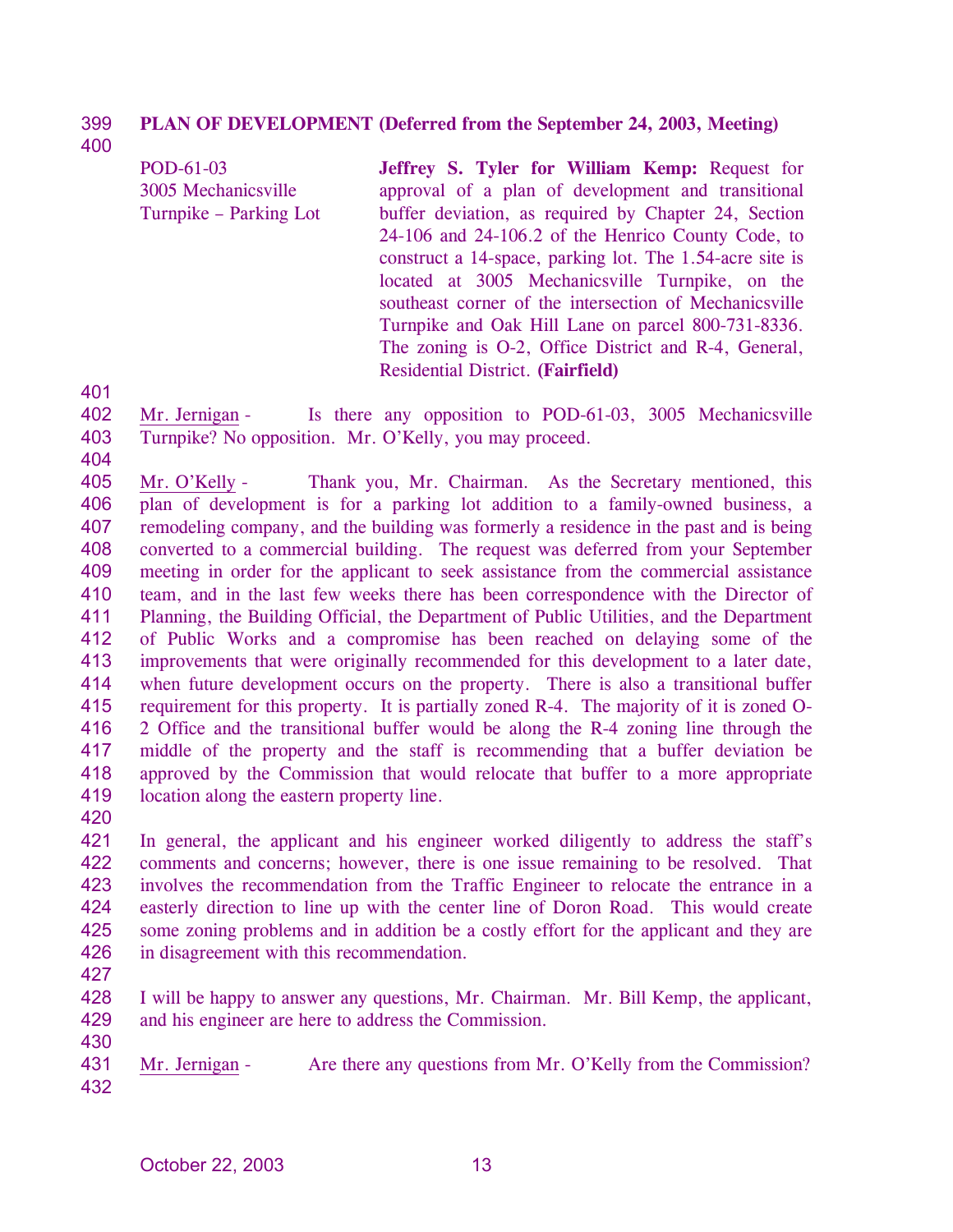### 399 **PLAN OF DEVELOPMENT (Deferred from the September 24, 2003, Meeting)**

400

POD-61-03 3005 Mechanicsville Turnpike – Parking Lot **Jeffrey S. Tyler for William Kemp:** Request for approval of a plan of development and transitional buffer deviation, as required by Chapter 24, Section 24-106 and 24-106.2 of the Henrico County Code, to construct a 14-space, parking lot. The 1.54-acre site is located at 3005 Mechanicsville Turnpike, on the southeast corner of the intersection of Mechanicsville Turnpike and Oak Hill Lane on parcel 800-731-8336. The zoning is O-2, Office District and R-4, General, Residential District. **(Fairfield)** 

401

404

402 403 Mr. Jernigan - Is there any opposition to POD-61-03, 3005 Mechanicsville Turnpike? No opposition. Mr. O'Kelly, you may proceed.

405 406 407 408 409 410 411 412 413 414 415 416 417 418 419 Mr. O'Kelly - Thank you, Mr. Chairman. As the Secretary mentioned, this plan of development is for a parking lot addition to a family-owned business, a remodeling company, and the building was formerly a residence in the past and is being converted to a commercial building. The request was deferred from your September meeting in order for the applicant to seek assistance from the commercial assistance team, and in the last few weeks there has been correspondence with the Director of Planning, the Building Official, the Department of Public Utilities, and the Department of Public Works and a compromise has been reached on delaying some of the improvements that were originally recommended for this development to a later date, when future development occurs on the property. There is also a transitional buffer requirement for this property. It is partially zoned R-4. The majority of it is zoned O-2 Office and the transitional buffer would be along the R-4 zoning line through the middle of the property and the staff is recommending that a buffer deviation be approved by the Commission that would relocate that buffer to a more appropriate location along the eastern property line.

420

421 422 423 424 425 426 In general, the applicant and his engineer worked diligently to address the staff's comments and concerns; however, there is one issue remaining to be resolved. That involves the recommendation from the Traffic Engineer to relocate the entrance in a easterly direction to line up with the center line of Doron Road. This would create some zoning problems and in addition be a costly effort for the applicant and they are in disagreement with this recommendation.

427

428 429 I will be happy to answer any questions, Mr. Chairman. Mr. Bill Kemp, the applicant, and his engineer are here to address the Commission.

430

431 432 Mr. Jernigan - Are there any questions from Mr. O'Kelly from the Commission?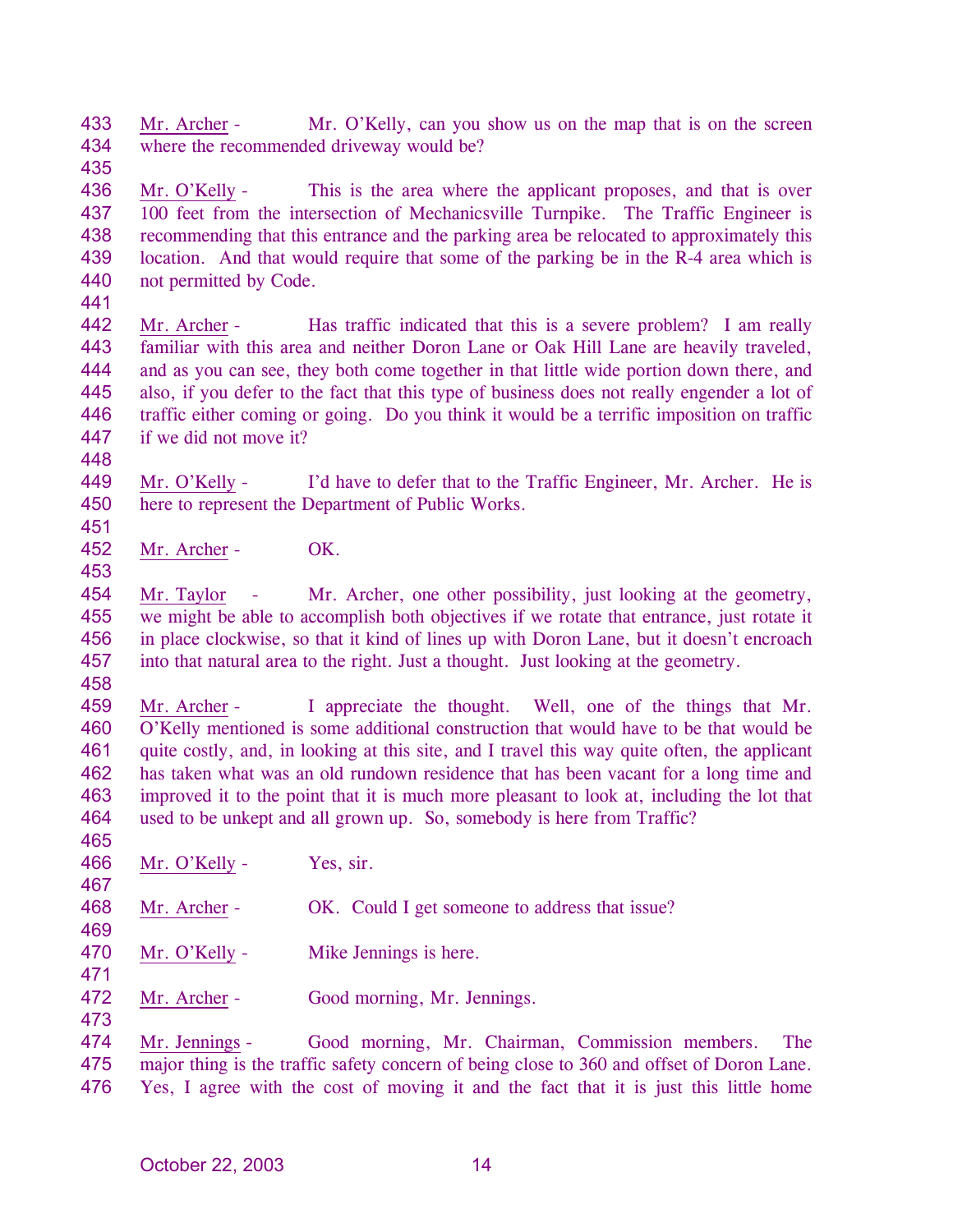433 434 435 Mr. Archer - Mr. O'Kelly, can you show us on the map that is on the screen where the recommended driveway would be?

436 437 438 439 440 Mr. O'Kelly - This is the area where the applicant proposes, and that is over 100 feet from the intersection of Mechanicsville Turnpike. The Traffic Engineer is recommending that this entrance and the parking area be relocated to approximately this location. And that would require that some of the parking be in the R-4 area which is not permitted by Code.

441

442 443 444 445 446 447 Mr. Archer - Has traffic indicated that this is a severe problem? I am really familiar with this area and neither Doron Lane or Oak Hill Lane are heavily traveled, and as you can see, they both come together in that little wide portion down there, and also, if you defer to the fact that this type of business does not really engender a lot of traffic either coming or going. Do you think it would be a terrific imposition on traffic if we did not move it?

449 450 Mr. O'Kelly - I'd have to defer that to the Traffic Engineer, Mr. Archer. He is here to represent the Department of Public Works.

451 452

453

448

Mr. Archer - OK.

454 455 456 457 Mr. Taylor - Mr. Archer, one other possibility, just looking at the geometry, we might be able to accomplish both objectives if we rotate that entrance, just rotate it in place clockwise, so that it kind of lines up with Doron Lane, but it doesn't encroach into that natural area to the right. Just a thought. Just looking at the geometry.

458

467

469

471

473

459 460 461 462 463 464 465 Mr. Archer - I appreciate the thought. Well, one of the things that Mr. O'Kelly mentioned is some additional construction that would have to be that would be quite costly, and, in looking at this site, and I travel this way quite often, the applicant has taken what was an old rundown residence that has been vacant for a long time and improved it to the point that it is much more pleasant to look at, including the lot that used to be unkept and all grown up. So, somebody is here from Traffic?

- 466 Mr. O'Kelly - Yes, sir.
- 468 Mr. Archer - OK. Could I get someone to address that issue?
- 470 Mr. O'Kelly - Mike Jennings is here.
- 472 Mr. Archer - Good morning, Mr. Jennings.

Mr. Jennings - Good morning, Mr. Chairman, Commission members. The major thing is the traffic safety concern of being close to 360 and offset of Doron Lane. Yes, I agree with the cost of moving it and the fact that it is just this little home 474 475 476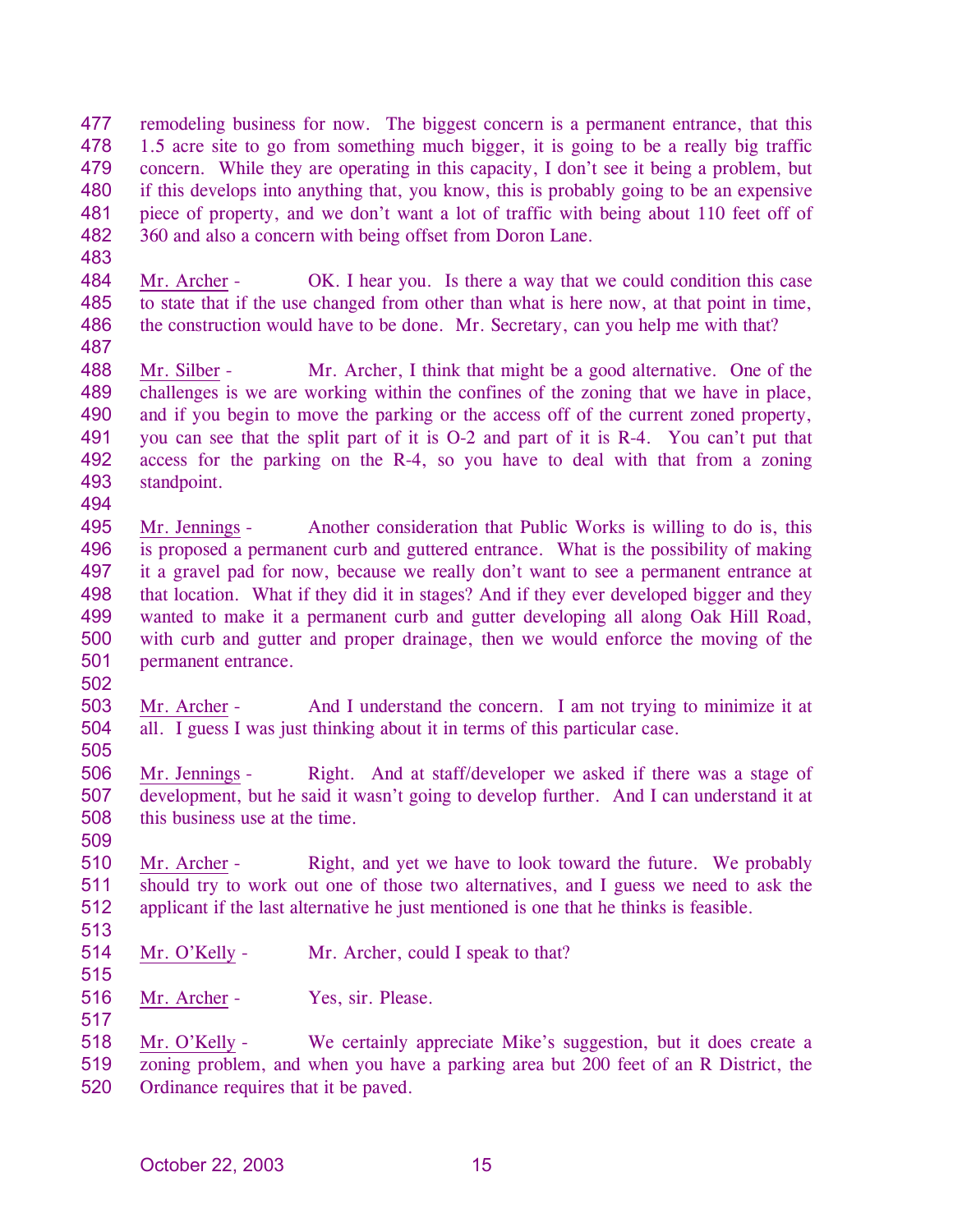477 478 479 480 481 482 remodeling business for now. The biggest concern is a permanent entrance, that this 1.5 acre site to go from something much bigger, it is going to be a really big traffic concern. While they are operating in this capacity, I don't see it being a problem, but if this develops into anything that, you know, this is probably going to be an expensive piece of property, and we don't want a lot of traffic with being about 110 feet off of 360 and also a concern with being offset from Doron Lane.

483

484 485 486 Mr. Archer - OK. I hear you. Is there a way that we could condition this case to state that if the use changed from other than what is here now, at that point in time, the construction would have to be done. Mr. Secretary, can you help me with that?

487

494

488 489 490 491 492 493 Mr. Silber - Mr. Archer, I think that might be a good alternative. One of the challenges is we are working within the confines of the zoning that we have in place, and if you begin to move the parking or the access off of the current zoned property, you can see that the split part of it is O-2 and part of it is R-4. You can't put that access for the parking on the R-4, so you have to deal with that from a zoning standpoint.

495 496 497 498 499 500 501 Mr. Jennings - Another consideration that Public Works is willing to do is, this is proposed a permanent curb and guttered entrance. What is the possibility of making it a gravel pad for now, because we really don't want to see a permanent entrance at that location. What if they did it in stages? And if they ever developed bigger and they wanted to make it a permanent curb and gutter developing all along Oak Hill Road, with curb and gutter and proper drainage, then we would enforce the moving of the permanent entrance.

503 504 Mr. Archer - And I understand the concern. I am not trying to minimize it at all. I guess I was just thinking about it in terms of this particular case.

505

502

506 507 508 509 Mr. Jennings - Right. And at staff/developer we asked if there was a stage of development, but he said it wasn't going to develop further. And I can understand it at this business use at the time.

510 511 512 Mr. Archer - Right, and yet we have to look toward the future. We probably should try to work out one of those two alternatives, and I guess we need to ask the applicant if the last alternative he just mentioned is one that he thinks is feasible.

- 513
- 514 Mr. O'Kelly - Mr. Archer, could I speak to that?
- 515 516

517

Mr. Archer - Yes, sir. Please.

Mr. O'Kelly - We certainly appreciate Mike's suggestion, but it does create a zoning problem, and when you have a parking area but 200 feet of an R District, the Ordinance requires that it be paved. 518 519 520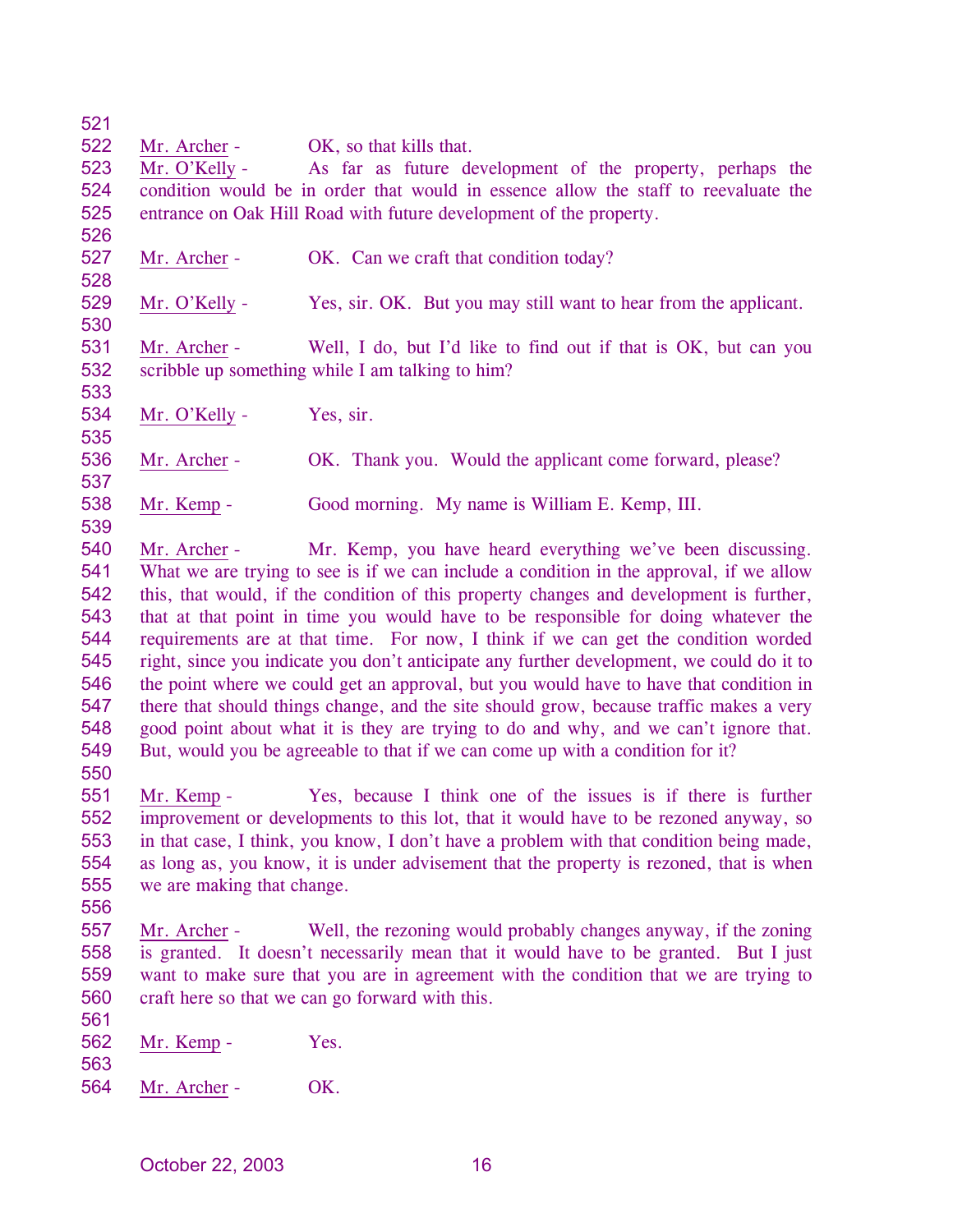522 Mr. Archer - OK, so that kills that.

523 524 525 Mr. O'Kelly - As far as future development of the property, perhaps the condition would be in order that would in essence allow the staff to reevaluate the entrance on Oak Hill Road with future development of the property.

526 527

528

533

535

537

539

- Mr. Archer OK. Can we craft that condition today?
- 529 530 Mr. O'Kelly - Yes, sir. OK. But you may still want to hear from the applicant.

531 532 Mr. Archer - Well, I do, but I'd like to find out if that is OK, but can you scribble up something while I am talking to him?

534 Mr. O'Kelly - Yes, sir.

536 Mr. Archer - OK. Thank you. Would the applicant come forward, please?

538 Mr. Kemp - Good morning. My name is William E. Kemp, III.

540 541 542 543 544 545 546 547 548 549 Mr. Archer - Mr. Kemp, you have heard everything we've been discussing. What we are trying to see is if we can include a condition in the approval, if we allow this, that would, if the condition of this property changes and development is further, that at that point in time you would have to be responsible for doing whatever the requirements are at that time. For now, I think if we can get the condition worded right, since you indicate you don't anticipate any further development, we could do it to the point where we could get an approval, but you would have to have that condition in there that should things change, and the site should grow, because traffic makes a very good point about what it is they are trying to do and why, and we can't ignore that. But, would you be agreeable to that if we can come up with a condition for it?

550

551 552 553 554 555 Mr. Kemp - Yes, because I think one of the issues is if there is further improvement or developments to this lot, that it would have to be rezoned anyway, so in that case, I think, you know, I don't have a problem with that condition being made, as long as, you know, it is under advisement that the property is rezoned, that is when we are making that change.

- 556
- 557 558 559 560 Mr. Archer - Well, the rezoning would probably changes anyway, if the zoning is granted. It doesn't necessarily mean that it would have to be granted. But I just want to make sure that you are in agreement with the condition that we are trying to craft here so that we can go forward with this.
- 562 Mr. Kemp - Yes.
- 563

561

564 Mr. Archer - OK.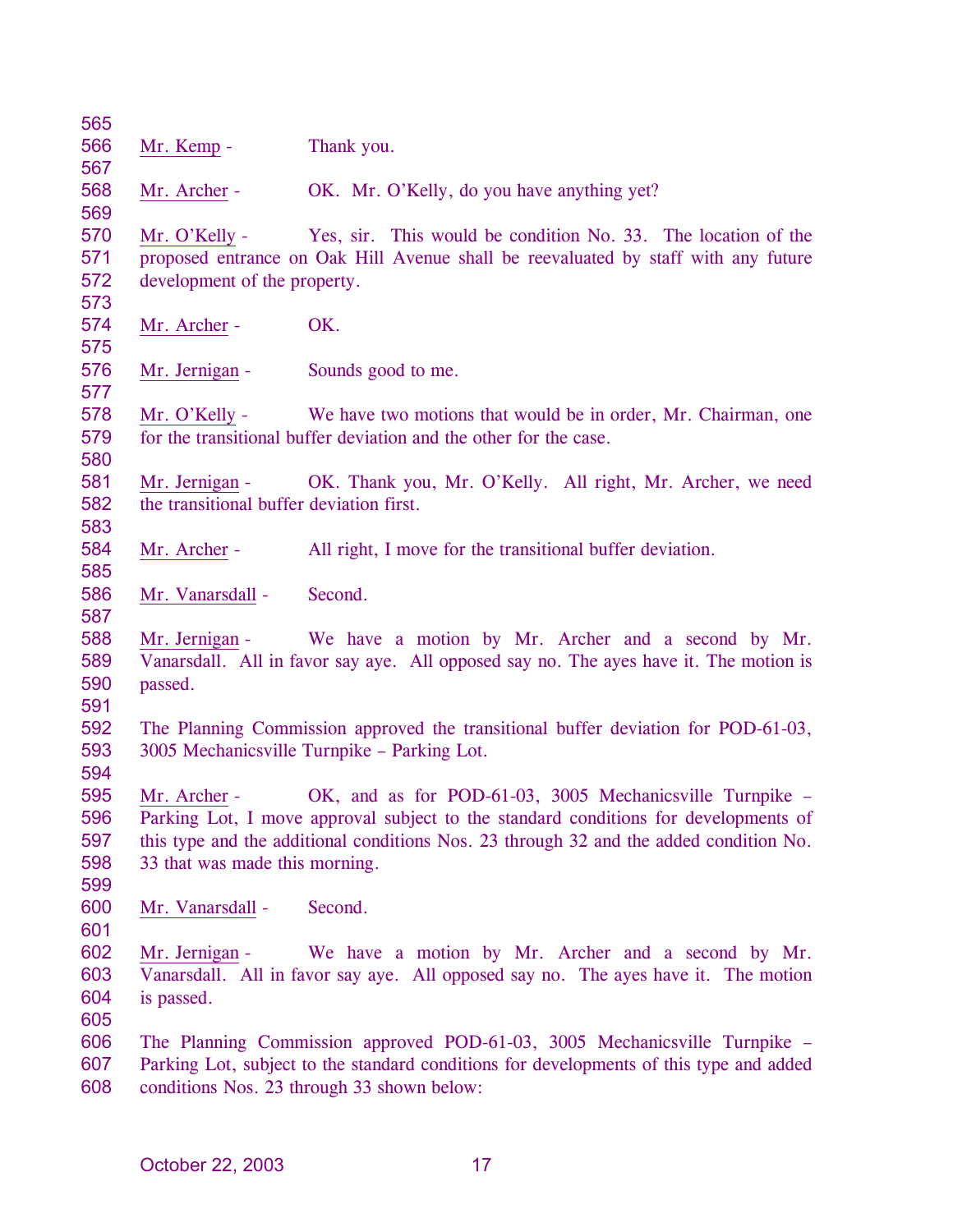| 565        |                                          |                                                                                                                                          |
|------------|------------------------------------------|------------------------------------------------------------------------------------------------------------------------------------------|
| 566        | Mr. Kemp -                               | Thank you.                                                                                                                               |
| 567        |                                          |                                                                                                                                          |
| 568        | Mr. Archer -                             | OK. Mr. O'Kelly, do you have anything yet?                                                                                               |
| 569        |                                          |                                                                                                                                          |
| 570        | Mr. O'Kelly -                            | Yes, sir. This would be condition No. 33. The location of the                                                                            |
| 571        |                                          | proposed entrance on Oak Hill Avenue shall be reevaluated by staff with any future                                                       |
| 572        | development of the property.             |                                                                                                                                          |
| 573        |                                          |                                                                                                                                          |
| 574        | Mr. Archer -                             | OK.                                                                                                                                      |
| 575        |                                          |                                                                                                                                          |
| 576        | Mr. Jernigan -                           | Sounds good to me.                                                                                                                       |
| 577        |                                          |                                                                                                                                          |
| 578        | Mr. O'Kelly -                            | We have two motions that would be in order, Mr. Chairman, one                                                                            |
| 579        |                                          | for the transitional buffer deviation and the other for the case.                                                                        |
| 580        |                                          |                                                                                                                                          |
| 581        | Mr. Jernigan -                           | OK. Thank you, Mr. O'Kelly. All right, Mr. Archer, we need                                                                               |
| 582        | the transitional buffer deviation first. |                                                                                                                                          |
| 583        |                                          |                                                                                                                                          |
| 584        | Mr. Archer -                             | All right, I move for the transitional buffer deviation.                                                                                 |
| 585        |                                          |                                                                                                                                          |
| 586        | Mr. Vanarsdall -                         | Second.                                                                                                                                  |
| 587        |                                          |                                                                                                                                          |
| 588        | Mr. Jernigan -                           | We have a motion by Mr. Archer and a second by Mr.                                                                                       |
| 589        |                                          | Vanarsdall. All in favor say aye. All opposed say no. The ayes have it. The motion is                                                    |
| 590        | passed.                                  |                                                                                                                                          |
| 591        |                                          |                                                                                                                                          |
| 592        |                                          | The Planning Commission approved the transitional buffer deviation for POD-61-03,                                                        |
| 593        |                                          | 3005 Mechanicsville Turnpike - Parking Lot.                                                                                              |
| 594        |                                          |                                                                                                                                          |
| 595        | Mr. Archer -                             | OK, and as for POD-61-03, 3005 Mechanicsville Turnpike -                                                                                 |
| 596        |                                          | Parking Lot, I move approval subject to the standard conditions for developments of                                                      |
| 597        |                                          | this type and the additional conditions Nos. 23 through 32 and the added condition No.                                                   |
| 598        | 33 that was made this morning.           |                                                                                                                                          |
| 599        |                                          |                                                                                                                                          |
| 600<br>601 | Mr. Vanarsdall -                         | Second.                                                                                                                                  |
| 602        |                                          |                                                                                                                                          |
| 603        | Mr. Jernigan -                           | We have a motion by Mr. Archer and a second by Mr.<br>Vanarsdall. All in favor say aye. All opposed say no. The ayes have it. The motion |
| 604        |                                          |                                                                                                                                          |
| 605        | is passed.                               |                                                                                                                                          |
| 606        |                                          | The Planning Commission approved POD-61-03, 3005 Mechanicsville Turnpike –                                                               |
| 607        |                                          | Parking Lot, subject to the standard conditions for developments of this type and added                                                  |
| 608        |                                          | conditions Nos. 23 through 33 shown below:                                                                                               |
|            |                                          |                                                                                                                                          |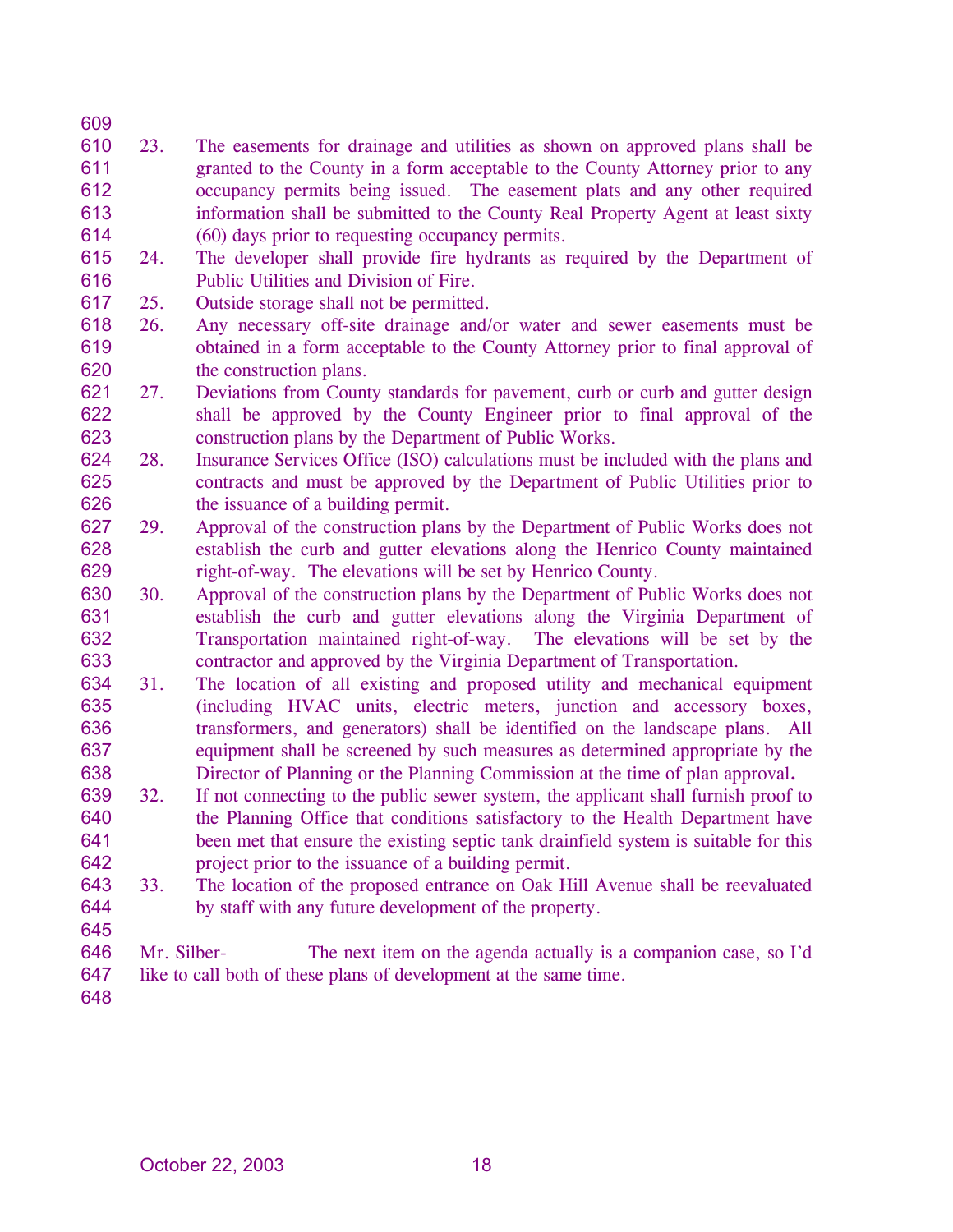- 610 611 612 613 614 23. The easements for drainage and utilities as shown on approved plans shall be granted to the County in a form acceptable to the County Attorney prior to any occupancy permits being issued. The easement plats and any other required information shall be submitted to the County Real Property Agent at least sixty (60) days prior to requesting occupancy permits.
- 615 616 24. The developer shall provide fire hydrants as required by the Department of Public Utilities and Division of Fire.
- 617 25. Outside storage shall not be permitted.
- 618 619 620 26. Any necessary off-site drainage and/or water and sewer easements must be obtained in a form acceptable to the County Attorney prior to final approval of the construction plans.
- 621 622 623 27. Deviations from County standards for pavement, curb or curb and gutter design shall be approved by the County Engineer prior to final approval of the construction plans by the Department of Public Works.
- 624 625 626 28. Insurance Services Office (ISO) calculations must be included with the plans and contracts and must be approved by the Department of Public Utilities prior to the issuance of a building permit.
- 627 628 629 29. Approval of the construction plans by the Department of Public Works does not establish the curb and gutter elevations along the Henrico County maintained right-of-way. The elevations will be set by Henrico County.
- 630 631 632 633 30. Approval of the construction plans by the Department of Public Works does not establish the curb and gutter elevations along the Virginia Department of Transportation maintained right-of-way. The elevations will be set by the contractor and approved by the Virginia Department of Transportation.
- 634 635 636 637 638 31. The location of all existing and proposed utility and mechanical equipment (including HVAC units, electric meters, junction and accessory boxes, transformers, and generators) shall be identified on the landscape plans. All equipment shall be screened by such measures as determined appropriate by the Director of Planning or the Planning Commission at the time of plan approval**.**
- 639 640 641 642 32. If not connecting to the public sewer system, the applicant shall furnish proof to the Planning Office that conditions satisfactory to the Health Department have been met that ensure the existing septic tank drainfield system is suitable for this project prior to the issuance of a building permit.
- 643 644 33. The location of the proposed entrance on Oak Hill Avenue shall be reevaluated by staff with any future development of the property.
- 645

- Mr. Silber- The next item on the agenda actually is a companion case, so I'd like to call both of these plans of development at the same time. 646 647
- 648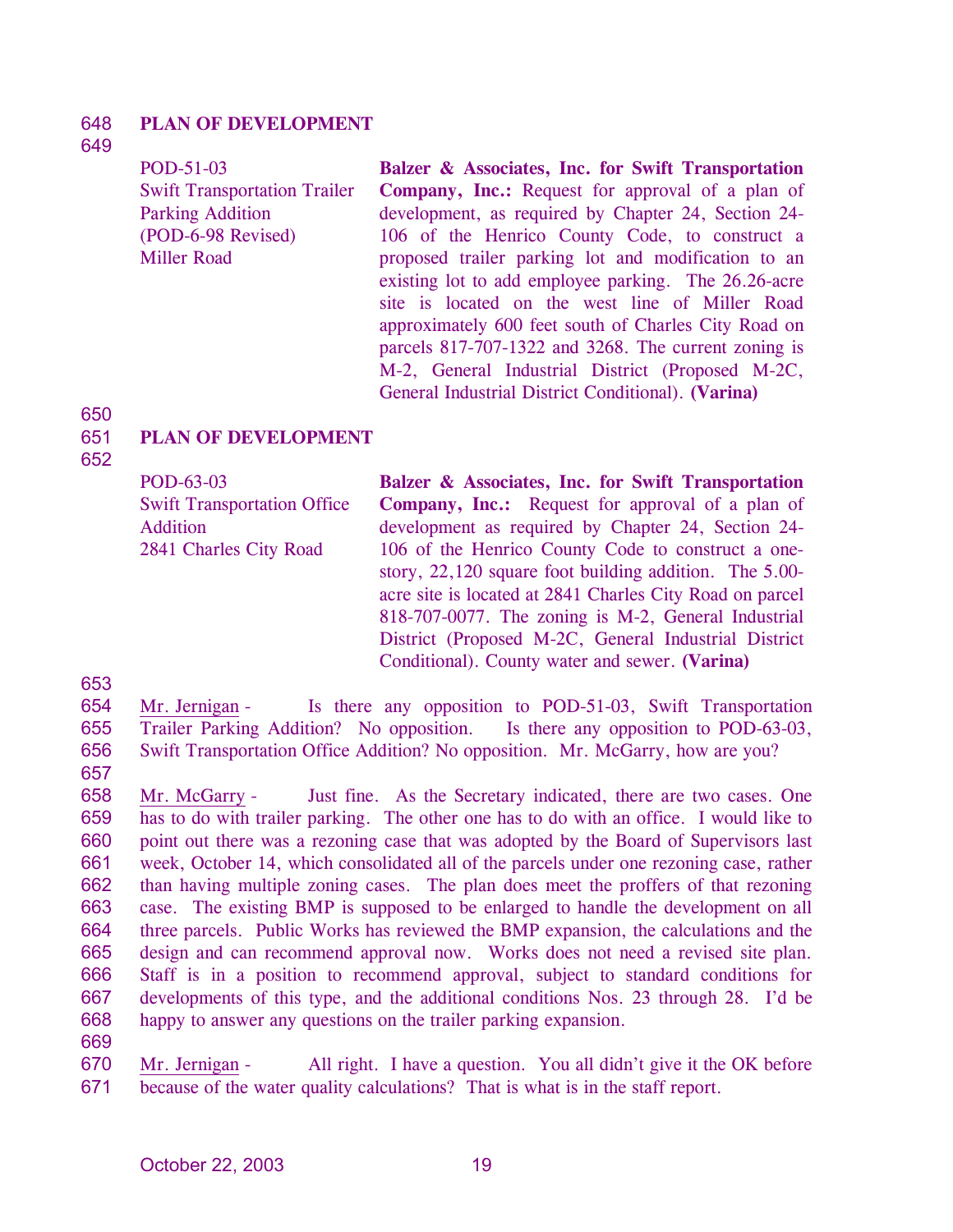#### 648 **PLAN OF DEVELOPMENT**

## 649

POD-51-03 Swift Transportation Trailer Parking Addition (POD-6-98 Revised) Miller Road **Balzer & Associates, Inc. for Swift Transportation Company, Inc.:** Request for approval of a plan of development, as required by Chapter 24, Section 24- 106 of the Henrico County Code, to construct a proposed trailer parking lot and modification to an existing lot to add employee parking. The 26.26-acre site is located on the west line of Miller Road approximately 600 feet south of Charles City Road on parcels 817-707-1322 and 3268. The current zoning is M-2, General Industrial District (Proposed M-2C, General Industrial District Conditional). **(Varina)** 

## 650

#### 651 **PLAN OF DEVELOPMENT**

652

POD-63-03 Swift Transportation Office Addition 2841 Charles City Road **Balzer & Associates, Inc. for Swift Transportation Company, Inc.:** Request for approval of a plan of development as required by Chapter 24, Section 24- 106 of the Henrico County Code to construct a onestory, 22,120 square foot building addition. The 5.00 acre site is located at 2841 Charles City Road on parcel 818-707-0077. The zoning is M-2, General Industrial District (Proposed M-2C, General Industrial District Conditional). County water and sewer. **(Varina)** 

653

654 655 656 Mr. Jernigan - Is there any opposition to POD-51-03, Swift Transportation Trailer Parking Addition? No opposition. Is there any opposition to POD-63-03, Swift Transportation Office Addition? No opposition. Mr. McGarry, how are you?

657

658 659 660 661 662 663 664 665 666 667 668 Mr. McGarry - Just fine. As the Secretary indicated, there are two cases. One has to do with trailer parking. The other one has to do with an office. I would like to point out there was a rezoning case that was adopted by the Board of Supervisors last week, October 14, which consolidated all of the parcels under one rezoning case, rather than having multiple zoning cases. The plan does meet the proffers of that rezoning case. The existing BMP is supposed to be enlarged to handle the development on all three parcels. Public Works has reviewed the BMP expansion, the calculations and the design and can recommend approval now. Works does not need a revised site plan. Staff is in a position to recommend approval, subject to standard conditions for developments of this type, and the additional conditions Nos. 23 through 28. I'd be happy to answer any questions on the trailer parking expansion.

669

Mr. Jernigan - All right. I have a question. You all didn't give it the OK before because of the water quality calculations? That is what is in the staff report. 670 671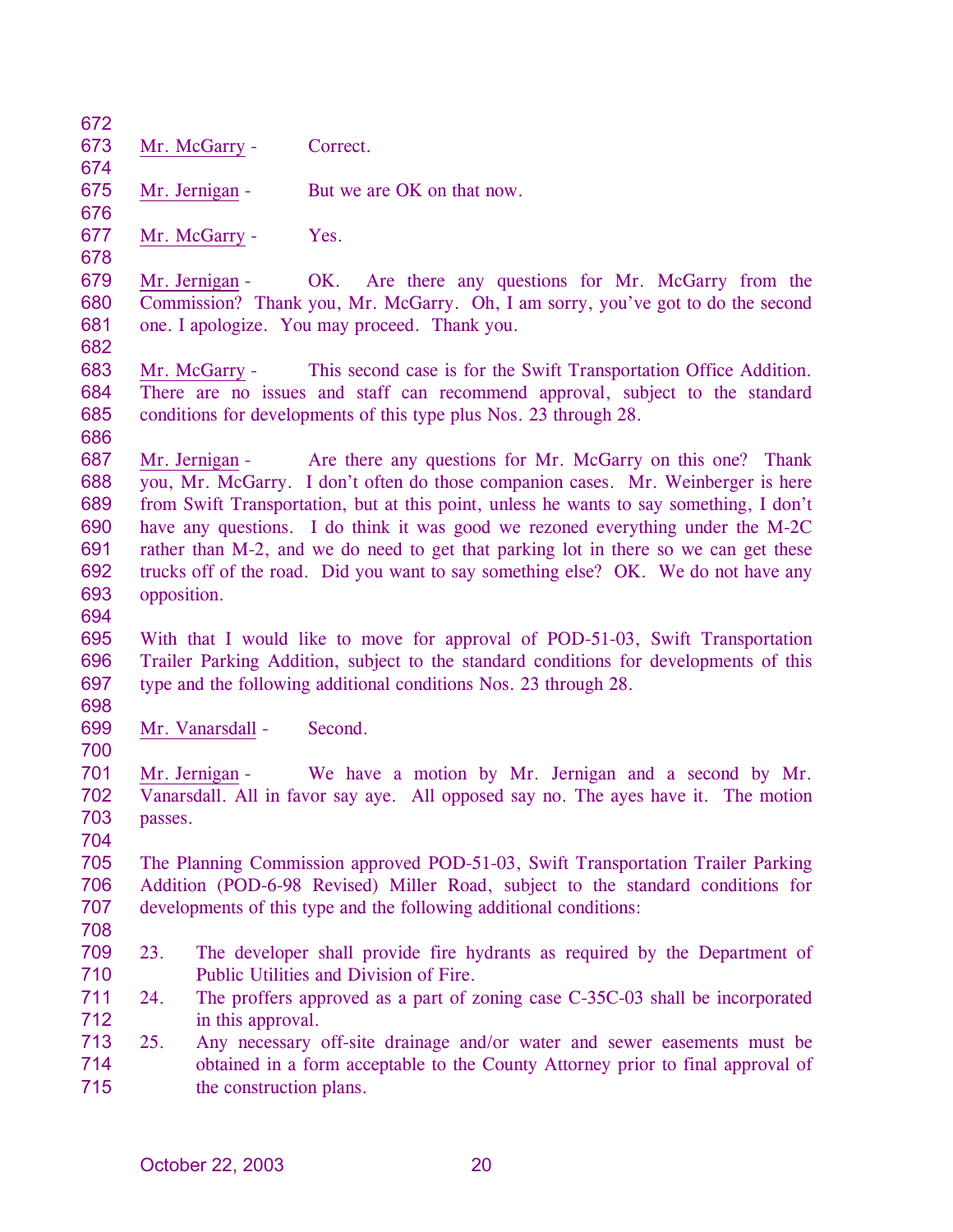| 672        |                                                                                       |                         |                                                                                                                                                                     |
|------------|---------------------------------------------------------------------------------------|-------------------------|---------------------------------------------------------------------------------------------------------------------------------------------------------------------|
| 673        |                                                                                       | Mr. McGarry -           | Correct.                                                                                                                                                            |
| 674        |                                                                                       |                         |                                                                                                                                                                     |
| 675        |                                                                                       | Mr. Jernigan -          | But we are OK on that now.                                                                                                                                          |
| 676        |                                                                                       |                         |                                                                                                                                                                     |
| 677        |                                                                                       | Mr. McGarry -           | Yes.                                                                                                                                                                |
| 678        |                                                                                       |                         |                                                                                                                                                                     |
| 679        |                                                                                       | Mr. Jernigan -          | OK. Are there any questions for Mr. McGarry from the                                                                                                                |
| 680<br>681 |                                                                                       |                         | Commission? Thank you, Mr. McGarry. Oh, I am sorry, you've got to do the second<br>one. I apologize. You may proceed. Thank you.                                    |
| 682        |                                                                                       |                         |                                                                                                                                                                     |
| 683        |                                                                                       | Mr. McGarry -           | This second case is for the Swift Transportation Office Addition.                                                                                                   |
| 684        |                                                                                       |                         | There are no issues and staff can recommend approval, subject to the standard                                                                                       |
| 685        |                                                                                       |                         | conditions for developments of this type plus Nos. 23 through 28.                                                                                                   |
| 686        |                                                                                       |                         |                                                                                                                                                                     |
| 687        |                                                                                       | Mr. Jernigan -          | Are there any questions for Mr. McGarry on this one? Thank                                                                                                          |
| 688        |                                                                                       |                         | you, Mr. McGarry. I don't often do those companion cases. Mr. Weinberger is here                                                                                    |
| 689        |                                                                                       |                         | from Swift Transportation, but at this point, unless he wants to say something, I don't                                                                             |
| 690        |                                                                                       |                         | have any questions. I do think it was good we rezoned everything under the M-2C                                                                                     |
| 691        |                                                                                       |                         | rather than M-2, and we do need to get that parking lot in there so we can get these                                                                                |
| 692        |                                                                                       |                         | trucks off of the road. Did you want to say something else? OK. We do not have any                                                                                  |
| 693        | opposition.                                                                           |                         |                                                                                                                                                                     |
| 694        |                                                                                       |                         |                                                                                                                                                                     |
| 695        |                                                                                       |                         | With that I would like to move for approval of POD-51-03, Swift Transportation                                                                                      |
| 696        | Trailer Parking Addition, subject to the standard conditions for developments of this |                         |                                                                                                                                                                     |
| 697        |                                                                                       |                         | type and the following additional conditions Nos. 23 through 28.                                                                                                    |
| 698        |                                                                                       |                         |                                                                                                                                                                     |
| 699        |                                                                                       | Mr. Vanarsdall -        | Second.                                                                                                                                                             |
| 700        |                                                                                       |                         |                                                                                                                                                                     |
| 701        |                                                                                       | Mr. Jernigan -          | We have a motion by Mr. Jernigan and a second by Mr.                                                                                                                |
| 702        |                                                                                       |                         | Vanarsdall. All in favor say aye. All opposed say no. The ayes have it. The motion                                                                                  |
| 703        | passes.                                                                               |                         |                                                                                                                                                                     |
| 704        |                                                                                       |                         |                                                                                                                                                                     |
| 705<br>706 |                                                                                       |                         | The Planning Commission approved POD-51-03, Swift Transportation Trailer Parking<br>Addition (POD-6-98 Revised) Miller Road, subject to the standard conditions for |
| 707        |                                                                                       |                         | developments of this type and the following additional conditions:                                                                                                  |
| 708        |                                                                                       |                         |                                                                                                                                                                     |
| 709        | 23.                                                                                   |                         | The developer shall provide fire hydrants as required by the Department of                                                                                          |
| 710        |                                                                                       |                         | Public Utilities and Division of Fire.                                                                                                                              |
| 711        | 24.                                                                                   |                         | The proffers approved as a part of zoning case C-35C-03 shall be incorporated                                                                                       |
| 712        |                                                                                       | in this approval.       |                                                                                                                                                                     |
| 713        | 25.                                                                                   |                         | Any necessary off-site drainage and/or water and sewer easements must be                                                                                            |
| 714        |                                                                                       |                         | obtained in a form acceptable to the County Attorney prior to final approval of                                                                                     |
| 715        |                                                                                       | the construction plans. |                                                                                                                                                                     |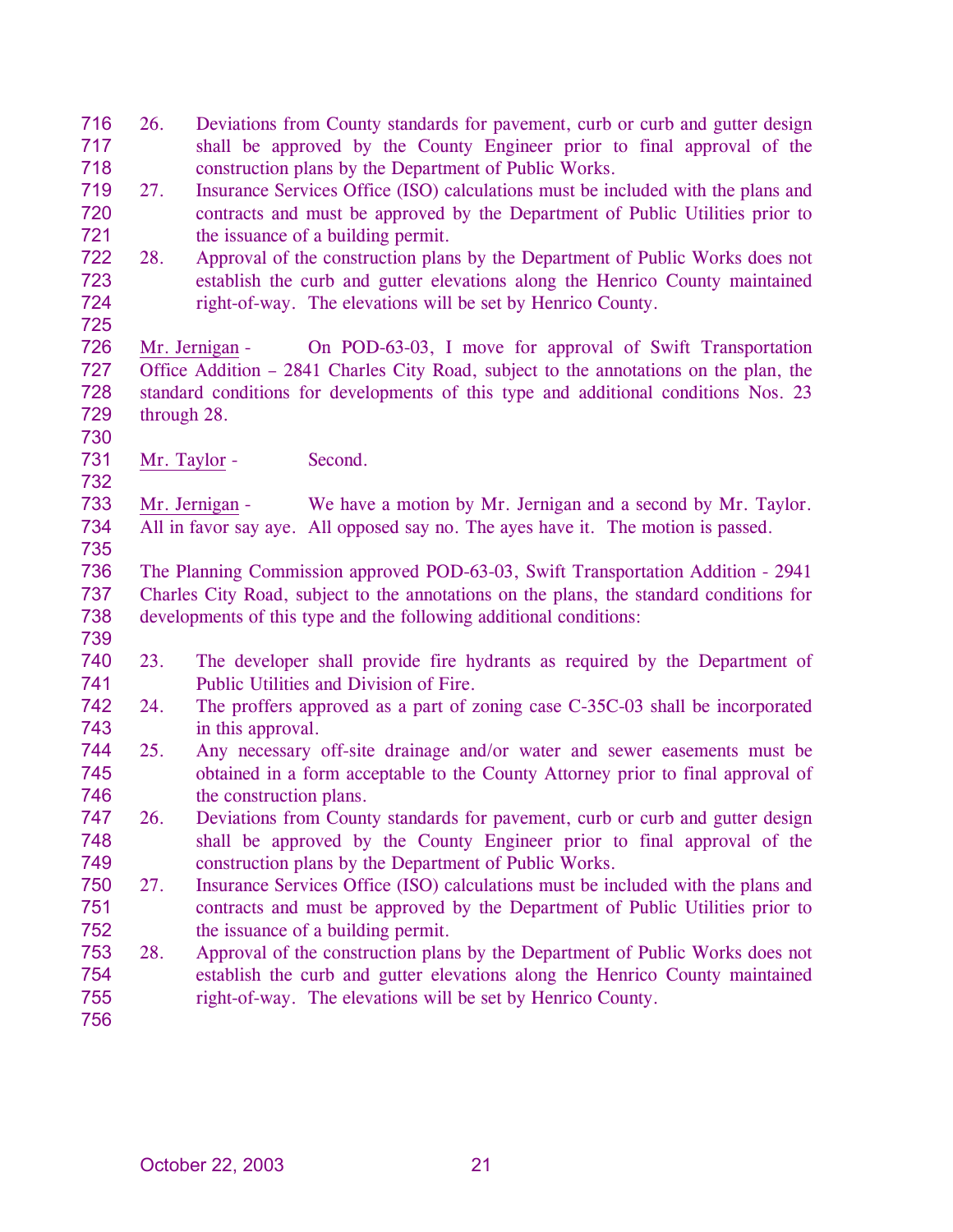| 716 | 26.                                                                | Deviations from County standards for pavement, curb or curb and gutter design           |  |  |  |
|-----|--------------------------------------------------------------------|-----------------------------------------------------------------------------------------|--|--|--|
| 717 |                                                                    | shall be approved by the County Engineer prior to final approval of the                 |  |  |  |
| 718 |                                                                    | construction plans by the Department of Public Works.                                   |  |  |  |
| 719 | 27.                                                                | Insurance Services Office (ISO) calculations must be included with the plans and        |  |  |  |
| 720 |                                                                    | contracts and must be approved by the Department of Public Utilities prior to           |  |  |  |
| 721 |                                                                    | the issuance of a building permit.                                                      |  |  |  |
| 722 | 28.                                                                | Approval of the construction plans by the Department of Public Works does not           |  |  |  |
| 723 |                                                                    | establish the curb and gutter elevations along the Henrico County maintained            |  |  |  |
| 724 |                                                                    | right-of-way. The elevations will be set by Henrico County.                             |  |  |  |
| 725 |                                                                    |                                                                                         |  |  |  |
| 726 |                                                                    | On POD-63-03, I move for approval of Swift Transportation<br>Mr. Jernigan -             |  |  |  |
| 727 |                                                                    | Office Addition – 2841 Charles City Road, subject to the annotations on the plan, the   |  |  |  |
| 728 |                                                                    | standard conditions for developments of this type and additional conditions Nos. 23     |  |  |  |
| 729 | through 28.                                                        |                                                                                         |  |  |  |
| 730 |                                                                    |                                                                                         |  |  |  |
| 731 | Mr. Taylor -                                                       | Second.                                                                                 |  |  |  |
| 732 |                                                                    |                                                                                         |  |  |  |
| 733 |                                                                    | We have a motion by Mr. Jernigan and a second by Mr. Taylor.<br>Mr. Jernigan -          |  |  |  |
| 734 |                                                                    | All in favor say aye. All opposed say no. The ayes have it. The motion is passed.       |  |  |  |
| 735 |                                                                    |                                                                                         |  |  |  |
| 736 |                                                                    | The Planning Commission approved POD-63-03, Swift Transportation Addition - 2941        |  |  |  |
| 737 |                                                                    | Charles City Road, subject to the annotations on the plans, the standard conditions for |  |  |  |
| 738 | developments of this type and the following additional conditions: |                                                                                         |  |  |  |
| 739 |                                                                    |                                                                                         |  |  |  |
| 740 | 23.                                                                | The developer shall provide fire hydrants as required by the Department of              |  |  |  |
| 741 |                                                                    | Public Utilities and Division of Fire.                                                  |  |  |  |
| 742 | 24.                                                                | The proffers approved as a part of zoning case C-35C-03 shall be incorporated           |  |  |  |
| 743 |                                                                    | in this approval.                                                                       |  |  |  |
| 744 | 25.                                                                | Any necessary off-site drainage and/or water and sewer easements must be                |  |  |  |
| 745 |                                                                    | obtained in a form acceptable to the County Attorney prior to final approval of         |  |  |  |
| 746 |                                                                    | the construction plans.                                                                 |  |  |  |
| 747 | 26.                                                                | Deviations from County standards for pavement, curb or curb and gutter design           |  |  |  |
| 748 |                                                                    | shall be approved by the County Engineer prior to final approval of the                 |  |  |  |
| 749 |                                                                    | construction plans by the Department of Public Works.                                   |  |  |  |
| 750 | 27.                                                                | Insurance Services Office (ISO) calculations must be included with the plans and        |  |  |  |
| 751 |                                                                    | contracts and must be approved by the Department of Public Utilities prior to           |  |  |  |
| 752 |                                                                    | the issuance of a building permit.                                                      |  |  |  |
| 753 | 28.                                                                | Approval of the construction plans by the Department of Public Works does not           |  |  |  |
| 754 |                                                                    | establish the curb and gutter elevations along the Henrico County maintained            |  |  |  |
| 755 |                                                                    | right-of-way. The elevations will be set by Henrico County.                             |  |  |  |
| 756 |                                                                    |                                                                                         |  |  |  |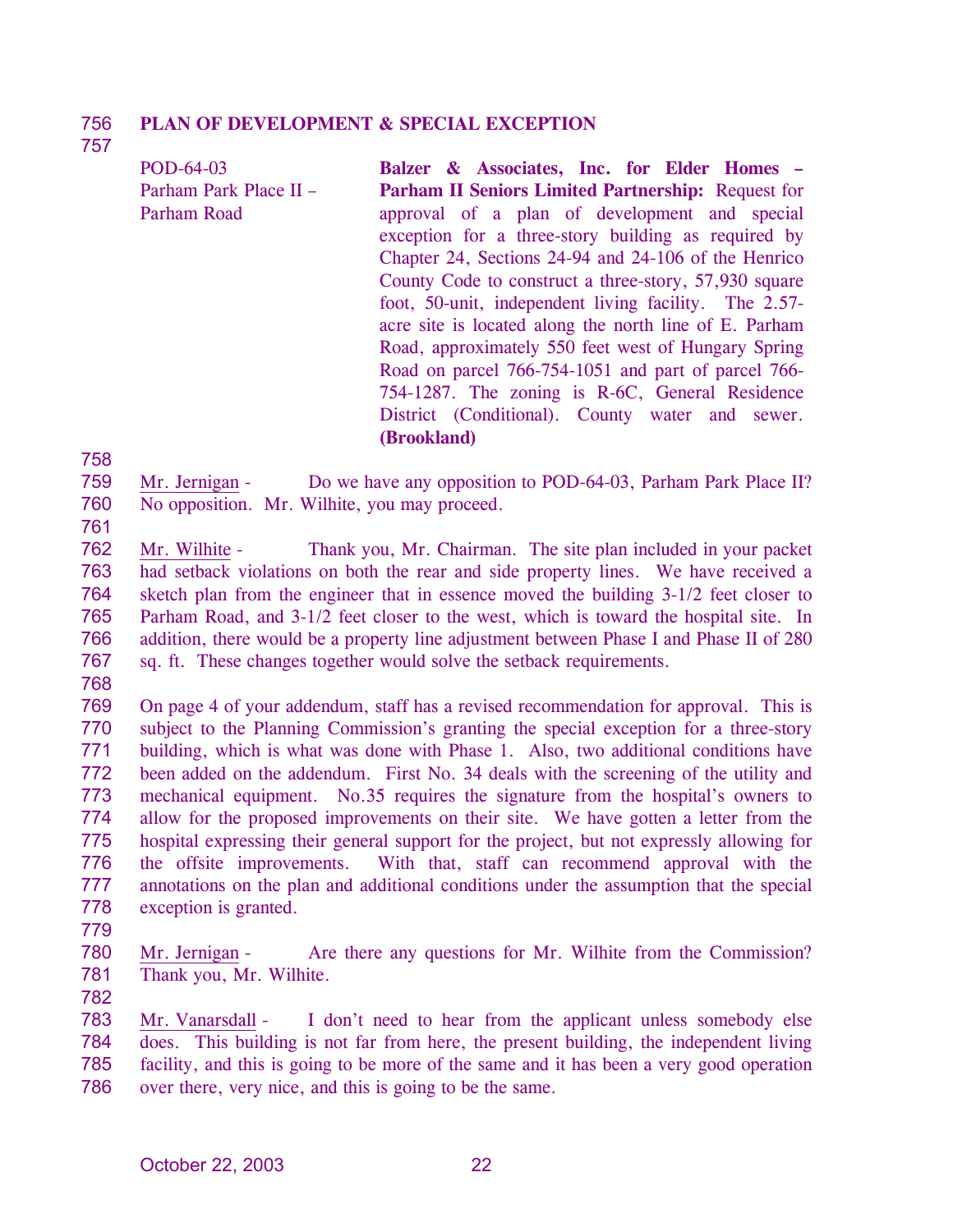#### 756 **PLAN OF DEVELOPMENT & SPECIAL EXCEPTION**

757

| POD-64-03              | Balzer & Associates, Inc. for Elder Homes -               |
|------------------------|-----------------------------------------------------------|
| Parham Park Place II - | <b>Parham II Seniors Limited Partnership:</b> Request for |
| Parham Road            | approval of a plan of development and special             |
|                        | exception for a three-story building as required by       |
|                        | Chapter 24, Sections 24-94 and 24-106 of the Henrico      |
|                        | County Code to construct a three-story, 57,930 square     |
|                        | foot, 50-unit, independent living facility. The 2.57-     |
|                        | acre site is located along the north line of E. Parham    |
|                        | Road, approximately 550 feet west of Hungary Spring       |
|                        | Road on parcel 766-754-1051 and part of parcel 766-       |
|                        | 754-1287. The zoning is R-6C, General Residence           |
|                        | District (Conditional). County water and sewer.           |
|                        | (Brookland)                                               |

758

761

- 759 760 Mr. Jernigan - Do we have any opposition to POD-64-03, Parham Park Place II? No opposition. Mr. Wilhite, you may proceed.
- 762 763 764 765 766 767 Mr. Wilhite - Thank you, Mr. Chairman. The site plan included in your packet had setback violations on both the rear and side property lines. We have received a sketch plan from the engineer that in essence moved the building 3-1/2 feet closer to Parham Road, and 3-1/2 feet closer to the west, which is toward the hospital site. In addition, there would be a property line adjustment between Phase I and Phase II of 280 sq. ft. These changes together would solve the setback requirements.
- 768
- 769 770 771 772 773 774 775 776 777 778 On page 4 of your addendum, staff has a revised recommendation for approval. This is subject to the Planning Commission's granting the special exception for a three-story building, which is what was done with Phase 1. Also, two additional conditions have been added on the addendum. First No. 34 deals with the screening of the utility and mechanical equipment. No.35 requires the signature from the hospital's owners to allow for the proposed improvements on their site. We have gotten a letter from the hospital expressing their general support for the project, but not expressly allowing for the offsite improvements. With that, staff can recommend approval with the annotations on the plan and additional conditions under the assumption that the special exception is granted.
- 779
- 780 781 Mr. Jernigan - Are there any questions for Mr. Wilhite from the Commission? Thank you, Mr. Wilhite.
- 782

Mr. Vanarsdall - I don't need to hear from the applicant unless somebody else does. This building is not far from here, the present building, the independent living facility, and this is going to be more of the same and it has been a very good operation over there, very nice, and this is going to be the same. 783 784 785 786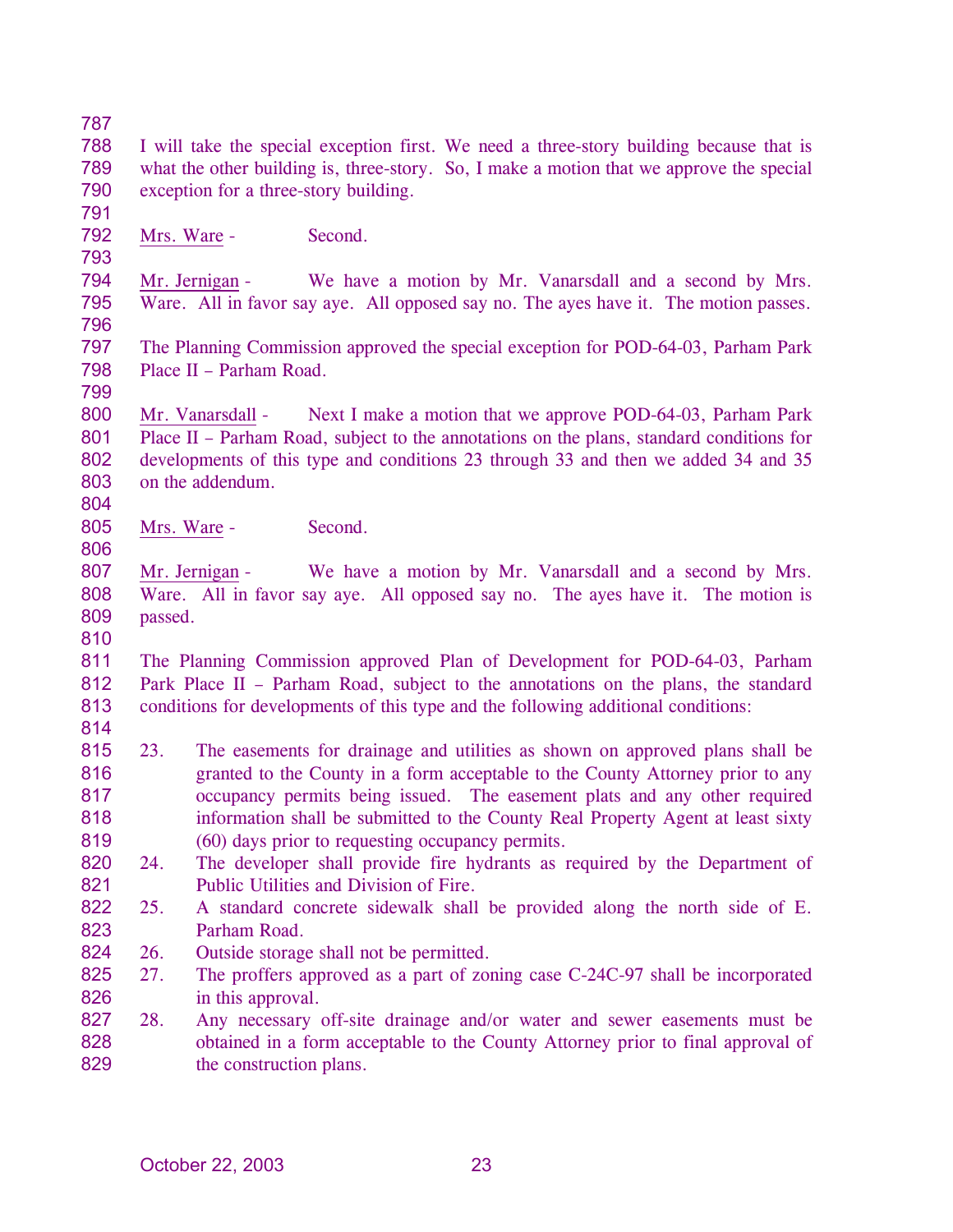788 789 790 I will take the special exception first. We need a three-story building because that is what the other building is, three-story. So, I make a motion that we approve the special exception for a three-story building.

- 792 Mrs. Ware - Second.
- 793

791

794 795 796 Mr. Jernigan - We have a motion by Mr. Vanarsdall and a second by Mrs. Ware. All in favor say aye. All opposed say no. The ayes have it. The motion passes.

797 798 The Planning Commission approved the special exception for POD-64-03, Parham Park Place II – Parham Road.

799

804

806

800 801 802 803 Mr. Vanarsdall - Next I make a motion that we approve POD-64-03, Parham Park Place II – Parham Road, subject to the annotations on the plans, standard conditions for developments of this type and conditions 23 through 33 and then we added 34 and 35 on the addendum.

805 Mrs. Ware - Second.

807 808 809 Mr. Jernigan - We have a motion by Mr. Vanarsdall and a second by Mrs. Ware. All in favor say aye. All opposed say no. The ayes have it. The motion is passed.

810

811 812 813 814 The Planning Commission approved Plan of Development for POD-64-03, Parham Park Place II – Parham Road, subject to the annotations on the plans, the standard conditions for developments of this type and the following additional conditions:

- 815 816 817 818 819 23. The easements for drainage and utilities as shown on approved plans shall be granted to the County in a form acceptable to the County Attorney prior to any occupancy permits being issued. The easement plats and any other required information shall be submitted to the County Real Property Agent at least sixty (60) days prior to requesting occupancy permits.
- 820 821 24. The developer shall provide fire hydrants as required by the Department of Public Utilities and Division of Fire.
- 822 823 25. A standard concrete sidewalk shall be provided along the north side of E. Parham Road.
- 824 26. Outside storage shall not be permitted.
- 825 826 27. The proffers approved as a part of zoning case C-24C-97 shall be incorporated in this approval.
- 827 828 829 28. Any necessary off-site drainage and/or water and sewer easements must be obtained in a form acceptable to the County Attorney prior to final approval of the construction plans.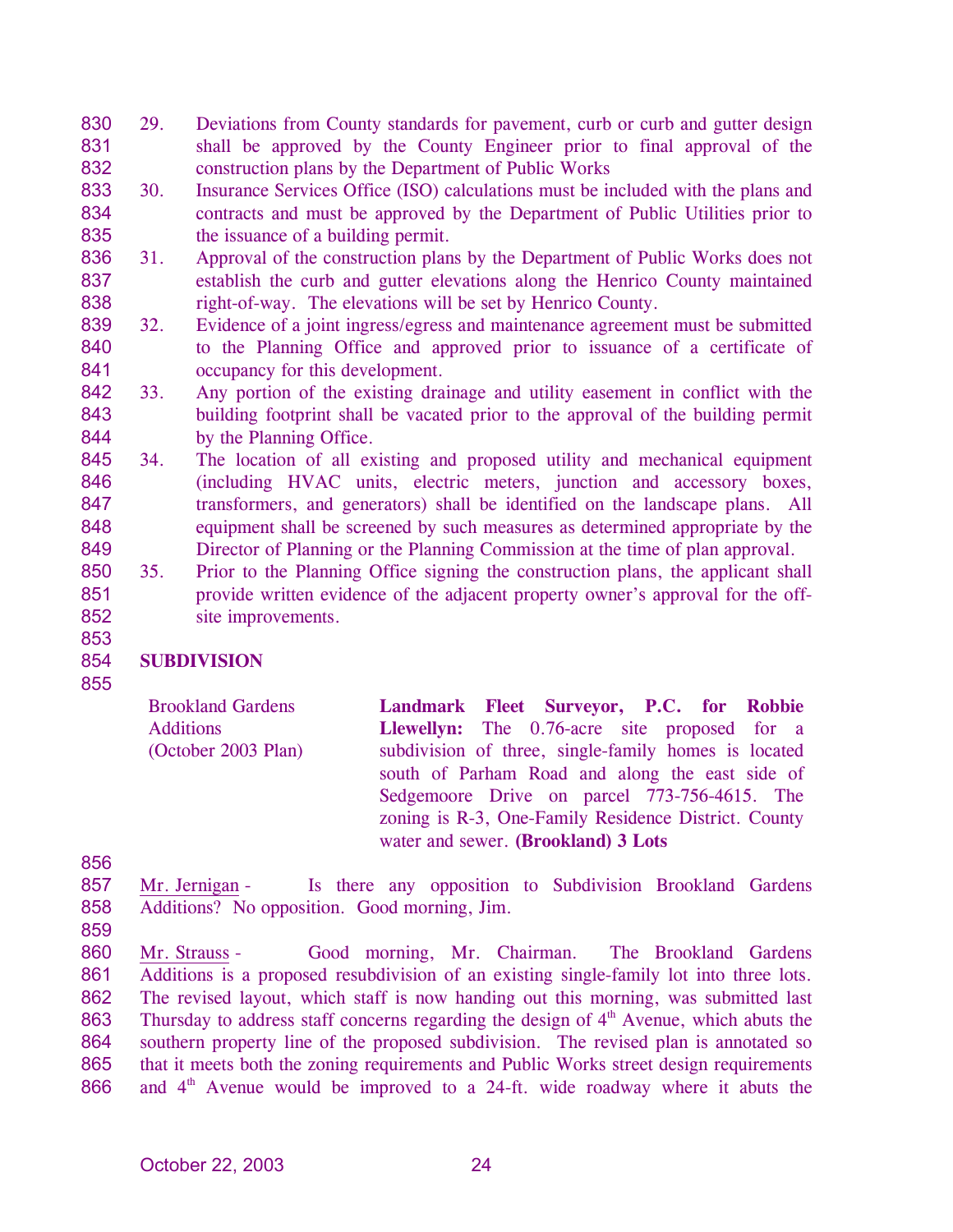- 830 831 832 29. Deviations from County standards for pavement, curb or curb and gutter design shall be approved by the County Engineer prior to final approval of the construction plans by the Department of Public Works
- 833 834 835 30. Insurance Services Office (ISO) calculations must be included with the plans and contracts and must be approved by the Department of Public Utilities prior to the issuance of a building permit.
- 836 837 838 31. Approval of the construction plans by the Department of Public Works does not establish the curb and gutter elevations along the Henrico County maintained right-of-way. The elevations will be set by Henrico County.
- 839 840 841 32. Evidence of a joint ingress/egress and maintenance agreement must be submitted to the Planning Office and approved prior to issuance of a certificate of occupancy for this development.
- 842 843 844 33. Any portion of the existing drainage and utility easement in conflict with the building footprint shall be vacated prior to the approval of the building permit by the Planning Office.
- 845 846 847 848 849 34. The location of all existing and proposed utility and mechanical equipment (including HVAC units, electric meters, junction and accessory boxes, transformers, and generators) shall be identified on the landscape plans. All equipment shall be screened by such measures as determined appropriate by the Director of Planning or the Planning Commission at the time of plan approval.
- 850 851 852 35. Prior to the Planning Office signing the construction plans, the applicant shall provide written evidence of the adjacent property owner's approval for the offsite improvements.

## 854 **SUBDIVISION**

855

853

Brookland Gardens Additions (October 2003 Plan) **Landmark Fleet Surveyor, P.C. for Robbie Llewellyn:** The 0.76-acre site proposed for a subdivision of three, single-family homes is located south of Parham Road and along the east side of Sedgemoore Drive on parcel 773-756-4615. The zoning is R-3, One-Family Residence District. County water and sewer. **(Brookland) 3 Lots** 

856

857 858 Mr. Jernigan - Is there any opposition to Subdivision Brookland Gardens Additions? No opposition. Good morning, Jim.

859

Mr. Strauss - Good morning, Mr. Chairman. The Brookland Gardens Additions is a proposed resubdivision of an existing single-family lot into three lots. The revised layout, which staff is now handing out this morning, was submitted last Thursday to address staff concerns regarding the design of  $4<sup>th</sup>$  Avenue, which abuts the 860 861 862 863 864 865 866 southern property line of the proposed subdivision. The revised plan is annotated so that it meets both the zoning requirements and Public Works street design requirements and  $4<sup>th</sup>$  Avenue would be improved to a 24-ft. wide roadway where it abuts the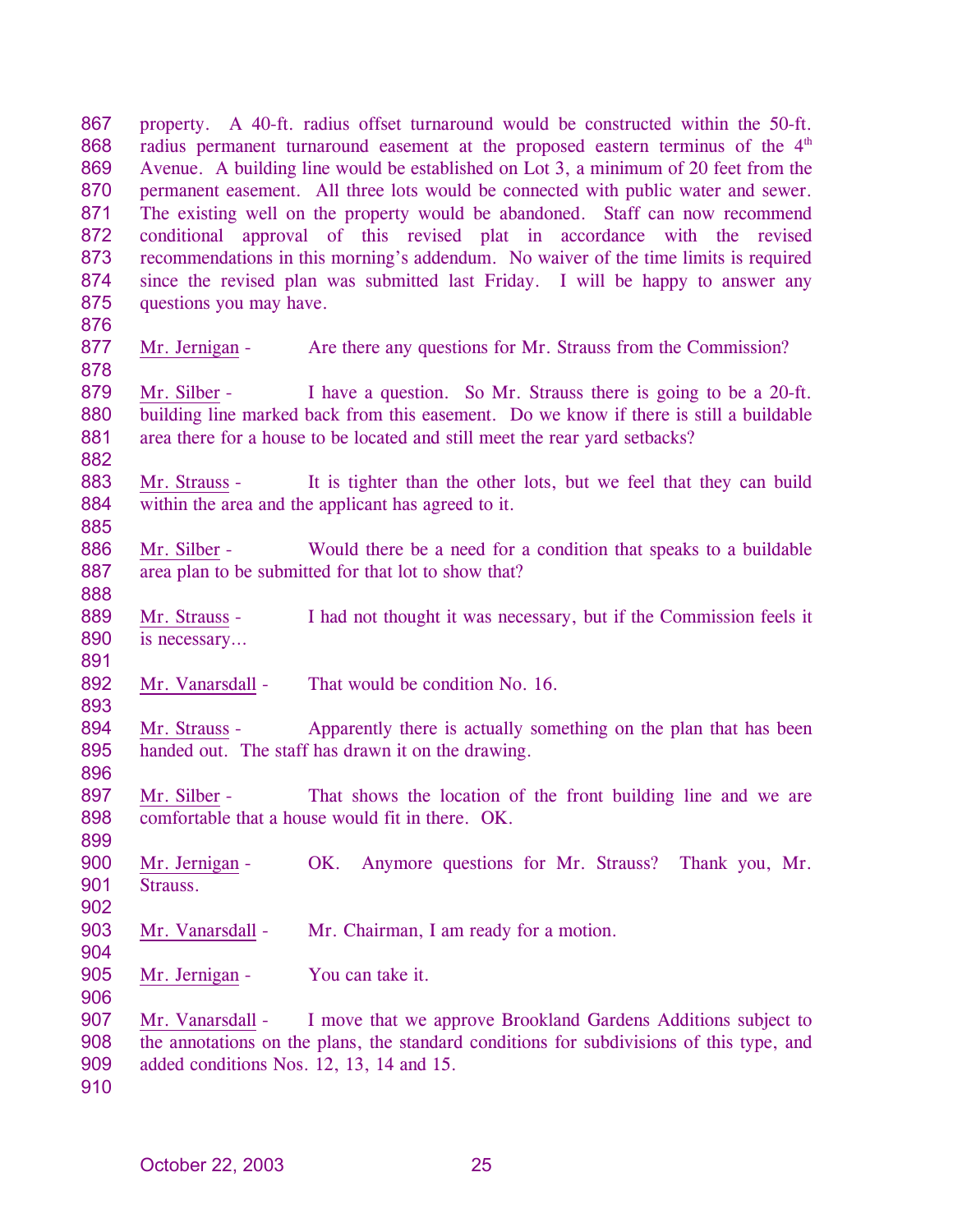property. A 40-ft. radius offset turnaround would be constructed within the 50-ft. radius permanent turnaround easement at the proposed eastern terminus of the  $4<sup>th</sup>$ 867 868 869 870 871 872 873 874 875 Avenue. A building line would be established on Lot 3, a minimum of 20 feet from the permanent easement. All three lots would be connected with public water and sewer. The existing well on the property would be abandoned. Staff can now recommend conditional approval of this revised plat in accordance with the revised recommendations in this morning's addendum. No waiver of the time limits is required since the revised plan was submitted last Friday. I will be happy to answer any questions you may have.

876

878

885

888

891

893

899

902

904

906

877 Mr. Jernigan - Are there any questions for Mr. Strauss from the Commission?

879 880 881 882 Mr. Silber - I have a question. So Mr. Strauss there is going to be a 20-ft. building line marked back from this easement. Do we know if there is still a buildable area there for a house to be located and still meet the rear yard setbacks?

883 884 Mr. Strauss - It is tighter than the other lots, but we feel that they can build within the area and the applicant has agreed to it.

886 887 Mr. Silber - Would there be a need for a condition that speaks to a buildable area plan to be submitted for that lot to show that?

889 890 Mr. Strauss - I had not thought it was necessary, but if the Commission feels it is necessary…

892 Mr. Vanarsdall - That would be condition No. 16.

894 895 896 Mr. Strauss - Apparently there is actually something on the plan that has been handed out. The staff has drawn it on the drawing.

897 898 Mr. Silber - That shows the location of the front building line and we are comfortable that a house would fit in there. OK.

900 901 Mr. Jernigan - OK. Anymore questions for Mr. Strauss? Thank you, Mr. Strauss.

903 Mr. Vanarsdall - Mr. Chairman, I am ready for a motion.

905 Mr. Jernigan - You can take it.

907 908 909 Mr. Vanarsdall - I move that we approve Brookland Gardens Additions subject to the annotations on the plans, the standard conditions for subdivisions of this type, and added conditions Nos. 12, 13, 14 and 15.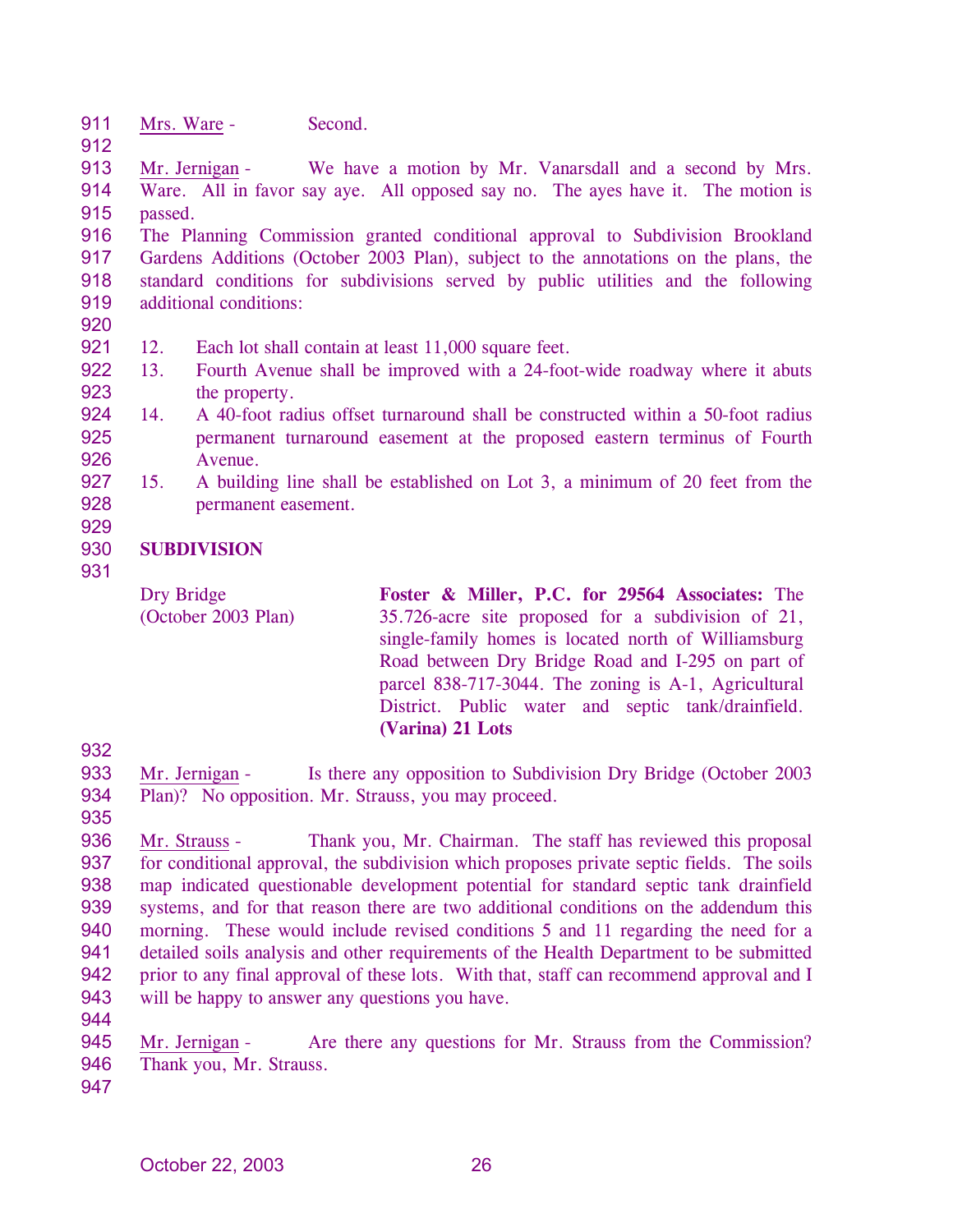- 911 Mrs. Ware - Second.
- 912

913 914 915 Mr. Jernigan - We have a motion by Mr. Vanarsdall and a second by Mrs. Ware. All in favor say aye. All opposed say no. The ayes have it. The motion is passed.

916 917 918 919 The Planning Commission granted conditional approval to Subdivision Brookland Gardens Additions (October 2003 Plan), subject to the annotations on the plans, the standard conditions for subdivisions served by public utilities and the following additional conditions:

- 921 12. Each lot shall contain at least 11,000 square feet.
- 922 923 13. Fourth Avenue shall be improved with a 24-foot-wide roadway where it abuts the property.
- 924 925 926 14. A 40-foot radius offset turnaround shall be constructed within a 50-foot radius permanent turnaround easement at the proposed eastern terminus of Fourth Avenue.
- 927 928 15. A building line shall be established on Lot 3, a minimum of 20 feet from the permanent easement.

### 930 **SUBDIVISION**

931

929

Dry Bridge (October 2003 Plan) **Foster & Miller, P.C. for 29564 Associates:** The 35.726-acre site proposed for a subdivision of 21, single-family homes is located north of Williamsburg Road between Dry Bridge Road and I-295 on part of parcel 838-717-3044. The zoning is A-1, Agricultural District. Public water and septic tank/drainfield. **(Varina) 21 Lots** 

932

933 934 Mr. Jernigan - Is there any opposition to Subdivision Dry Bridge (October 2003 Plan)? No opposition. Mr. Strauss, you may proceed.

935

936 937 938 939 940 941 942 943 Mr. Strauss - Thank you, Mr. Chairman. The staff has reviewed this proposal for conditional approval, the subdivision which proposes private septic fields. The soils map indicated questionable development potential for standard septic tank drainfield systems, and for that reason there are two additional conditions on the addendum this morning. These would include revised conditions 5 and 11 regarding the need for a detailed soils analysis and other requirements of the Health Department to be submitted prior to any final approval of these lots. With that, staff can recommend approval and I will be happy to answer any questions you have.

944

945 946 Mr. Jernigan - Are there any questions for Mr. Strauss from the Commission? Thank you, Mr. Strauss.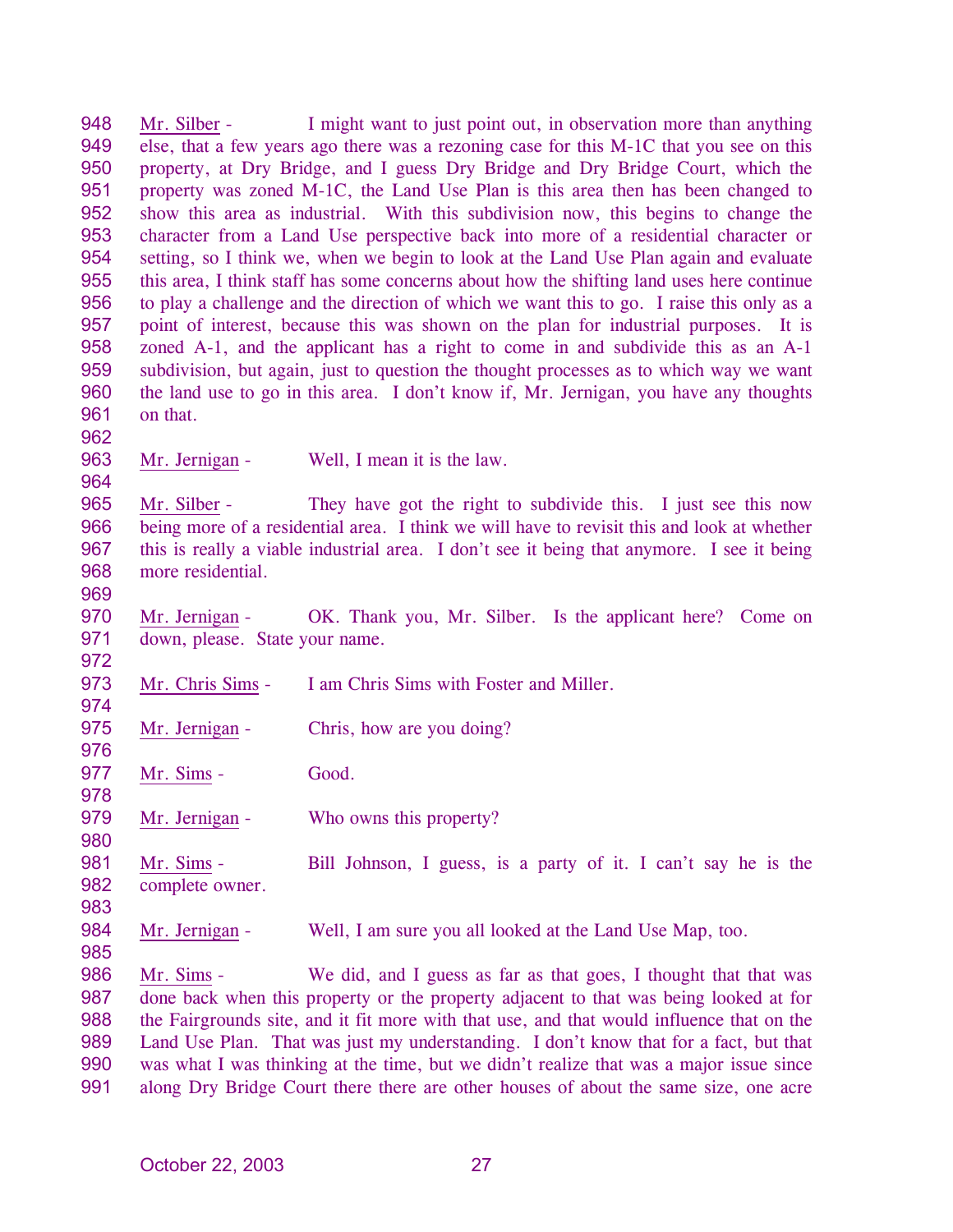948 949 950 951 952 953 954 955 956 957 958 959 960 961 962 Mr. Silber - I might want to just point out, in observation more than anything else, that a few years ago there was a rezoning case for this M-1C that you see on this property, at Dry Bridge, and I guess Dry Bridge and Dry Bridge Court, which the property was zoned M-1C, the Land Use Plan is this area then has been changed to show this area as industrial. With this subdivision now, this begins to change the character from a Land Use perspective back into more of a residential character or setting, so I think we, when we begin to look at the Land Use Plan again and evaluate this area, I think staff has some concerns about how the shifting land uses here continue to play a challenge and the direction of which we want this to go. I raise this only as a point of interest, because this was shown on the plan for industrial purposes. It is zoned A-1, and the applicant has a right to come in and subdivide this as an A-1 subdivision, but again, just to question the thought processes as to which way we want the land use to go in this area. I don't know if, Mr. Jernigan, you have any thoughts on that.

963 Mr. Jernigan - Well, I mean it is the law.

965 966 967 968 Mr. Silber - They have got the right to subdivide this. I just see this now being more of a residential area. I think we will have to revisit this and look at whether this is really a viable industrial area. I don't see it being that anymore. I see it being more residential.

969

972

974

976

978

980

964

970 971 Mr. Jernigan - OK. Thank you, Mr. Silber. Is the applicant here? Come on down, please. State your name.

- 973 Mr. Chris Sims - I am Chris Sims with Foster and Miller.
- 975 Mr. Jernigan - Chris, how are you doing?
- 977 Mr. Sims - Good.
- 979 Mr. Jernigan - Who owns this property?
- 981 982 Mr. Sims - Bill Johnson, I guess, is a party of it. I can't say he is the complete owner.
- 983
- 984 985 Mr. Jernigan - Well, I am sure you all looked at the Land Use Map, too.

Mr. Sims - We did, and I guess as far as that goes, I thought that that was done back when this property or the property adjacent to that was being looked at for the Fairgrounds site, and it fit more with that use, and that would influence that on the Land Use Plan. That was just my understanding. I don't know that for a fact, but that was what I was thinking at the time, but we didn't realize that was a major issue since along Dry Bridge Court there there are other houses of about the same size, one acre 986 987 988 989 990 991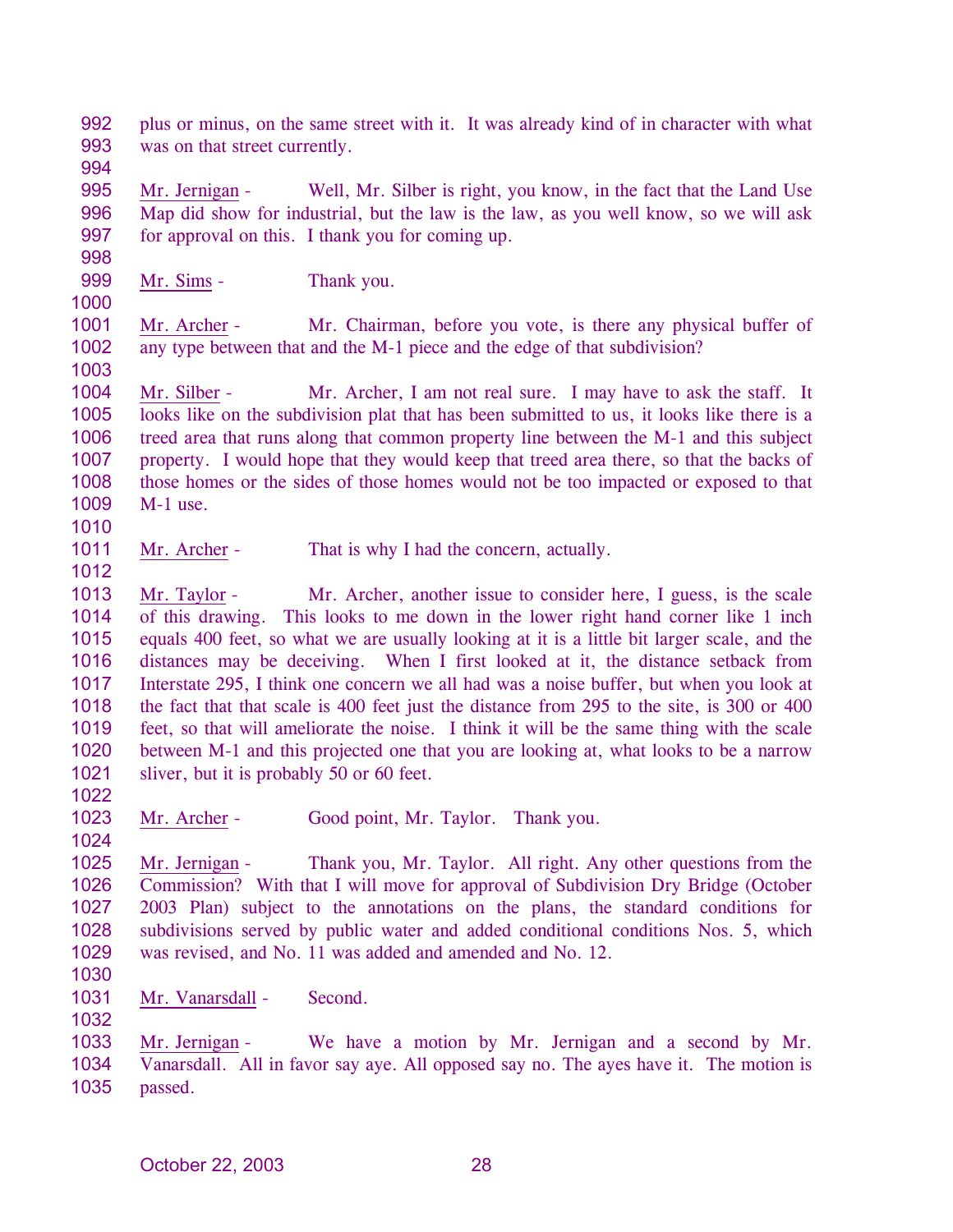992 993 plus or minus, on the same street with it. It was already kind of in character with what was on that street currently.

994

995 996 997 Mr. Jernigan - Well, Mr. Silber is right, you know, in the fact that the Land Use Map did show for industrial, but the law is the law, as you well know, so we will ask for approval on this. I thank you for coming up.

- 998 999
- Mr. Sims Thank you.
- 1000

1001 1002 Mr. Archer - Mr. Chairman, before you vote, is there any physical buffer of any type between that and the M-1 piece and the edge of that subdivision?

1003

1004 1005 1006 1007 1008 1009 1010 Mr. Silber - Mr. Archer, I am not real sure. I may have to ask the staff. It looks like on the subdivision plat that has been submitted to us, it looks like there is a treed area that runs along that common property line between the M-1 and this subject property. I would hope that they would keep that treed area there, so that the backs of those homes or the sides of those homes would not be too impacted or exposed to that M-1 use.

1011 1012 Mr. Archer - That is why I had the concern, actually.

1013 1014 1015 1016 1017 1018 1019 1020 1021 Mr. Taylor - Mr. Archer, another issue to consider here, I guess, is the scale of this drawing. This looks to me down in the lower right hand corner like 1 inch equals 400 feet, so what we are usually looking at it is a little bit larger scale, and the distances may be deceiving. When I first looked at it, the distance setback from Interstate 295, I think one concern we all had was a noise buffer, but when you look at the fact that that scale is 400 feet just the distance from 295 to the site, is 300 or 400 feet, so that will ameliorate the noise. I think it will be the same thing with the scale between M-1 and this projected one that you are looking at, what looks to be a narrow sliver, but it is probably 50 or 60 feet.

1022

1030

1032

1023 1024 Mr. Archer - Good point, Mr. Taylor. Thank you.

1025 1026 1027 1028 1029 Mr. Jernigan - Thank you, Mr. Taylor. All right. Any other questions from the Commission? With that I will move for approval of Subdivision Dry Bridge (October 2003 Plan) subject to the annotations on the plans, the standard conditions for subdivisions served by public water and added conditional conditions Nos. 5, which was revised, and No. 11 was added and amended and No. 12.

1031 Mr. Vanarsdall - Second.

Mr. Jernigan - We have a motion by Mr. Jernigan and a second by Mr. Vanarsdall. All in favor say aye. All opposed say no. The ayes have it. The motion is passed. 1033 1034 1035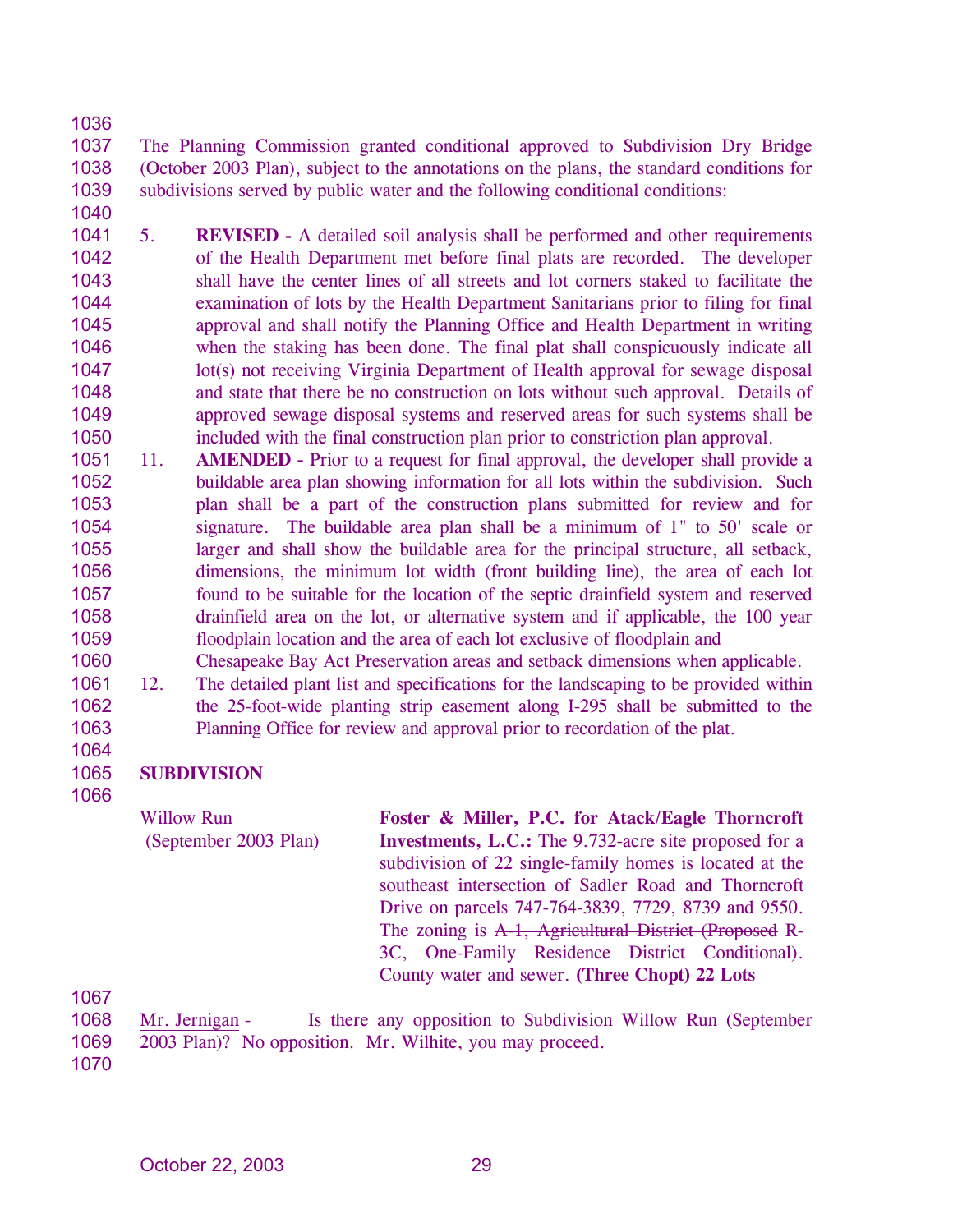1037 1038 1039 The Planning Commission granted conditional approved to Subdivision Dry Bridge (October 2003 Plan), subject to the annotations on the plans, the standard conditions for subdivisions served by public water and the following conditional conditions:

- 1040
- 1041 1042 1043 1044 1045 1046 1047 1048 1049 1050 5. **REVISED -** A detailed soil analysis shall be performed and other requirements of the Health Department met before final plats are recorded. The developer shall have the center lines of all streets and lot corners staked to facilitate the examination of lots by the Health Department Sanitarians prior to filing for final approval and shall notify the Planning Office and Health Department in writing when the staking has been done. The final plat shall conspicuously indicate all lot(s) not receiving Virginia Department of Health approval for sewage disposal and state that there be no construction on lots without such approval. Details of approved sewage disposal systems and reserved areas for such systems shall be included with the final construction plan prior to constriction plan approval.
- 1051 1052 1053 1054 1055 1056 1057 1058 1059 11. **AMENDED -** Prior to a request for final approval, the developer shall provide a buildable area plan showing information for all lots within the subdivision. Such plan shall be a part of the construction plans submitted for review and for signature. The buildable area plan shall be a minimum of 1" to 50' scale or larger and shall show the buildable area for the principal structure, all setback, dimensions, the minimum lot width (front building line), the area of each lot found to be suitable for the location of the septic drainfield system and reserved drainfield area on the lot, or alternative system and if applicable, the 100 year floodplain location and the area of each lot exclusive of floodplain and
- 1060 1061 1062 1063 Chesapeake Bay Act Preservation areas and setback dimensions when applicable. 12. The detailed plant list and specifications for the landscaping to be provided within the 25-foot-wide planting strip easement along I-295 shall be submitted to the Planning Office for review and approval prior to recordation of the plat.

## 1064 1065 **SUBDIVISION**

1066

Willow Run (September 2003 Plan) **Foster & Miller, P.C. for Atack/Eagle Thorncroft Investments, L.C.:** The 9.732-acre site proposed for a subdivision of 22 single-family homes is located at the southeast intersection of Sadler Road and Thorncroft Drive on parcels 747-764-3839, 7729, 8739 and 9550. The zoning is A-1, Agricultural District (Proposed R-3C, One-Family Residence District Conditional). County water and sewer. **(Three Chopt) 22 Lots** 

1067

1068 1069 Mr. Jernigan - Is there any opposition to Subdivision Willow Run (September 2003 Plan)? No opposition. Mr. Wilhite, you may proceed.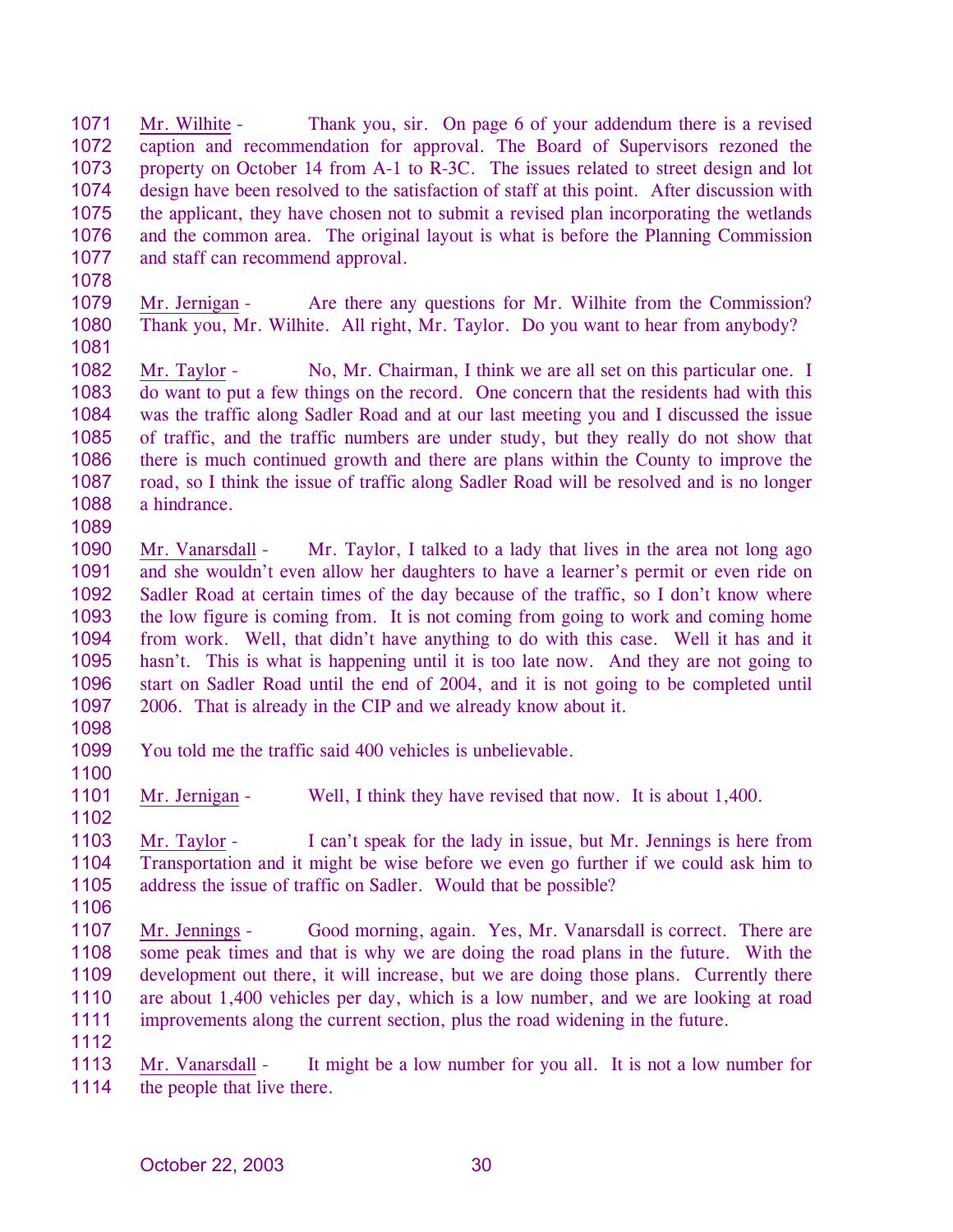1071 1072 1073 1074 1075 1076 1077 Mr. Wilhite - Thank you, sir. On page 6 of your addendum there is a revised caption and recommendation for approval. The Board of Supervisors rezoned the property on October 14 from A-1 to R-3C. The issues related to street design and lot design have been resolved to the satisfaction of staff at this point. After discussion with the applicant, they have chosen not to submit a revised plan incorporating the wetlands and the common area. The original layout is what is before the Planning Commission and staff can recommend approval.

1078

1079 1080 1081 Mr. Jernigan - Are there any questions for Mr. Wilhite from the Commission? Thank you, Mr. Wilhite. All right, Mr. Taylor. Do you want to hear from anybody?

1082 1083 1084 1085 1086 1087 1088 Mr. Taylor - No, Mr. Chairman, I think we are all set on this particular one. I do want to put a few things on the record. One concern that the residents had with this was the traffic along Sadler Road and at our last meeting you and I discussed the issue of traffic, and the traffic numbers are under study, but they really do not show that there is much continued growth and there are plans within the County to improve the road, so I think the issue of traffic along Sadler Road will be resolved and is no longer a hindrance.

1090 1091 1092 1093 1094 1095 1096 1097 Mr. Vanarsdall - Mr. Taylor, I talked to a lady that lives in the area not long ago and she wouldn't even allow her daughters to have a learner's permit or even ride on Sadler Road at certain times of the day because of the traffic, so I don't know where the low figure is coming from. It is not coming from going to work and coming home from work. Well, that didn't have anything to do with this case. Well it has and it hasn't. This is what is happening until it is too late now. And they are not going to start on Sadler Road until the end of 2004, and it is not going to be completed until 2006. That is already in the CIP and we already know about it.

1098

1100

1089

1099 You told me the traffic said 400 vehicles is unbelievable.

1101 Mr. Jernigan - Well, I think they have revised that now. It is about 1,400.

1102

1103 1104 1105 Mr. Taylor - I can't speak for the lady in issue, but Mr. Jennings is here from Transportation and it might be wise before we even go further if we could ask him to address the issue of traffic on Sadler. Would that be possible?

1106

1107 1108 1109 1110 1111 Mr. Jennings - Good morning, again. Yes, Mr. Vanarsdall is correct. There are some peak times and that is why we are doing the road plans in the future. With the development out there, it will increase, but we are doing those plans. Currently there are about 1,400 vehicles per day, which is a low number, and we are looking at road improvements along the current section, plus the road widening in the future.

1112

Mr. Vanarsdall - It might be a low number for you all. It is not a low number for the people that live there. 1113 1114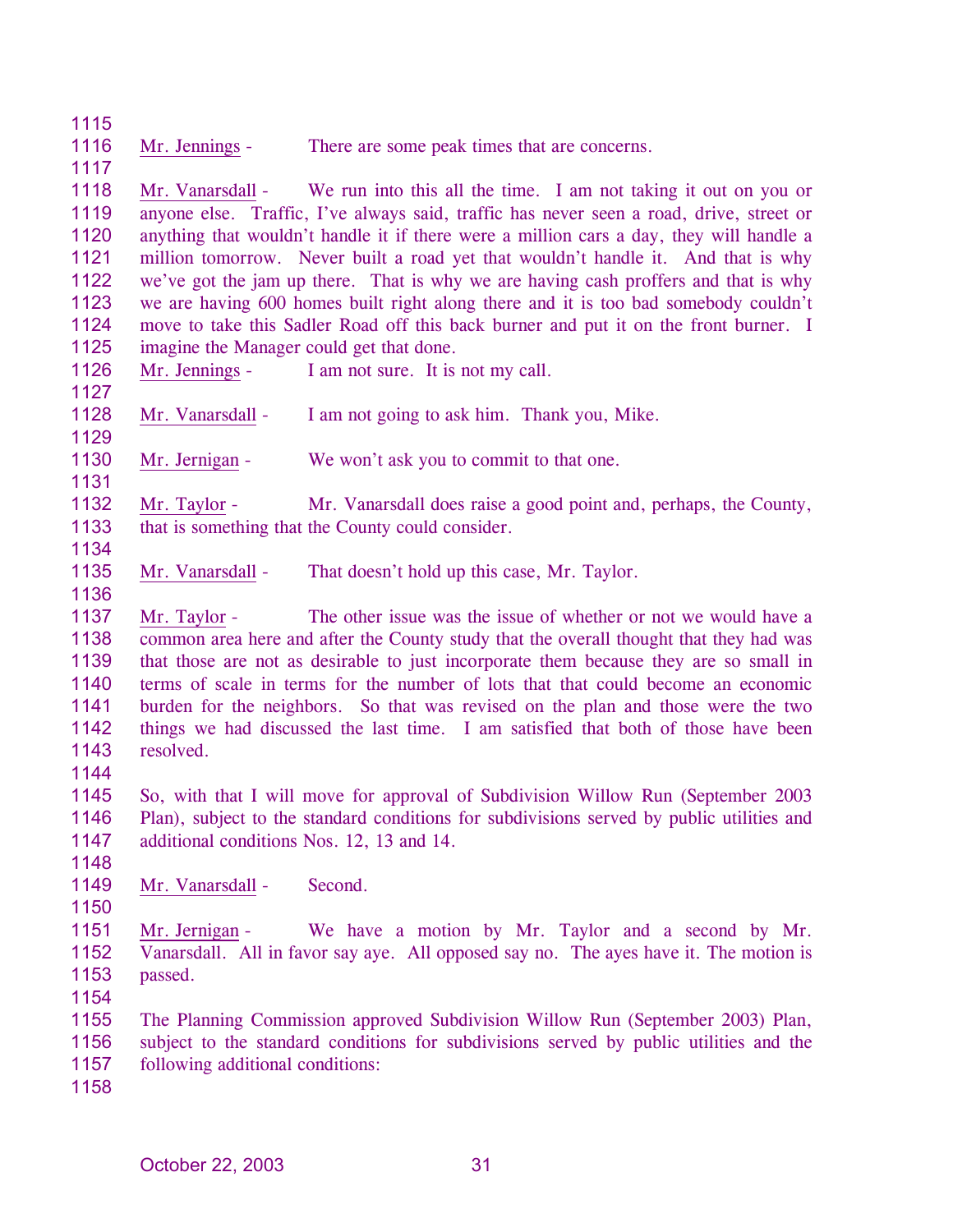1116 Mr. Jennings - There are some peak times that are concerns.

1118 1119 1120 1121 1122 1123 1124 1125 Mr. Vanarsdall - We run into this all the time. I am not taking it out on you or anyone else. Traffic, I've always said, traffic has never seen a road, drive, street or anything that wouldn't handle it if there were a million cars a day, they will handle a million tomorrow. Never built a road yet that wouldn't handle it. And that is why we've got the jam up there. That is why we are having cash proffers and that is why we are having 600 homes built right along there and it is too bad somebody couldn't move to take this Sadler Road off this back burner and put it on the front burner. I imagine the Manager could get that done.

1126

1115

1117

1127 1128 Mr. Vanarsdall - I am not going to ask him. Thank you, Mike.

1129

Mr. Jennings - I am not sure. It is not my call.

1130 1131 Mr. Jernigan - We won't ask you to commit to that one.

1132 1133 1134 Mr. Taylor - Mr. Vanarsdall does raise a good point and, perhaps, the County, that is something that the County could consider.

- 1135 Mr. Vanarsdall - That doesn't hold up this case, Mr. Taylor.
- 1137 1138 1139 1140 1141 1142 1143 Mr. Taylor - The other issue was the issue of whether or not we would have a common area here and after the County study that the overall thought that they had was that those are not as desirable to just incorporate them because they are so small in terms of scale in terms for the number of lots that that could become an economic burden for the neighbors. So that was revised on the plan and those were the two things we had discussed the last time. I am satisfied that both of those have been resolved.
- 1144

1136

1145 1146 1147 So, with that I will move for approval of Subdivision Willow Run (September 2003 Plan), subject to the standard conditions for subdivisions served by public utilities and additional conditions Nos. 12, 13 and 14.

- 1148
- 1149 Mr. Vanarsdall - Second.
- 1150

1151 1152 1153 Mr. Jernigan - We have a motion by Mr. Taylor and a second by Mr. Vanarsdall. All in favor say aye. All opposed say no. The ayes have it. The motion is passed.

1154

1155 1156 1157 The Planning Commission approved Subdivision Willow Run (September 2003) Plan, subject to the standard conditions for subdivisions served by public utilities and the following additional conditions: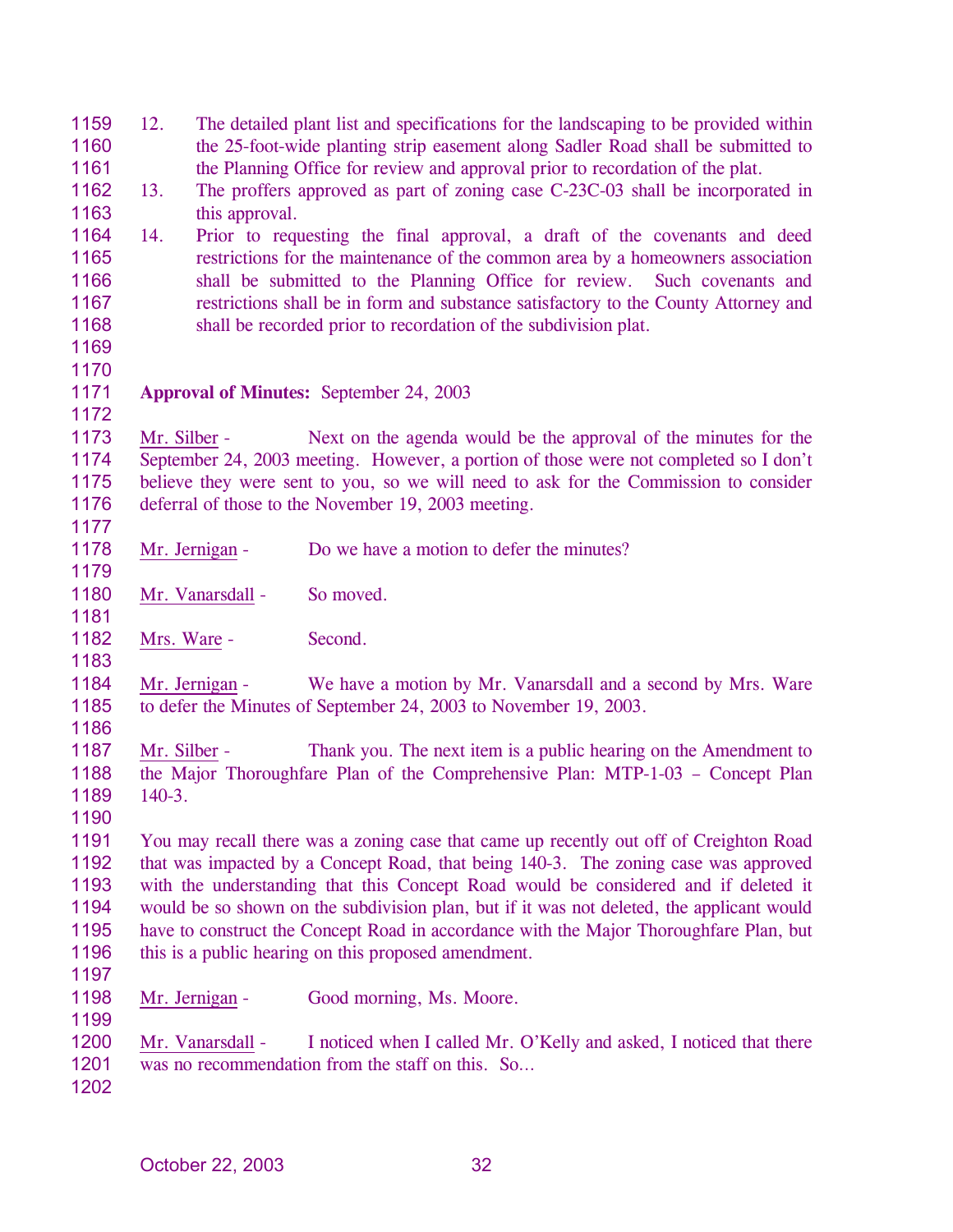| 1159<br>1160 | 12.          | The detailed plant list and specifications for the landscaping to be provided within<br>the 25-foot-wide planting strip easement along Sadler Road shall be submitted to |
|--------------|--------------|--------------------------------------------------------------------------------------------------------------------------------------------------------------------------|
| 1161         |              | the Planning Office for review and approval prior to recordation of the plat.                                                                                            |
| 1162         | 13.          | The proffers approved as part of zoning case C-23C-03 shall be incorporated in                                                                                           |
| 1163         |              | this approval.                                                                                                                                                           |
| 1164         | 14.          | Prior to requesting the final approval, a draft of the covenants and deed                                                                                                |
| 1165         |              | restrictions for the maintenance of the common area by a homeowners association                                                                                          |
| 1166         |              | shall be submitted to the Planning Office for review. Such covenants and                                                                                                 |
| 1167         |              | restrictions shall be in form and substance satisfactory to the County Attorney and                                                                                      |
| 1168         |              | shall be recorded prior to recordation of the subdivision plat.                                                                                                          |
| 1169         |              |                                                                                                                                                                          |
| 1170         |              |                                                                                                                                                                          |
| 1171         |              | <b>Approval of Minutes: September 24, 2003</b>                                                                                                                           |
| 1172         |              |                                                                                                                                                                          |
| 1173         |              | Mr. Silber -<br>Next on the agenda would be the approval of the minutes for the                                                                                          |
| 1174         |              | September 24, 2003 meeting. However, a portion of those were not completed so I don't                                                                                    |
| 1175         |              | believe they were sent to you, so we will need to ask for the Commission to consider                                                                                     |
| 1176         |              | deferral of those to the November 19, 2003 meeting.                                                                                                                      |
| 1177         |              |                                                                                                                                                                          |
| 1178         |              | Mr. Jernigan -<br>Do we have a motion to defer the minutes?                                                                                                              |
| 1179         |              |                                                                                                                                                                          |
| 1180         |              | So moved.<br>Mr. Vanarsdall -                                                                                                                                            |
| 1181         |              |                                                                                                                                                                          |
| 1182         |              | Second.<br>Mrs. Ware -                                                                                                                                                   |
| 1183         |              |                                                                                                                                                                          |
| 1184         |              | Mr. Jernigan -<br>We have a motion by Mr. Vanarsdall and a second by Mrs. Ware                                                                                           |
| 1185         |              | to defer the Minutes of September 24, 2003 to November 19, 2003.                                                                                                         |
| 1186         |              |                                                                                                                                                                          |
| 1187         | Mr. Silber - | Thank you. The next item is a public hearing on the Amendment to                                                                                                         |
| 1188         |              | the Major Thoroughfare Plan of the Comprehensive Plan: MTP-1-03 - Concept Plan                                                                                           |
| 1189         | $140-3.$     |                                                                                                                                                                          |
| 1190         |              |                                                                                                                                                                          |
| 1191         |              | You may recall there was a zoning case that came up recently out off of Creighton Road                                                                                   |
| 1192         |              | that was impacted by a Concept Road, that being 140-3. The zoning case was approved                                                                                      |
| 1193         |              | with the understanding that this Concept Road would be considered and if deleted it                                                                                      |
| 1194         |              | would be so shown on the subdivision plan, but if it was not deleted, the applicant would                                                                                |
| 1195         |              | have to construct the Concept Road in accordance with the Major Thoroughfare Plan, but                                                                                   |
| 1196         |              | this is a public hearing on this proposed amendment.                                                                                                                     |
| 1197         |              |                                                                                                                                                                          |
| 1198         |              | Good morning, Ms. Moore.<br>Mr. Jernigan -                                                                                                                               |
| 1199         |              |                                                                                                                                                                          |
| 1200         |              | Mr. Vanarsdall -<br>I noticed when I called Mr. O'Kelly and asked, I noticed that there                                                                                  |
| 1201         |              | was no recommendation from the staff on this. So                                                                                                                         |
| 1202         |              |                                                                                                                                                                          |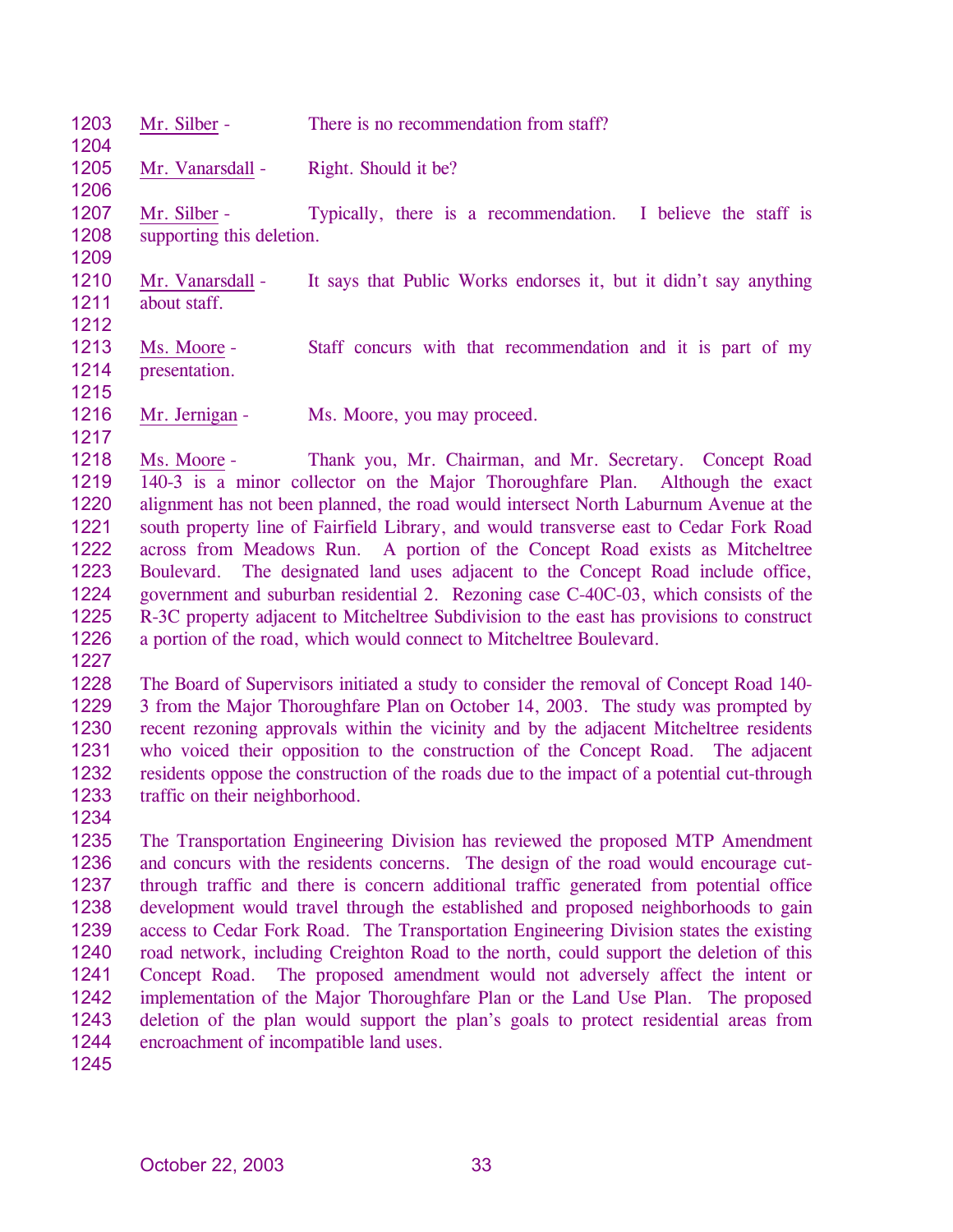| 1203<br>1204                                                                         | Mr. Silber -                                             | There is no recommendation from staff?                                                                                                                                                                                                                                                                                                                                                                                                                                                                                                                                                                                                                                                                                                                                                         |
|--------------------------------------------------------------------------------------|----------------------------------------------------------|------------------------------------------------------------------------------------------------------------------------------------------------------------------------------------------------------------------------------------------------------------------------------------------------------------------------------------------------------------------------------------------------------------------------------------------------------------------------------------------------------------------------------------------------------------------------------------------------------------------------------------------------------------------------------------------------------------------------------------------------------------------------------------------------|
| 1205<br>1206                                                                         | Mr. Vanarsdall -                                         | Right. Should it be?                                                                                                                                                                                                                                                                                                                                                                                                                                                                                                                                                                                                                                                                                                                                                                           |
| 1207<br>1208<br>1209                                                                 | Mr. Silber -<br>supporting this deletion.                | Typically, there is a recommendation. I believe the staff is                                                                                                                                                                                                                                                                                                                                                                                                                                                                                                                                                                                                                                                                                                                                   |
| 1210<br>1211<br>1212                                                                 | Mr. Vanarsdall -<br>about staff.                         | It says that Public Works endorses it, but it didn't say anything                                                                                                                                                                                                                                                                                                                                                                                                                                                                                                                                                                                                                                                                                                                              |
| 1213<br>1214<br>1215                                                                 | Ms. Moore -<br>presentation.                             | Staff concurs with that recommendation and it is part of my                                                                                                                                                                                                                                                                                                                                                                                                                                                                                                                                                                                                                                                                                                                                    |
| 1216<br>1217                                                                         | Mr. Jernigan -                                           | Ms. Moore, you may proceed.                                                                                                                                                                                                                                                                                                                                                                                                                                                                                                                                                                                                                                                                                                                                                                    |
| 1218<br>1219<br>1220<br>1221<br>1222<br>1223<br>1224<br>1225<br>1226<br>1227         | Ms. Moore -<br>Boulevard.                                | Thank you, Mr. Chairman, and Mr. Secretary. Concept Road<br>140-3 is a minor collector on the Major Thoroughfare Plan. Although the exact<br>alignment has not been planned, the road would intersect North Laburnum Avenue at the<br>south property line of Fairfield Library, and would transverse east to Cedar Fork Road<br>across from Meadows Run. A portion of the Concept Road exists as Mitcheltree<br>The designated land uses adjacent to the Concept Road include office,<br>government and suburban residential 2. Rezoning case C-40C-03, which consists of the<br>R-3C property adjacent to Mitcheltree Subdivision to the east has provisions to construct<br>a portion of the road, which would connect to Mitcheltree Boulevard.                                             |
| 1228<br>1229<br>1230<br>1231<br>1232<br>1233<br>1234                                 | traffic on their neighborhood.                           | The Board of Supervisors initiated a study to consider the removal of Concept Road 140-<br>3 from the Major Thoroughfare Plan on October 14, 2003. The study was prompted by<br>recent rezoning approvals within the vicinity and by the adjacent Mitcheltree residents<br>who voiced their opposition to the construction of the Concept Road. The adjacent<br>residents oppose the construction of the roads due to the impact of a potential cut-through                                                                                                                                                                                                                                                                                                                                    |
| 1235<br>1236<br>1237<br>1238<br>1239<br>1240<br>1241<br>1242<br>1243<br>1244<br>1245 | Concept Road.<br>encroachment of incompatible land uses. | The Transportation Engineering Division has reviewed the proposed MTP Amendment<br>and concurs with the residents concerns. The design of the road would encourage cut-<br>through traffic and there is concern additional traffic generated from potential office<br>development would travel through the established and proposed neighborhoods to gain<br>access to Cedar Fork Road. The Transportation Engineering Division states the existing<br>road network, including Creighton Road to the north, could support the deletion of this<br>The proposed amendment would not adversely affect the intent or<br>implementation of the Major Thoroughfare Plan or the Land Use Plan. The proposed<br>deletion of the plan would support the plan's goals to protect residential areas from |
|                                                                                      |                                                          |                                                                                                                                                                                                                                                                                                                                                                                                                                                                                                                                                                                                                                                                                                                                                                                                |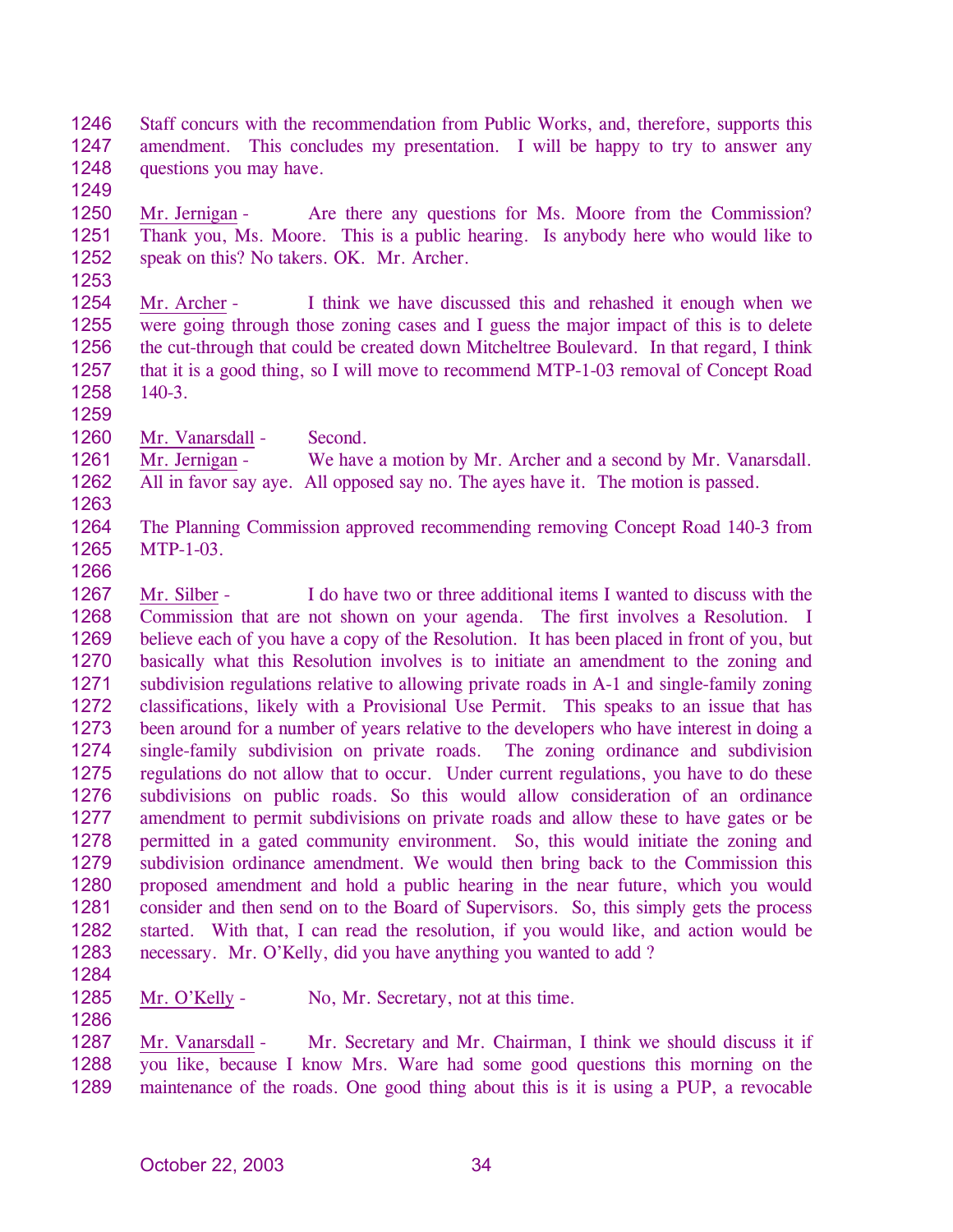- 1246 1247 1248 Staff concurs with the recommendation from Public Works, and, therefore, supports this amendment. This concludes my presentation. I will be happy to try to answer any questions you may have.
- 1249

1250 1251 1252 Mr. Jernigan - Are there any questions for Ms. Moore from the Commission? Thank you, Ms. Moore. This is a public hearing. Is anybody here who would like to speak on this? No takers. OK. Mr. Archer.

- 1254 1255 1256 1257 1258 Mr. Archer - I think we have discussed this and rehashed it enough when we were going through those zoning cases and I guess the major impact of this is to delete the cut-through that could be created down Mitcheltree Boulevard. In that regard, I think that it is a good thing, so I will move to recommend MTP-1-03 removal of Concept Road 140-3.
- 1259

1260 Mr. Vanarsdall - Second.

1261 1262 Mr. Jernigan - We have a motion by Mr. Archer and a second by Mr. Vanarsdall. All in favor say aye. All opposed say no. The ayes have it. The motion is passed.

1264 1265 The Planning Commission approved recommending removing Concept Road 140-3 from MTP-1-03.

1266

1263

1267 1268 1269 1270 1271 1272 1273 1274 1275 1276 1277 1278 1279 1280 1281 1282 1283 Mr. Silber - I do have two or three additional items I wanted to discuss with the Commission that are not shown on your agenda. The first involves a Resolution. I believe each of you have a copy of the Resolution. It has been placed in front of you, but basically what this Resolution involves is to initiate an amendment to the zoning and subdivision regulations relative to allowing private roads in A-1 and single-family zoning classifications, likely with a Provisional Use Permit. This speaks to an issue that has been around for a number of years relative to the developers who have interest in doing a single-family subdivision on private roads. The zoning ordinance and subdivision regulations do not allow that to occur. Under current regulations, you have to do these subdivisions on public roads. So this would allow consideration of an ordinance amendment to permit subdivisions on private roads and allow these to have gates or be permitted in a gated community environment. So, this would initiate the zoning and subdivision ordinance amendment. We would then bring back to the Commission this proposed amendment and hold a public hearing in the near future, which you would consider and then send on to the Board of Supervisors. So, this simply gets the process started. With that, I can read the resolution, if you would like, and action would be necessary. Mr. O'Kelly, did you have anything you wanted to add ?

1284

1286

1285 Mr. O'Kelly - No, Mr. Secretary, not at this time.

Mr. Vanarsdall - Mr. Secretary and Mr. Chairman, I think we should discuss it if you like, because I know Mrs. Ware had some good questions this morning on the maintenance of the roads. One good thing about this is it is using a PUP, a revocable 1287 1288 1289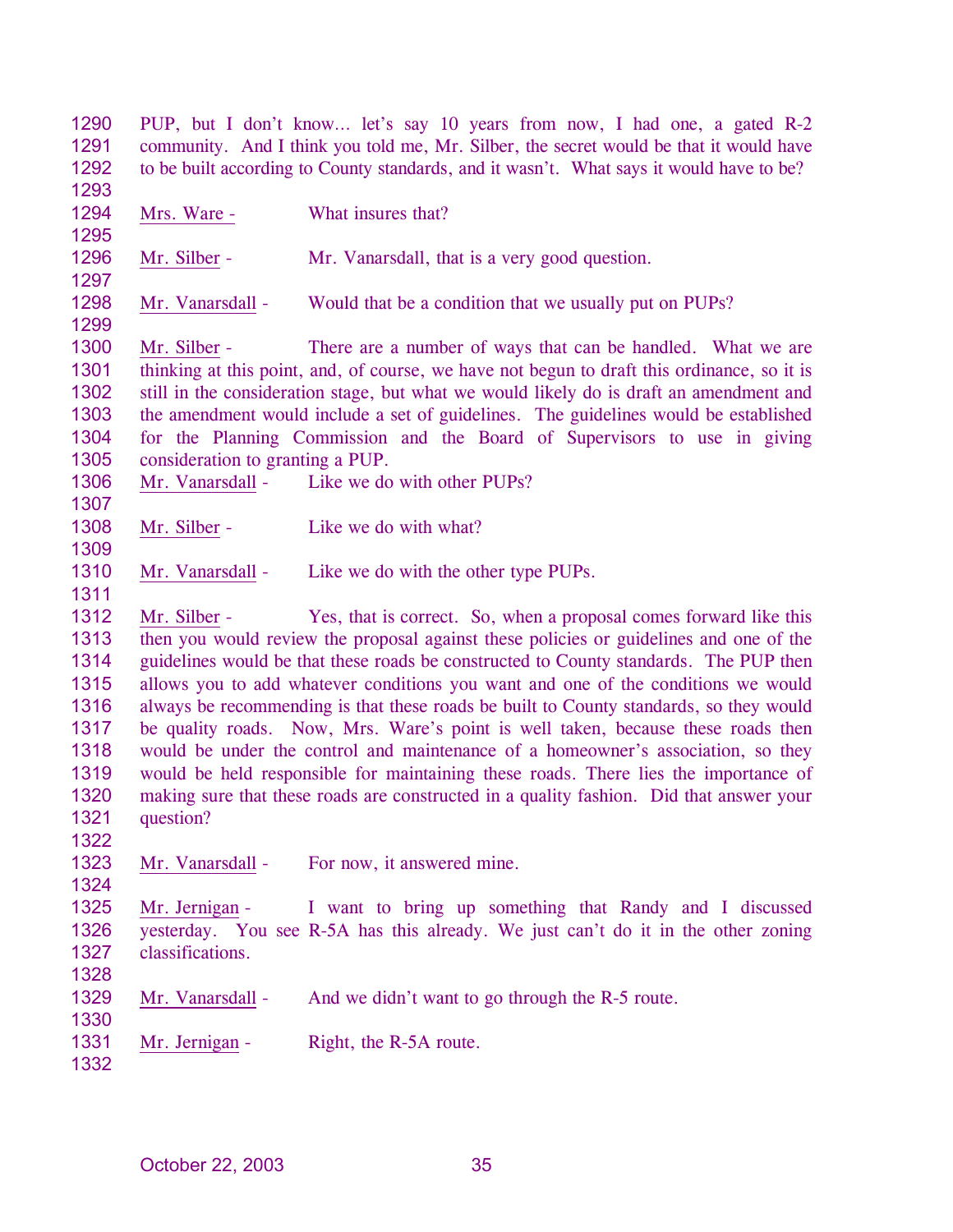1290 1291 1292 1293 PUP, but I don't know… let's say 10 years from now, I had one, a gated R-2 community. And I think you told me, Mr. Silber, the secret would be that it would have to be built according to County standards, and it wasn't. What says it would have to be? 1294 1295 Mrs. Ware - What insures that? 1296 1297 Mr. Silber - Mr. Vanarsdall, that is a very good question. 1298 1299 Mr. Vanarsdall - Would that be a condition that we usually put on PUPs? 1300 1301 1302 1303 1304 1305 Mr. Silber - There are a number of ways that can be handled. What we are thinking at this point, and, of course, we have not begun to draft this ordinance, so it is still in the consideration stage, but what we would likely do is draft an amendment and the amendment would include a set of guidelines. The guidelines would be established for the Planning Commission and the Board of Supervisors to use in giving consideration to granting a PUP. 1306 1307 Mr. Vanarsdall - Like we do with other PUPs? 1308 1309 Mr. Silber - Like we do with what? 1310 1311 Mr. Vanarsdall - Like we do with the other type PUPs. 1312 1313 1314 1315 1316 1317 1318 1319 1320 1321 1322 Mr. Silber - Yes, that is correct. So, when a proposal comes forward like this then you would review the proposal against these policies or guidelines and one of the guidelines would be that these roads be constructed to County standards. The PUP then allows you to add whatever conditions you want and one of the conditions we would always be recommending is that these roads be built to County standards, so they would be quality roads. Now, Mrs. Ware's point is well taken, because these roads then would be under the control and maintenance of a homeowner's association, so they would be held responsible for maintaining these roads. There lies the importance of making sure that these roads are constructed in a quality fashion. Did that answer your question? 1323 1324 Mr. Vanarsdall - For now, it answered mine. 1325 1326 1327 1328 Mr. Jernigan - I want to bring up something that Randy and I discussed yesterday. You see R-5A has this already. We just can't do it in the other zoning classifications. 1329 1330 Mr. Vanarsdall - And we didn't want to go through the R-5 route. 1331 1332 Mr. Jernigan - Right, the R-5A route.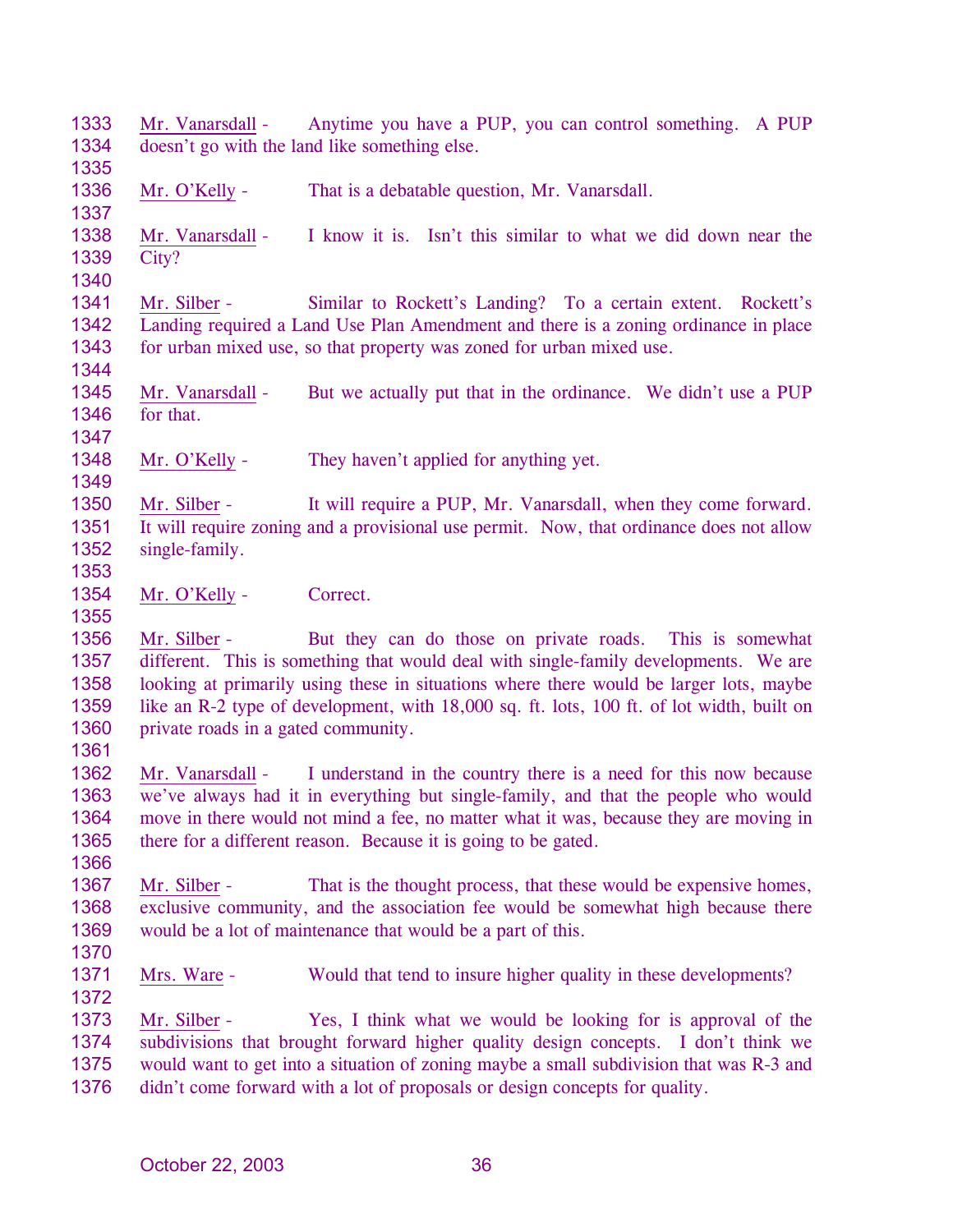1333 1334 1335 Mr. Vanarsdall - Anytime you have a PUP, you can control something. A PUP doesn't go with the land like something else. 1336 1337 Mr. O'Kelly - That is a debatable question, Mr. Vanarsdall. 1338 1339 1340 Mr. Vanarsdall - I know it is. Isn't this similar to what we did down near the City? 1341 1342 1343 1344 Mr. Silber - Similar to Rockett's Landing? To a certain extent. Rockett's Landing required a Land Use Plan Amendment and there is a zoning ordinance in place for urban mixed use, so that property was zoned for urban mixed use. 1345 1346 1347 Mr. Vanarsdall - But we actually put that in the ordinance. We didn't use a PUP for that. 1348 1349 Mr. O'Kelly - They haven't applied for anything yet. 1350 1351 1352 1353 Mr. Silber - It will require a PUP, Mr. Vanarsdall, when they come forward. It will require zoning and a provisional use permit. Now, that ordinance does not allow single-family. 1354 1355 Mr. O'Kelly - Correct. 1356 1357 1358 1359 1360 1361 Mr. Silber - But they can do those on private roads. This is somewhat different. This is something that would deal with single-family developments. We are looking at primarily using these in situations where there would be larger lots, maybe like an R-2 type of development, with 18,000 sq. ft. lots, 100 ft. of lot width, built on private roads in a gated community. 1362 1363 1364 1365 1366 Mr. Vanarsdall - I understand in the country there is a need for this now because we've always had it in everything but single-family, and that the people who would move in there would not mind a fee, no matter what it was, because they are moving in there for a different reason. Because it is going to be gated. 1367 1368 1369 1370 Mr. Silber - That is the thought process, that these would be expensive homes, exclusive community, and the association fee would be somewhat high because there would be a lot of maintenance that would be a part of this. 1371 1372 Mrs. Ware - Would that tend to insure higher quality in these developments? Mr. Silber - Yes, I think what we would be looking for is approval of the subdivisions that brought forward higher quality design concepts. I don't think we would want to get into a situation of zoning maybe a small subdivision that was R-3 and didn't come forward with a lot of proposals or design concepts for quality. 1373 1374 1375 1376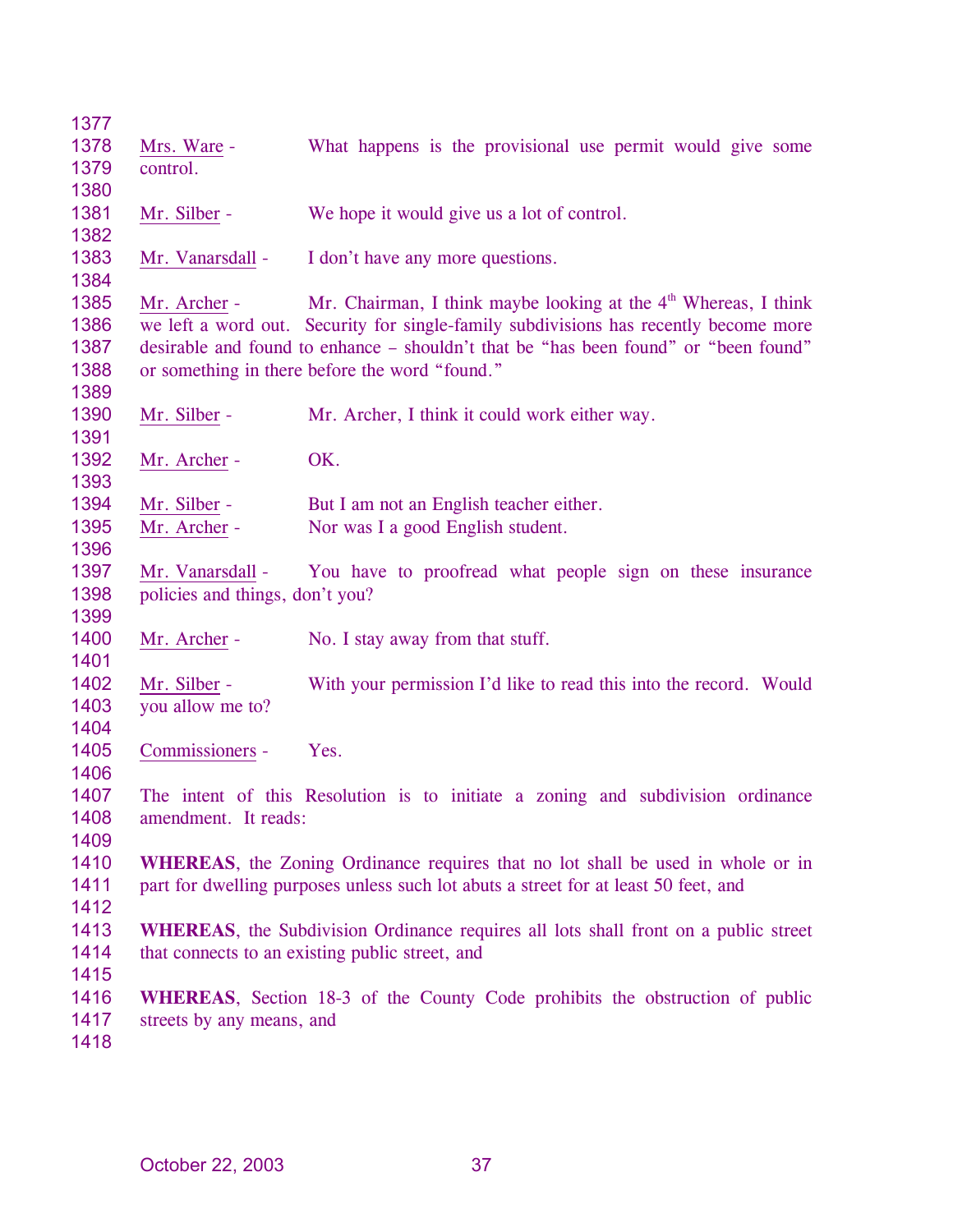| 1377         |                                 |                                                                                             |
|--------------|---------------------------------|---------------------------------------------------------------------------------------------|
| 1378         | Mrs. Ware -                     | What happens is the provisional use permit would give some                                  |
| 1379         | control.                        |                                                                                             |
| 1380         |                                 |                                                                                             |
| 1381         | Mr. Silber -                    | We hope it would give us a lot of control.                                                  |
| 1382         |                                 |                                                                                             |
| 1383<br>1384 | Mr. Vanarsdall -                | I don't have any more questions.                                                            |
| 1385         | Mr. Archer -                    | Mr. Chairman, I think maybe looking at the $4th$ Whereas, I think                           |
| 1386         |                                 | we left a word out. Security for single-family subdivisions has recently become more        |
| 1387         |                                 | desirable and found to enhance – shouldn't that be "has been found" or "been found"         |
| 1388         |                                 | or something in there before the word "found."                                              |
| 1389         |                                 |                                                                                             |
| 1390         | Mr. Silber -                    | Mr. Archer, I think it could work either way.                                               |
| 1391         |                                 |                                                                                             |
| 1392         | Mr. Archer -                    | OK.                                                                                         |
| 1393         |                                 |                                                                                             |
| 1394         | Mr. Silber -                    | But I am not an English teacher either.                                                     |
| 1395<br>1396 | Mr. Archer -                    | Nor was I a good English student.                                                           |
| 1397         | Mr. Vanarsdall -                | You have to proofread what people sign on these insurance                                   |
| 1398         | policies and things, don't you? |                                                                                             |
| 1399         |                                 |                                                                                             |
| 1400         | Mr. Archer -                    | No. I stay away from that stuff.                                                            |
| 1401         |                                 |                                                                                             |
| 1402         | Mr. Silber -                    | With your permission I'd like to read this into the record. Would                           |
| 1403         | you allow me to?                |                                                                                             |
| 1404         |                                 |                                                                                             |
| 1405         | Commissioners -                 | Yes.                                                                                        |
| 1406<br>1407 |                                 | The intent of this Resolution is to initiate a zoning and subdivision ordinance             |
| 1408         | amendment. It reads:            |                                                                                             |
| 1409         |                                 |                                                                                             |
| 1410         |                                 | <b>WHEREAS</b> , the Zoning Ordinance requires that no lot shall be used in whole or in     |
| 1411         |                                 | part for dwelling purposes unless such lot abuts a street for at least 50 feet, and         |
| 1412         |                                 |                                                                                             |
| 1413         |                                 | <b>WHEREAS</b> , the Subdivision Ordinance requires all lots shall front on a public street |
| 1414         |                                 | that connects to an existing public street, and                                             |
| 1415         |                                 |                                                                                             |
| 1416         |                                 | <b>WHEREAS</b> , Section 18-3 of the County Code prohibits the obstruction of public        |
| 1417         | streets by any means, and       |                                                                                             |
| 1418         |                                 |                                                                                             |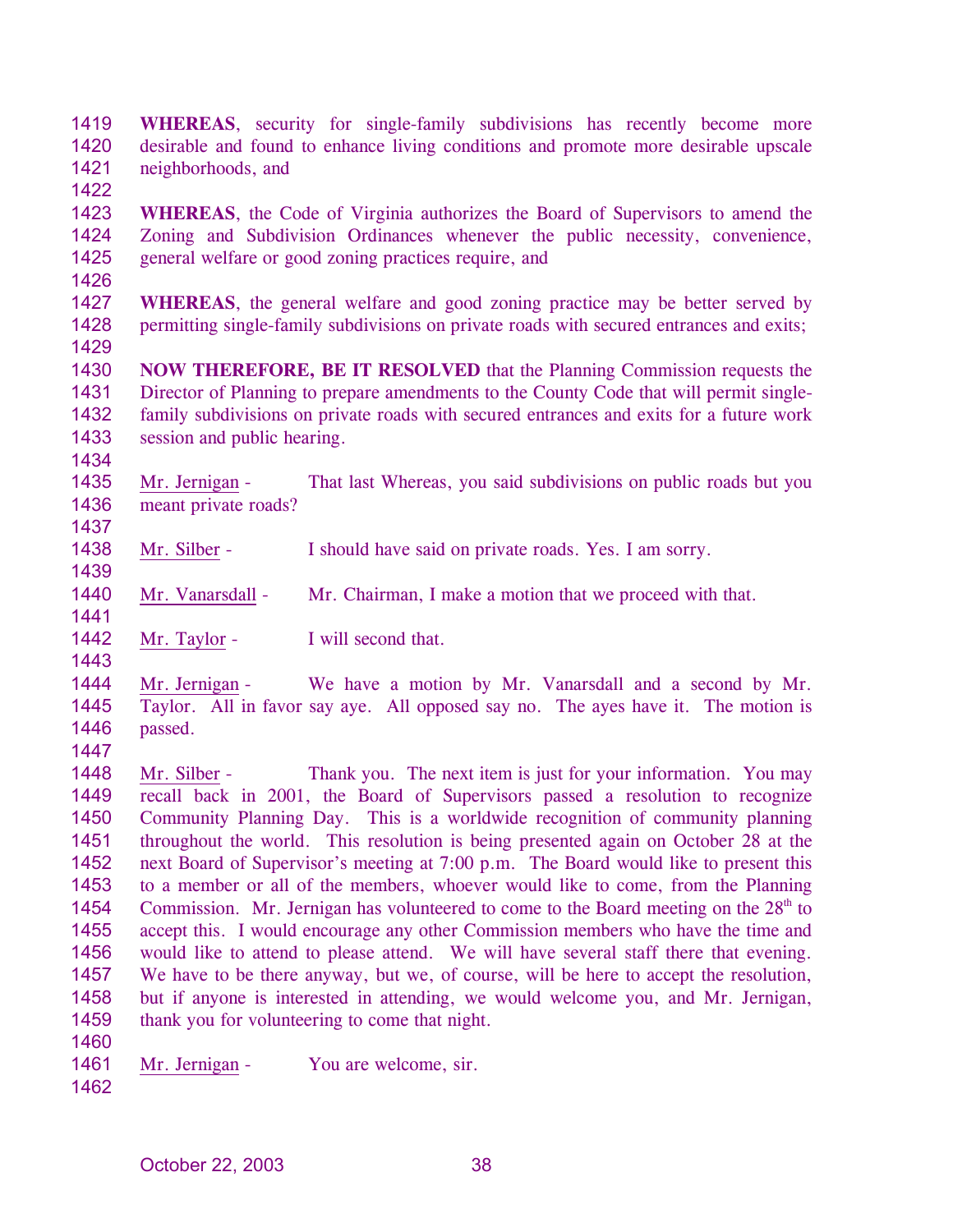- 1419 1420 1421 1422 **WHEREAS**, security for single-family subdivisions has recently become more desirable and found to enhance living conditions and promote more desirable upscale neighborhoods, and
- 1423 1424 1425 **WHEREAS**, the Code of Virginia authorizes the Board of Supervisors to amend the Zoning and Subdivision Ordinances whenever the public necessity, convenience, general welfare or good zoning practices require, and
- 1426
- 1427 1428 1429 **WHEREAS**, the general welfare and good zoning practice may be better served by permitting single-family subdivisions on private roads with secured entrances and exits;
- 1430 1431 1432 1433 **NOW THEREFORE, BE IT RESOLVED** that the Planning Commission requests the Director of Planning to prepare amendments to the County Code that will permit singlefamily subdivisions on private roads with secured entrances and exits for a future work session and public hearing.
- 1435 1436 Mr. Jernigan - That last Whereas, you said subdivisions on public roads but you meant private roads?
- 1438 Mr. Silber - I should have said on private roads. Yes. I am sorry.
- 1440 Mr. Vanarsdall - Mr. Chairman, I make a motion that we proceed with that.
- 1441 1442

1434

1437

1439

Mr. Taylor - I will second that.

1444 1445 1446 Mr. Jernigan - We have a motion by Mr. Vanarsdall and a second by Mr. Taylor. All in favor say aye. All opposed say no. The ayes have it. The motion is passed.

1447

Mr. Silber - Thank you. The next item is just for your information. You may recall back in 2001, the Board of Supervisors passed a resolution to recognize Community Planning Day. This is a worldwide recognition of community planning throughout the world. This resolution is being presented again on October 28 at the next Board of Supervisor's meeting at 7:00 p.m. The Board would like to present this to a member or all of the members, whoever would like to come, from the Planning Commission. Mr. Jernigan has volunteered to come to the Board meeting on the  $28<sup>th</sup>$  to 1448 1449 1450 1451 1452 1453 1454 1455 1456 1457 1458 1459 accept this. I would encourage any other Commission members who have the time and would like to attend to please attend. We will have several staff there that evening. We have to be there anyway, but we, of course, will be here to accept the resolution, but if anyone is interested in attending, we would welcome you, and Mr. Jernigan, thank you for volunteering to come that night.

- 1460
- 1461 Mr. Jernigan - You are welcome, sir.
- 1462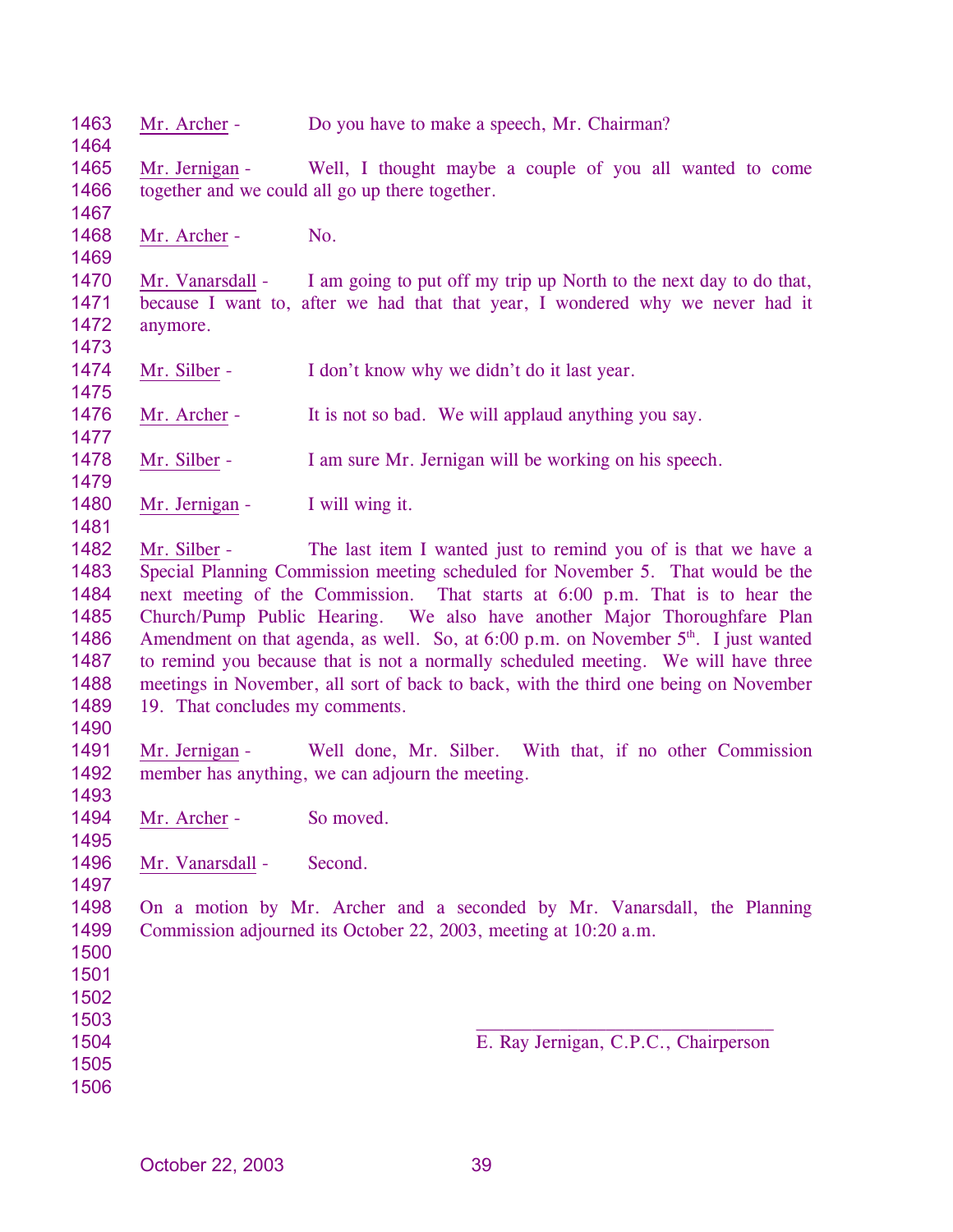Mr. Archer - Do you have to make a speech, Mr. Chairman? Mr. Jernigan - Well, I thought maybe a couple of you all wanted to come together and we could all go up there together. Mr. Archer - No. Mr. Vanarsdall - I am going to put off my trip up North to the next day to do that, because I want to, after we had that that year, I wondered why we never had it anymore. Mr. Silber - I don't know why we didn't do it last year. Mr. Archer - It is not so bad. We will applaud anything you say. Mr. Silber - I am sure Mr. Jernigan will be working on his speech. Mr. Jernigan - I will wing it. Mr. Silber - The last item I wanted just to remind you of is that we have a Special Planning Commission meeting scheduled for November 5. That would be the next meeting of the Commission. That starts at 6:00 p.m. That is to hear the Church/Pump Public Hearing. We also have another Major Thoroughfare Plan Amendment on that agenda, as well. So, at  $6:00$  p.m. on November  $5<sup>th</sup>$ . I just wanted to remind you because that is not a normally scheduled meeting. We will have three meetings in November, all sort of back to back, with the third one being on November 19. That concludes my comments. Mr. Jernigan - Well done, Mr. Silber. With that, if no other Commission member has anything, we can adjourn the meeting. Mr. Archer - So moved. Mr. Vanarsdall - Second. On a motion by Mr. Archer and a seconded by Mr. Vanarsdall, the Planning Commission adjourned its October 22, 2003, meeting at 10:20 a.m. E. Ray Jernigan, C.P.C., Chairperson